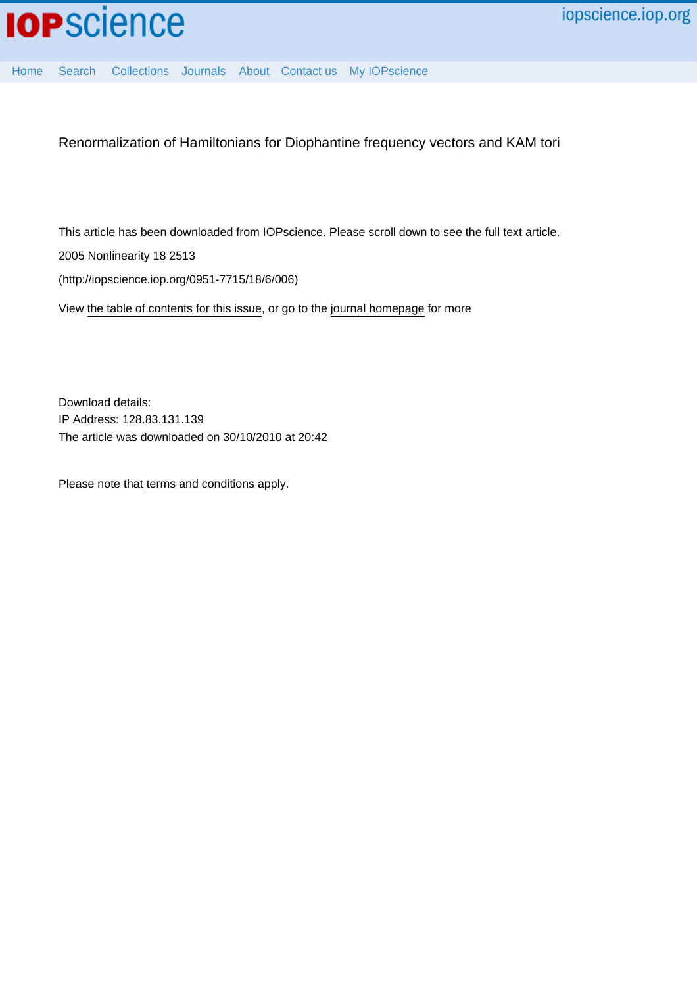

[Home](http://iopscience.iop.org/) [Search](http://iopscience.iop.org/search) [Collections](http://iopscience.iop.org/collections) [Journals](http://iopscience.iop.org/journals) [About](http://iopscience.iop.org/page/aboutioppublishing) [Contact us](http://iopscience.iop.org/contact) [My IOPscience](http://iopscience.iop.org/myiopscience)

Renormalization of Hamiltonians for Diophantine frequency vectors and KAM tori

This article has been downloaded from IOPscience. Please scroll down to see the full text article. 2005 Nonlinearity 18 2513

(http://iopscience.iop.org/0951-7715/18/6/006)

View [the table of contents for this issue](http://iopscience.iop.org/0951-7715/18/6), or go to the [journal homepage](http://iopscience.iop.org/0951-7715) for more

Download details: IP Address: 128.83.131.139 The article was downloaded on 30/10/2010 at 20:42

Please note that [terms and conditions apply.](http://iopscience.iop.org/page/terms)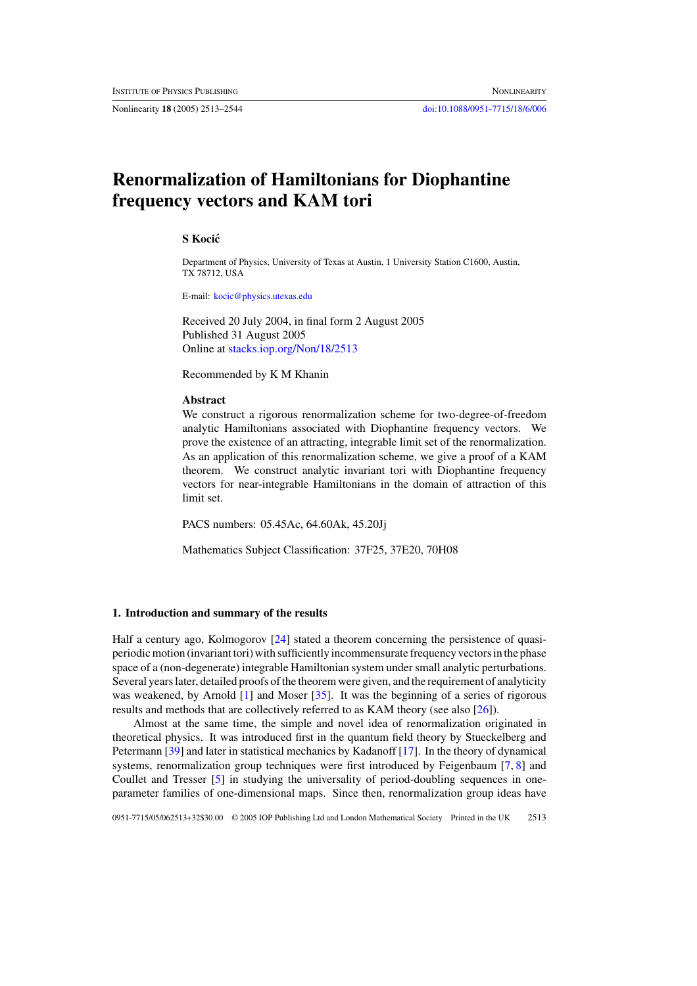Nonlinearity **18** (2005) 2513–2544 [doi:10.1088/0951-7715/18/6/006](http://dx.doi.org/10.1088/0951-7715/18/6/006)

# **Renormalization of Hamiltonians for Diophantine frequency vectors and KAM tori**

## **S Kocic´**

Department of Physics, University of Texas at Austin, 1 University Station C1600, Austin, TX 78712, USA

E-mail: [kocic@physics.utexas.edu](mailto:kocic@physics.utexas.edu)

Received 20 July 2004, in final form 2 August 2005 Published 31 August 2005 Online at [stacks.iop.org/Non/18/2513](http://stacks.iop.org/no/18/2513)

Recommended by K M Khanin

### **Abstract**

We construct a rigorous renormalization scheme for two-degree-of-freedom analytic Hamiltonians associated with Diophantine frequency vectors. We prove the existence of an attracting, integrable limit set of the renormalization. As an application of this renormalization scheme, we give a proof of a KAM theorem. We construct analytic invariant tori with Diophantine frequency vectors for near-integrable Hamiltonians in the domain of attraction of this limit set.

PACS numbers: 05.45Ac, 64.60Ak, 45.20Jj

Mathematics Subject Classification: 37F25, 37E20, 70H08

## **1. Introduction and summary of the results**

Half a century ago, Kolmogorov [\[24\]](#page-32-0) stated a theorem concerning the persistence of quasiperiodic motion (invariant tori) with sufficiently incommensurate frequency vectors in the phase space of a (non-degenerate) integrable Hamiltonian system under small analytic perturbations. Several years later, detailed proofs of the theorem were given, and the requirement of analyticity was weakened, by Arnold  $[1]$  and Moser  $[35]$ . It was the beginning of a series of rigorous results and methods that are collectively referred to as KAM theory (see also [\[26\]](#page-32-0)).

Almost at the same time, the simple and novel idea of renormalization originated in theoretical physics. It was introduced first in the quantum field theory by Stueckelberg and Petermann [\[39\]](#page-32-0) and later in statistical mechanics by Kadanoff [\[17\]](#page-32-0). In the theory of dynamical systems, renormalization group techniques were first introduced by Feigenbaum [\[7,](#page-31-0) [8\]](#page-31-0) and Coullet and Tresser [\[5\]](#page-31-0) in studying the universality of period-doubling sequences in oneparameter families of one-dimensional maps. Since then, renormalization group ideas have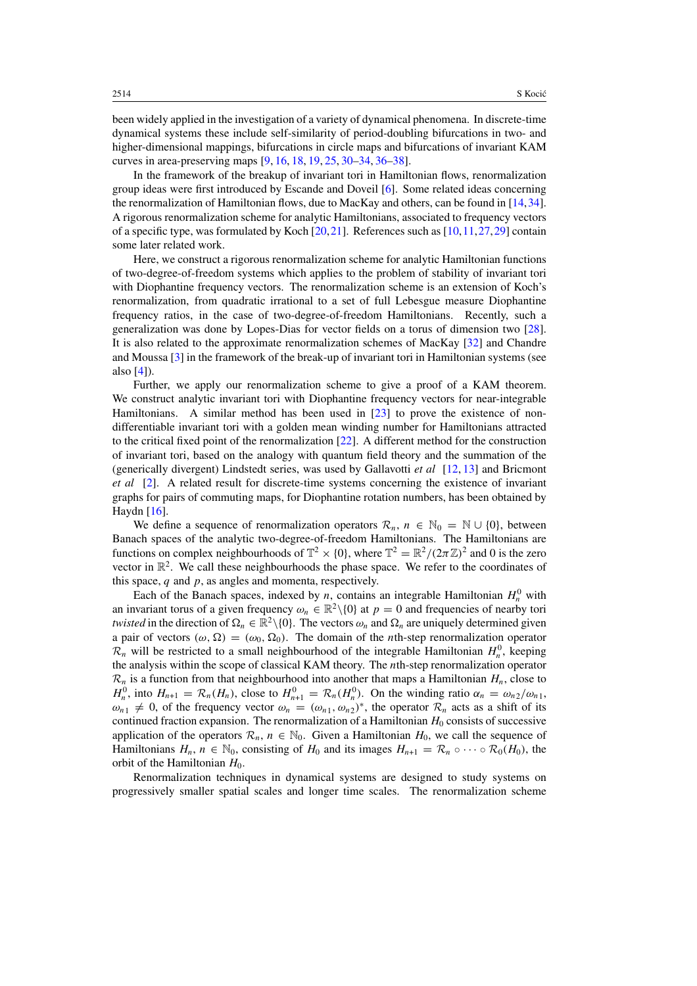been widely applied in the investigation of a variety of dynamical phenomena. In discrete-time dynamical systems these include self-similarity of period-doubling bifurcations in two- and higher-dimensional mappings, bifurcations in circle maps and bifurcations of invariant KAM curves in area-preserving maps [\[9,](#page-32-0) [16,](#page-32-0) [18,](#page-32-0) [19,](#page-32-0) [25,](#page-32-0) [30–34,](#page-32-0) [36–38\]](#page-32-0).

In the framework of the breakup of invariant tori in Hamiltonian flows, renormalization group ideas were first introduced by Escande and Doveil [\[6\]](#page-31-0). Some related ideas concerning the renormalization of Hamiltonian flows, due to MacKay and others, can be found in [\[14,34\]](#page-32-0). A rigorous renormalization scheme for analytic Hamiltonians, associated to frequency vectors of a specific type, was formulated by Koch  $[20,21]$ . References such as  $[10,11,27,29]$  contain some later related work.

Here, we construct a rigorous renormalization scheme for analytic Hamiltonian functions of two-degree-of-freedom systems which applies to the problem of stability of invariant tori with Diophantine frequency vectors. The renormalization scheme is an extension of Koch's renormalization, from quadratic irrational to a set of full Lebesgue measure Diophantine frequency ratios, in the case of two-degree-of-freedom Hamiltonians. Recently, such a generalization was done by Lopes-Dias for vector fields on a torus of dimension two [\[28\]](#page-32-0). It is also related to the approximate renormalization schemes of MacKay [\[32\]](#page-32-0) and Chandre and Moussa [\[3\]](#page-31-0) in the framework of the break-up of invariant tori in Hamiltonian systems (see also [\[4\]](#page-31-0)).

Further, we apply our renormalization scheme to give a proof of a KAM theorem. We construct analytic invariant tori with Diophantine frequency vectors for near-integrable Hamiltonians. A similar method has been used in [\[23\]](#page-32-0) to prove the existence of nondifferentiable invariant tori with a golden mean winding number for Hamiltonians attracted to the critical fixed point of the renormalization [\[22\]](#page-32-0). A different method for the construction of invariant tori, based on the analogy with quantum field theory and the summation of the (generically divergent) Lindstedt series, was used by Gallavotti *et al* [\[12,](#page-32-0) [13\]](#page-32-0) and Bricmont *et al* [\[2\]](#page-31-0). A related result for discrete-time systems concerning the existence of invariant graphs for pairs of commuting maps, for Diophantine rotation numbers, has been obtained by Haydn [\[16\]](#page-32-0).

We define a sequence of renormalization operators  $\mathcal{R}_n$ ,  $n \in \mathbb{N}_0 = \mathbb{N} \cup \{0\}$ , between Banach spaces of the analytic two-degree-of-freedom Hamiltonians. The Hamiltonians are functions on complex neighbourhoods of  $\mathbb{T}^2 \times \{0\}$ , where  $\mathbb{T}^2 = \mathbb{R}^2 / (2\pi \mathbb{Z})^2$  and 0 is the zero vector in  $\mathbb{R}^2$ . We call these neighbourhoods the phase space. We refer to the coordinates of this space, *q* and *p*, as angles and momenta, respectively.

Each of the Banach spaces, indexed by *n*, contains an integrable Hamiltonian  $H_n^0$  with an invariant torus of a given frequency  $\omega_n \in \mathbb{R}^2 \setminus \{0\}$  at  $p = 0$  and frequencies of nearby tori *twisted* in the direction of  $\Omega_n \in \mathbb{R}^2 \setminus \{0\}$ . The vectors  $\omega_n$  and  $\Omega_n$  are uniquely determined given a pair of vectors  $(\omega, \Omega) = (\omega_0, \Omega_0)$ . The domain of the *n*th-step renormalization operator  $\mathcal{R}_n$  will be restricted to a small neighbourhood of the integrable Hamiltonian  $H_n^0$ , keeping the analysis within the scope of classical KAM theory. The *n*th-step renormalization operator  $\mathcal{R}_n$  is a function from that neighbourhood into another that maps a Hamiltonian  $H_n$ , close to *H*<sup>0</sup><sub>n</sub>, into  $H_{n+1} = \mathcal{R}_n(H_n)$ , close to  $H_{n+1}^0 = \mathcal{R}_n(H_n^0)$ . On the winding ratio  $\alpha_n = \omega_{n2}/\omega_{n1}$ ,  $\omega_{n_1} \neq 0$ , of the frequency vector  $\omega_n = (\omega_{n_1}, \omega_{n_2})^*$ , the operator  $\mathcal{R}_n$  acts as a shift of its continued fraction expansion. The renormalization of a Hamiltonian  $H_0$  consists of successive application of the operators  $\mathcal{R}_n$ ,  $n \in \mathbb{N}_0$ . Given a Hamiltonian  $H_0$ , we call the sequence of Hamiltonians  $H_n$ ,  $n \in \mathbb{N}_0$ , consisting of  $H_0$  and its images  $H_{n+1} = \mathcal{R}_n \circ \cdots \circ \mathcal{R}_0(H_0)$ , the orbit of the Hamiltonian  $H_0$ .

Renormalization techniques in dynamical systems are designed to study systems on progressively smaller spatial scales and longer time scales. The renormalization scheme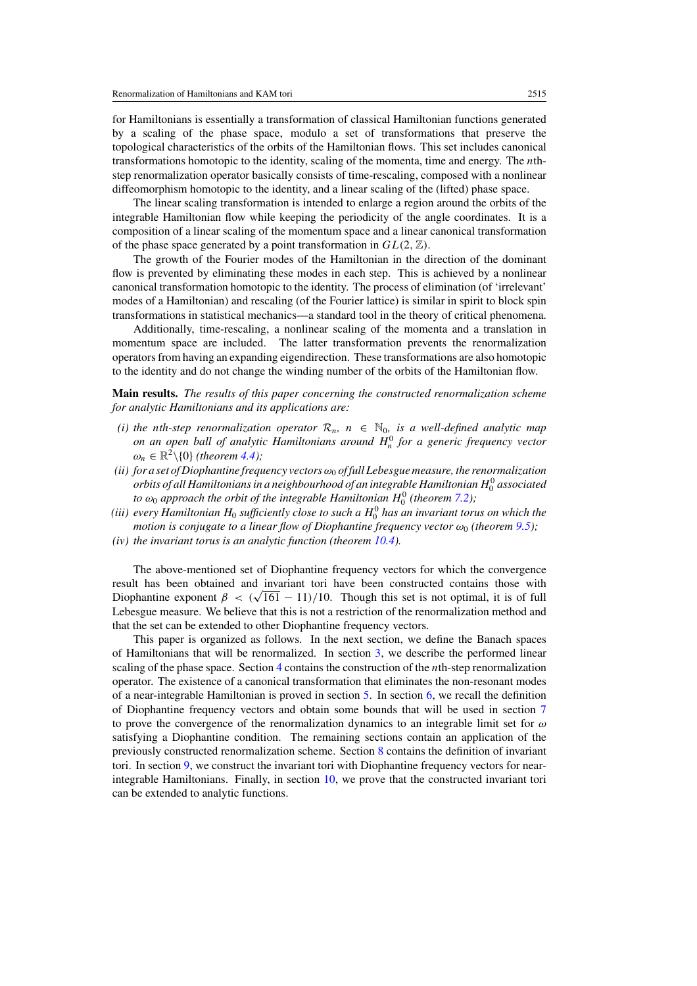for Hamiltonians is essentially a transformation of classical Hamiltonian functions generated by a scaling of the phase space, modulo a set of transformations that preserve the topological characteristics of the orbits of the Hamiltonian flows. This set includes canonical transformations homotopic to the identity, scaling of the momenta, time and energy. The *n*thstep renormalization operator basically consists of time-rescaling, composed with a nonlinear diffeomorphism homotopic to the identity, and a linear scaling of the (lifted) phase space.

The linear scaling transformation is intended to enlarge a region around the orbits of the integrable Hamiltonian flow while keeping the periodicity of the angle coordinates. It is a composition of a linear scaling of the momentum space and a linear canonical transformation of the phase space generated by a point transformation in  $GL(2, \mathbb{Z})$ .

The growth of the Fourier modes of the Hamiltonian in the direction of the dominant flow is prevented by eliminating these modes in each step. This is achieved by a nonlinear canonical transformation homotopic to the identity. The process of elimination (of 'irrelevant' modes of a Hamiltonian) and rescaling (of the Fourier lattice) is similar in spirit to block spin transformations in statistical mechanics—a standard tool in the theory of critical phenomena.

Additionally, time-rescaling, a nonlinear scaling of the momenta and a translation in momentum space are included. The latter transformation prevents the renormalization operators from having an expanding eigendirection. These transformations are also homotopic to the identity and do not change the winding number of the orbits of the Hamiltonian flow.

**Main results.** *The results of this paper concerning the constructed renormalization scheme for analytic Hamiltonians and its applications are:*

- *(i) the nth-step renormalization operator*  $\mathcal{R}_n$ ,  $n \in \mathbb{N}_0$ , *is a well-defined analytic map on an open ball of analytic Hamiltonians around*  $H_n^0$  *for a generic frequency vector*  $\omega_n \in \mathbb{R}^2 \setminus \{0\}$  *(theorem [4.4\)](#page-9-0);*
- *(ii) for a set of Diophantine frequency vectorsω*<sup>0</sup> *of full Lebesgue measure, the renormalization orbits of all Hamiltonians in a neighbourhood of an integrable Hamiltonian H*<sup>0</sup> <sup>0</sup> *associated to*  $\omega_0$  approach the orbit of the integrable Hamiltonian  $H_0^0$  (theorem [7.2\)](#page-21-0);
- (iii) every Hamiltonian  $H_0$  sufficiently close to such a  $H_0^0$  has an invariant torus on which the *motion is conjugate to a linear flow of Diophantine frequency vector*  $\omega_0$  (theorem [9.5\)](#page-28-0);
- *(iv) the invariant torus is an analytic function (theorem [10.4\)](#page-31-0).*

The above-mentioned set of Diophantine frequency vectors for which the convergence result has been obtained and invariant tori have been constructed contains those with Diophantine exponent  $\beta < (\sqrt{161} - 11)/10$ . Though this set is not optimal, it is of full Lebesgue measure. We believe that this is not a restriction of the renormalization method and that the set can be extended to other Diophantine frequency vectors.

This paper is organized as follows. In the next section, we define the Banach spaces of Hamiltonians that will be renormalized. In section [3,](#page-5-0) we describe the performed linear scaling of the phase space. Section [4](#page-7-0) contains the construction of the *n*th-step renormalization operator. The existence of a canonical transformation that eliminates the non-resonant modes of a near-integrable Hamiltonian is proved in section [5.](#page-10-0) In section [6,](#page-15-0) we recall the definition of Diophantine frequency vectors and obtain some bounds that will be used in section [7](#page-17-0) to prove the convergence of the renormalization dynamics to an integrable limit set for *ω* satisfying a Diophantine condition. The remaining sections contain an application of the previously constructed renormalization scheme. Section [8](#page-24-0) contains the definition of invariant tori. In section [9,](#page-25-0) we construct the invariant tori with Diophantine frequency vectors for nearintegrable Hamiltonians. Finally, in section [10,](#page-30-0) we prove that the constructed invariant tori can be extended to analytic functions.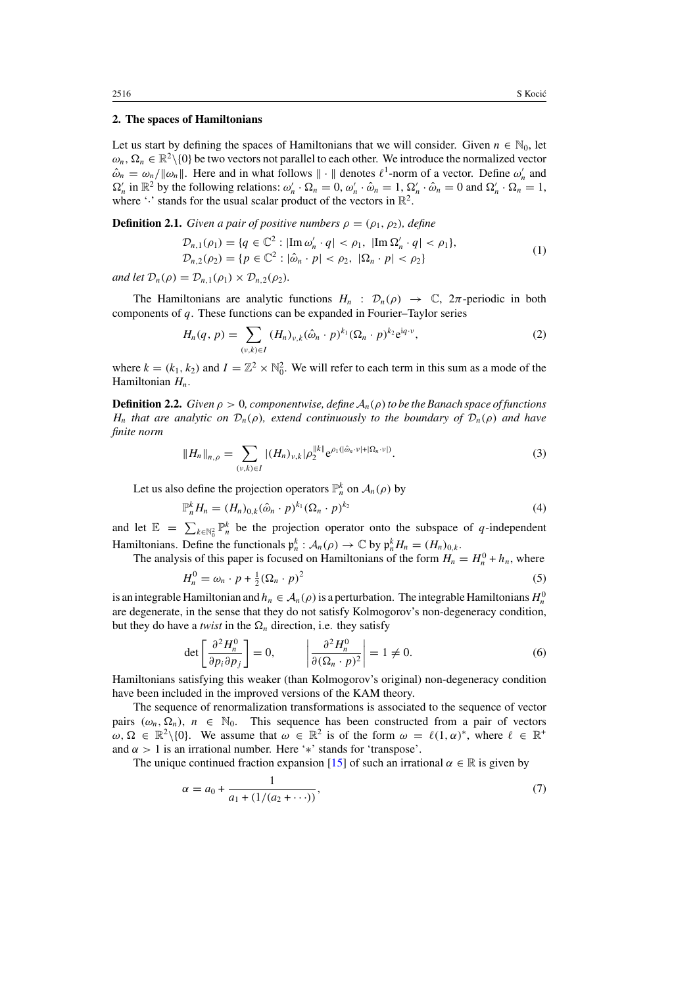#### **2. The spaces of Hamiltonians**

Let us start by defining the spaces of Hamiltonians that we will consider. Given  $n \in \mathbb{N}_0$ , let  $\omega_n, \Omega_n \in \mathbb{R}^2 \setminus \{0\}$  be two vectors not parallel to each other. We introduce the normalized vector  $\hat{\omega}_n = \omega_n / ||\omega_n||$ . Here and in what follows  $||\cdot||$  denotes  $\ell^1$ -norm of a vector. Define  $\omega'_n$  and  $\Omega'_n$  in  $\mathbb{R}^2$  by the following relations:  $\omega'_n \cdot \Omega_n = 0$ ,  $\omega'_n \cdot \hat{\omega}_n = 1$ ,  $\Omega'_n \cdot \hat{\omega}_n = 0$  and  $\Omega'_n \cdot \Omega_n = 1$ , where ' $\cdot$ ' stands for the usual scalar product of the vectors in  $\mathbb{R}^2$ .

**Definition 2.1.** *Given a pair of positive numbers*  $\rho = (\rho_1, \rho_2)$ *, define* 

$$
\mathcal{D}_{n,1}(\rho_1) = \{q \in \mathbb{C}^2 : |\text{Im}\,\omega'_n \cdot q| < \rho_1, \ |\text{Im}\,\Omega'_n \cdot q| < \rho_1\},
$$
\n
$$
\mathcal{D}_{n,2}(\rho_2) = \{p \in \mathbb{C}^2 : |\hat{\omega}_n \cdot p| < \rho_2, \ |\Omega_n \cdot p| < \rho_2\} \tag{1}
$$

*and let*  $\mathcal{D}_n(\rho) = \mathcal{D}_{n,1}(\rho_1) \times \mathcal{D}_{n,2}(\rho_2)$ *.* 

The Hamiltonians are analytic functions  $H_n$ :  $\mathcal{D}_n(\rho) \to \mathbb{C}$ ,  $2\pi$ -periodic in both components of *q*. These functions can be expanded in Fourier–Taylor series

$$
H_n(q, p) = \sum_{(\nu, k) \in I} (H_n)_{\nu, k} (\hat{\omega}_n \cdot p)^{k_1} (\Omega_n \cdot p)^{k_2} e^{iq \cdot \nu},
$$
 (2)

where  $k = (k_1, k_2)$  and  $I = \mathbb{Z}^2 \times \mathbb{N}_0^2$ . We will refer to each term in this sum as a mode of the Hamiltonian *Hn*.

**Definition 2.2.** *Given*  $\rho > 0$ *, componentwise, define*  $A_n(\rho)$  *to be the Banach space of functions H<sub>n</sub> that are analytic on*  $\mathcal{D}_n(\rho)$ *, extend continuously to the boundary of*  $\mathcal{D}_n(\rho)$  *and have finite norm*

$$
||H_n||_{n,\rho} = \sum_{(\nu,k)\in I} |(H_n)_{\nu,k}| \rho_2^{\|k\|} e^{\rho_1(|\hat{\omega}_n\cdot\nu| + |\Omega_n\cdot\nu|)}.
$$
 (3)

Let us also define the projection operators  $\mathbb{P}_n^k$  on  $\mathcal{A}_n(\rho)$  by

1

$$
\mathbb{P}_n^k H_n = (H_n)_{0,k} (\hat{\omega}_n \cdot p)^{k_1} (\Omega_n \cdot p)^{k_2}
$$
 (4)

and let  $\mathbb{E} = \sum_{k \in \mathbb{N}_0^2} \mathbb{P}_n^k$  be the projection operator onto the subspace of *q*-independent Hamiltonians. Define the functionals  $\mathfrak{p}_n^k : A_n(\rho) \to \mathbb{C}$  by  $\mathfrak{p}_n^k H_n = (H_n)_{0,k}$ .

The analysis of this paper is focused on Hamiltonians of the form  $H_n = H_n^0 + h_n$ , where

$$
H_n^0 = \omega_n \cdot p + \frac{1}{2} (\Omega_n \cdot p)^2 \tag{5}
$$

is an integrable Hamiltonian and  $h_n \in A_n(\rho)$  is a perturbation. The integrable Hamiltonians  $H_n^0$ are degenerate, in the sense that they do not satisfy Kolmogorov's non-degeneracy condition, but they do have a *twist* in the  $\Omega_n$  direction, i.e. they satisfy

$$
\det\left[\frac{\partial^2 H_n^0}{\partial p_i \partial p_j}\right] = 0, \qquad \left|\frac{\partial^2 H_n^0}{\partial (\Omega_n \cdot p)^2}\right| = 1 \neq 0. \tag{6}
$$

Hamiltonians satisfying this weaker (than Kolmogorov's original) non-degeneracy condition have been included in the improved versions of the KAM theory.

The sequence of renormalization transformations is associated to the sequence of vector pairs  $(\omega_n, \Omega_n)$ ,  $n \in \mathbb{N}_0$ . This sequence has been constructed from a pair of vectors  $\omega, \Omega \in \mathbb{R}^2 \setminus \{0\}$ . We assume that  $\omega \in \mathbb{R}^2$  is of the form  $\omega = \ell(1, \alpha)^*$ , where  $\ell \in \mathbb{R}^+$ and  $\alpha$  > 1 is an irrational number. Here '\*' stands for 'transpose'.

The unique continued fraction expansion [\[15\]](#page-32-0) of such an irrational  $\alpha \in \mathbb{R}$  is given by

$$
\alpha = a_0 + \frac{1}{a_1 + (1/(a_2 + \cdots))},\tag{7}
$$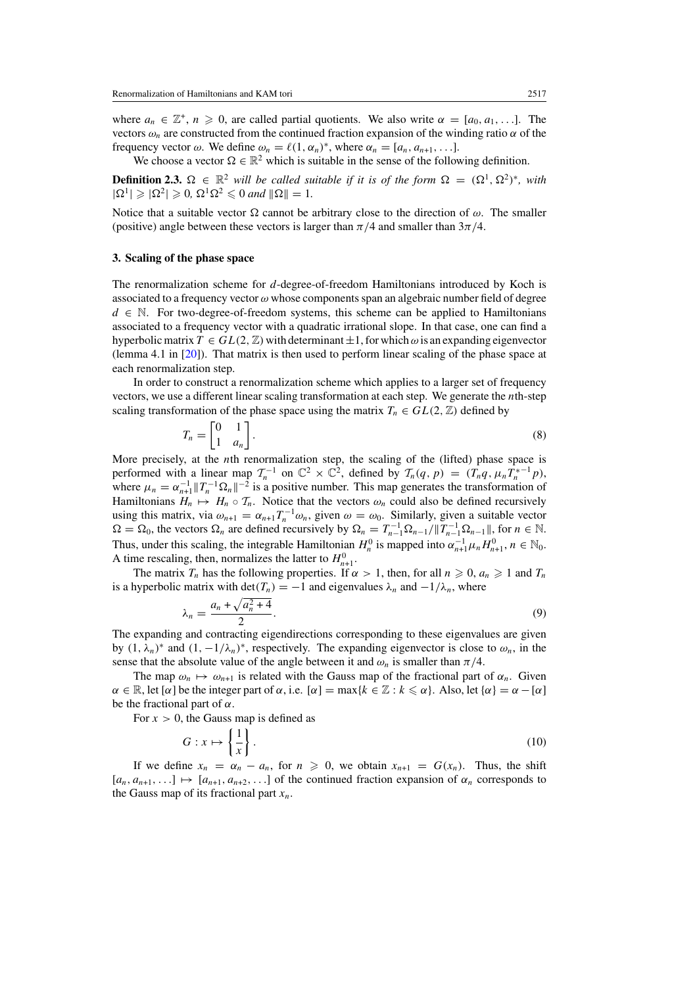<span id="page-5-0"></span>where  $a_n \in \mathbb{Z}^+, n \geq 0$ , are called partial quotients. We also write  $\alpha = [a_0, a_1, \ldots]$ . The vectors  $\omega_n$  are constructed from the continued fraction expansion of the winding ratio  $\alpha$  of the frequency vector  $\omega$ . We define  $\omega_n = \ell(1, \alpha_n)^*$ , where  $\alpha_n = [a_n, a_{n+1}, \ldots]$ .

We choose a vector  $\Omega \in \mathbb{R}^2$  which is suitable in the sense of the following definition.

**Definition 2.3.**  $\Omega \in \mathbb{R}^2$  *will be called suitable if it is of the form*  $\Omega = (\Omega^1, \Omega^2)^*$ *, with*  $|\Omega^1| \geqslant |\Omega^2| \geqslant 0$ ,  $\Omega^1 \Omega^2 \leqslant 0$  and  $\|\Omega\| = 1$ .

Notice that a suitable vector  $\Omega$  cannot be arbitrary close to the direction of  $\omega$ . The smaller (positive) angle between these vectors is larger than  $\pi/4$  and smaller than  $3\pi/4$ .

#### **3. Scaling of the phase space**

The renormalization scheme for *d*-degree-of-freedom Hamiltonians introduced by Koch is associated to a frequency vector *ω* whose components span an algebraic number field of degree  $d \in \mathbb{N}$ . For two-degree-of-freedom systems, this scheme can be applied to Hamiltonians associated to a frequency vector with a quadratic irrational slope. In that case, one can find a hyperbolic matrix  $T \in GL(2, \mathbb{Z})$  with determinant  $\pm 1$ , for which  $\omega$  is an expanding eigenvector (lemma 4.1 in [\[20\]](#page-32-0)). That matrix is then used to perform linear scaling of the phase space at each renormalization step.

In order to construct a renormalization scheme which applies to a larger set of frequency vectors, we use a different linear scaling transformation at each step. We generate the *n*th-step scaling transformation of the phase space using the matrix  $T_n \in GL(2, \mathbb{Z})$  defined by

$$
T_n = \begin{bmatrix} 0 & 1 \\ 1 & a_n \end{bmatrix} . \tag{8}
$$

More precisely, at the *n*th renormalization step, the scaling of the (lifted) phase space is performed with a linear map  $\mathcal{T}_n^{-1}$  on  $\mathbb{C}^2 \times \mathbb{C}^2$ , defined by  $\mathcal{T}_n(q, p) = (T_n q, \mu_n T_n^{*-1} p)$ , where  $\mu_n = \alpha_{n+1}^{-1} ||T_n^{-1} \Omega_n||^{-2}$  is a positive number. This map generates the transformation of Hamiltonians  $H_n \mapsto H_n \circ T_n$ . Notice that the vectors  $\omega_n$  could also be defined recursively using this matrix, via  $\omega_{n+1} = \alpha_{n+1} T_n^{-1} \omega_n$ , given  $\omega = \omega_0$ . Similarly, given a suitable vector  $\Omega = \Omega_0$ , the vectors  $\Omega_n$  are defined recursively by  $\Omega_n = T_{n-1}^{-1} \Omega_{n-1} / \|T_{n-1}^{-1} \Omega_{n-1}\|$ , for  $n \in \mathbb{N}$ . Thus, under this scaling, the integrable Hamiltonian  $H_n^0$  is mapped into  $\alpha_{n+1}^{-1} \mu_n H_{n+1}^0$ ,  $n \in \mathbb{N}_0$ . A time rescaling, then, normalizes the latter to  $H_{n+1}^0$ .

The matrix  $T_n$  has the following properties. If  $\alpha > 1$ , then, for all  $n \ge 0$ ,  $a_n \ge 1$  and  $T_n$ is a hyperbolic matrix with  $\det(T_n) = -1$  and eigenvalues  $\lambda_n$  and  $-1/\lambda_n$ , where

$$
\lambda_n = \frac{a_n + \sqrt{a_n^2 + 4}}{2}.\tag{9}
$$

The expanding and contracting eigendirections corresponding to these eigenvalues are given by  $(1, \lambda_n)^*$  and  $(1, -1/\lambda_n)^*$ , respectively. The expanding eigenvector is close to  $\omega_n$ , in the sense that the absolute value of the angle between it and  $\omega_n$  is smaller than  $\pi/4$ .

The map  $\omega_n \mapsto \omega_{n+1}$  is related with the Gauss map of the fractional part of  $\alpha_n$ . Given  $\alpha \in \mathbb{R}$ , let  $[\alpha]$  be the integer part of  $\alpha$ , i.e.  $[\alpha] = \max\{k \in \mathbb{Z} : k \leq \alpha\}$ . Also, let  $\{\alpha\} = \alpha - [\alpha]$ be the fractional part of *α*.

For  $x > 0$ , the Gauss map is defined as

$$
G: x \mapsto \left\{ \frac{1}{x} \right\}.
$$
 (10)

If we define  $x_n = \alpha_n - a_n$ , for  $n \geq 0$ , we obtain  $x_{n+1} = G(x_n)$ . Thus, the shift  $[a_n, a_{n+1}, \ldots] \mapsto [a_{n+1}, a_{n+2}, \ldots]$  of the continued fraction expansion of  $\alpha_n$  corresponds to the Gauss map of its fractional part  $x_n$ .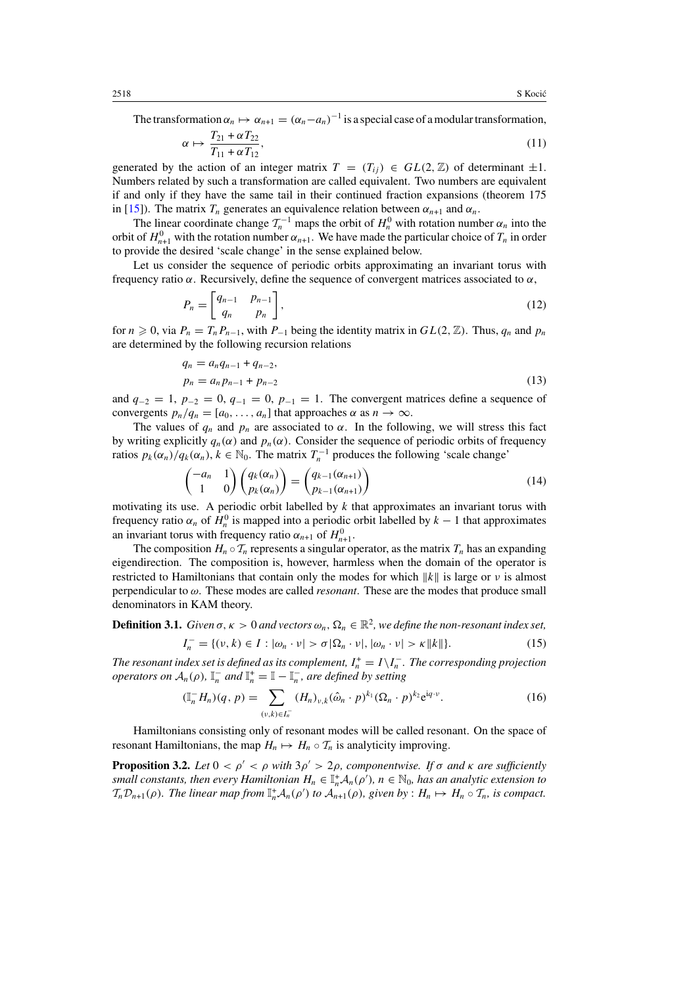<span id="page-6-0"></span>The transformation  $\alpha_n \mapsto \alpha_{n+1} = (\alpha_n - a_n)^{-1}$  is a special case of a modular transformation,

$$
\alpha \mapsto \frac{T_{21} + \alpha T_{22}}{T_{11} + \alpha T_{12}},\tag{11}
$$

generated by the action of an integer matrix  $T = (T_{ii}) \in GL(2, \mathbb{Z})$  of determinant  $\pm 1$ . Numbers related by such a transformation are called equivalent. Two numbers are equivalent if and only if they have the same tail in their continued fraction expansions (theorem 175 in [\[15\]](#page-32-0)). The matrix  $T_n$  generates an equivalence relation between  $\alpha_{n+1}$  and  $\alpha_n$ .

The linear coordinate change  $\mathcal{T}_n^{-1}$  maps the orbit of  $H_n^0$  with rotation number  $\alpha_n$  into the orbit of  $H_{n+1}^0$  with the rotation number  $\alpha_{n+1}$ . We have made the particular choice of  $T_n$  in order to provide the desired 'scale change' in the sense explained below.

Let us consider the sequence of periodic orbits approximating an invariant torus with frequency ratio *α*. Recursively, define the sequence of convergent matrices associated to *α*,

$$
P_n = \begin{bmatrix} q_{n-1} & p_{n-1} \\ q_n & p_n \end{bmatrix},\tag{12}
$$

for  $n \geq 0$ , via  $P_n = T_n P_{n-1}$ , with  $P_{-1}$  being the identity matrix in  $GL(2, \mathbb{Z})$ . Thus,  $q_n$  and  $p_n$ are determined by the following recursion relations

$$
q_n = a_n q_{n-1} + q_{n-2},
$$
  
\n
$$
p_n = a_n p_{n-1} + p_{n-2}
$$
\n(13)

and  $q_{-2} = 1$ ,  $p_{-2} = 0$ ,  $q_{-1} = 0$ ,  $p_{-1} = 1$ . The convergent matrices define a sequence of convergents  $p_n/q_n = [a_0, \ldots, a_n]$  that approaches  $\alpha$  as  $n \to \infty$ .

The values of  $q_n$  and  $p_n$  are associated to  $\alpha$ . In the following, we will stress this fact by writing explicitly  $q_n(\alpha)$  and  $p_n(\alpha)$ . Consider the sequence of periodic orbits of frequency ratios  $p_k(\alpha_n)/q_k(\alpha_n)$ ,  $k \in \mathbb{N}_0$ . The matrix  $T_n^{-1}$  produces the following 'scale change'

$$
\begin{pmatrix} -a_n & 1 \ 1 & 0 \end{pmatrix} \begin{pmatrix} q_k(\alpha_n) \\ p_k(\alpha_n) \end{pmatrix} = \begin{pmatrix} q_{k-1}(\alpha_{n+1}) \\ p_{k-1}(\alpha_{n+1}) \end{pmatrix}
$$
(14)

motivating its use. A periodic orbit labelled by *k* that approximates an invariant torus with frequency ratio  $\alpha_n$  of  $H_n^0$  is mapped into a periodic orbit labelled by  $k-1$  that approximates an invariant torus with frequency ratio  $\alpha_{n+1}$  of  $H_{n+1}^0$ .

The composition  $H_n \circ T_n$  represents a singular operator, as the matrix  $T_n$  has an expanding eigendirection. The composition is, however, harmless when the domain of the operator is restricted to Hamiltonians that contain only the modes for which  $||k||$  is large or *ν* is almost perpendicular to *ω*. These modes are called *resonant*. These are the modes that produce small denominators in KAM theory.

**Definition 3.1.** *Given*  $\sigma$ ,  $\kappa > 0$  *and vectors*  $\omega_n$ ,  $\Omega_n \in \mathbb{R}^2$ , we define the non-resonant index set,

$$
I_n^- = \{ (\nu, k) \in I : |\omega_n \cdot \nu| > \sigma | \Omega_n \cdot \nu|, |\omega_n \cdot \nu| > \kappa ||k|| \}.
$$
 (15)

*The resonant index set is defined as its complement,*  $I_n^+ = I \setminus I_n^-$ . The corresponding projection *operators on*  $A_n(\rho)$ ,  $I_n^-$  *and*  $I_n^+ = I - I_n^-$ *, are defined by setting* 

$$
(\mathbb{I}_n^- H_n)(q, p) = \sum_{(\nu, k) \in I_n^-} (H_n)_{\nu, k} (\hat{\omega}_n \cdot p)^{k_1} (\Omega_n \cdot p)^{k_2} e^{iq \cdot \nu}.
$$
 (16)

Hamiltonians consisting only of resonant modes will be called resonant. On the space of resonant Hamiltonians, the map  $H_n \mapsto H_n \circ T_n$  is analyticity improving.

**Proposition 3.2.** *Let*  $0 < \rho' < \rho$  *with*  $3\rho' > 2\rho$ *, componentwise. If*  $\sigma$  *and*  $\kappa$  *are sufficiently small constants, then every Hamiltonian*  $H_n \in \mathbb{I}_n^+ A_n(\rho')$ ,  $n \in \mathbb{N}_0$ , has an analytic extension to  $T_n\mathcal{D}_{n+1}(\rho)$ *. The linear map from*  $\mathbb{I}_n^+\mathcal{A}_n(\rho')$  *to*  $\mathcal{A}_{n+1}(\rho)$ *, given by* :  $H_n \mapsto H_n \circ \mathcal{T}_n$ *, is compact.* 

*α*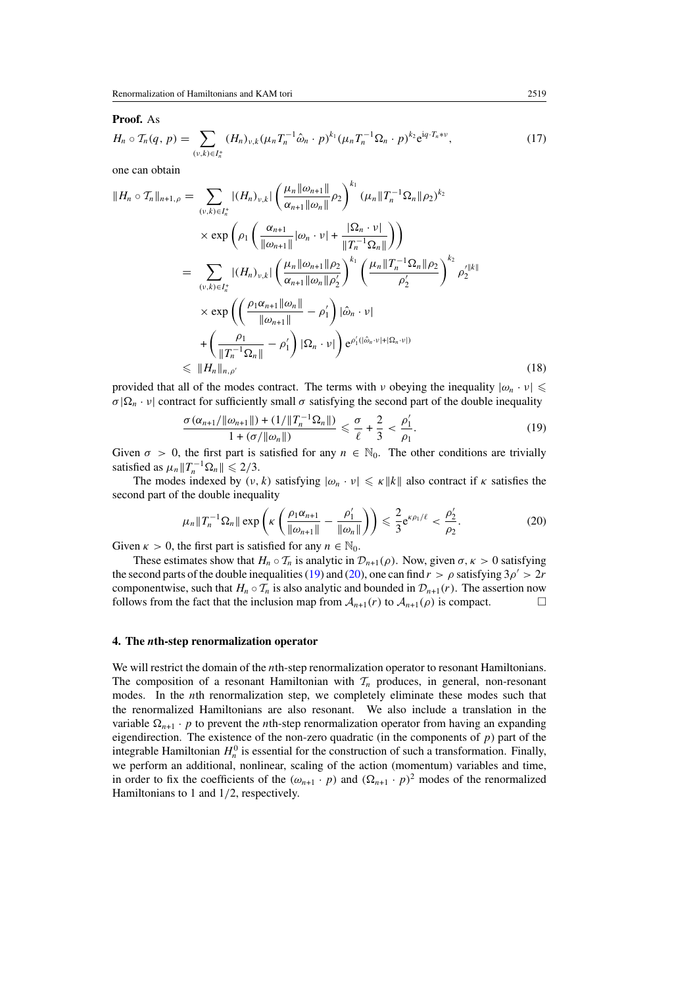#### <span id="page-7-0"></span>**Proof.** As

$$
H_n \circ T_n(q, p) = \sum_{(\nu, k) \in I_n^+} (H_n)_{\nu, k} (\mu_n T_n^{-1} \hat{\omega}_n \cdot p)^{k_1} (\mu_n T_n^{-1} \Omega_n \cdot p)^{k_2} e^{iq \cdot T_n * \nu}, \tag{17}
$$

one can obtain

$$
||H_{n} \circ T_{n}||_{n+1,\rho} = \sum_{(v,k)\in I_{n}^{+}} |(H_{n})_{v,k}| \left(\frac{\mu_{n}||\omega_{n+1}||}{\alpha_{n+1}||\omega_{n}||}\rho_{2}\right)^{k_{1}} (\mu_{n}||T_{n}^{-1}\Omega_{n}||\rho_{2})^{k_{2}}
$$
  
\n
$$
\times \exp\left(\rho_{1}\left(\frac{\alpha_{n+1}}{||\omega_{n+1}||}|\omega_{n} \cdot \nu| + \frac{|\Omega_{n} \cdot \nu|}{||T_{n}^{-1}\Omega_{n}||}\right)\right)
$$
  
\n
$$
= \sum_{(v,k)\in I_{n}^{+}} |(H_{n})_{v,k}| \left(\frac{\mu_{n}||\omega_{n+1}||\rho_{2}}{\alpha_{n+1}||\omega_{n}||\rho_{2}'}\right)^{k_{1}} \left(\frac{\mu_{n}||T_{n}^{-1}\Omega_{n}||\rho_{2}}{\rho_{2}'}\right)^{k_{2}} \rho_{2}^{\prime||k||}
$$
  
\n
$$
\times \exp\left(\left(\frac{\rho_{1}\alpha_{n+1}||\omega_{n}||}{||\omega_{n+1}||} - \rho_{1}^{\prime}\right)|\hat{\omega}_{n} \cdot \nu| + \left(\frac{\rho_{1}}{||T_{n}^{-1}\Omega_{n}||} - \rho_{1}^{\prime}\right)|\Omega_{n} \cdot \nu| + \rho_{1}^{\prime(|\hat{\omega}_{n} \cdot \nu| + |\Omega_{n} \cdot \nu|)}\right)
$$
  
\n
$$
\leq ||H_{n}||_{n,\rho^{\prime}}
$$
\n(18)

provided that all of the modes contract. The terms with *ν* obeying the inequality  $|\omega_n \cdot \nu| \leq$  $\sigma|\Omega_n \cdot v|$  contract for sufficiently small  $\sigma$  satisfying the second part of the double inequality

$$
\frac{\sigma(\alpha_{n+1}/\|\omega_{n+1}\|)+(1/\|T_n^{-1}\Omega_n\|)}{1+(\sigma/\|\omega_n\|)} \leq \frac{\sigma}{\ell}+\frac{2}{3}<\frac{\rho'_1}{\rho_1}.
$$
\n(19)

Given  $\sigma > 0$ , the first part is satisfied for any  $n \in \mathbb{N}_0$ . The other conditions are trivially satisfied as  $\mu_n ||T_n^{-1} \Omega_n|| \leq 2/3$ .

The modes indexed by  $(v, k)$  satisfying  $|\omega_n \cdot v| \leq \kappa ||k||$  also contract if  $\kappa$  satisfies the second part of the double inequality

$$
\mu_n \|T_n^{-1} \Omega_n\| \exp\left(\kappa \left(\frac{\rho_1 \alpha_{n+1}}{\|\omega_{n+1}\|} - \frac{\rho'_1}{\|\omega_n\|}\right)\right) \leq \frac{2}{3} e^{\kappa \rho_1/\ell} < \frac{\rho'_2}{\rho_2}.\tag{20}
$$

Given  $\kappa > 0$ , the first part is satisfied for any  $n \in \mathbb{N}_0$ .

These estimates show that  $H_n \circ T_n$  is analytic in  $\mathcal{D}_{n+1}(\rho)$ . Now, given  $\sigma, \kappa > 0$  satisfying the second parts of the double inequalities (19) and (20), one can find  $r > \rho$  satisfying  $3\rho' > 2r$ componentwise, such that *H<sub>n</sub>* ◦ *T<sub>n</sub>* is also analytic and bounded in  $\mathcal{D}_{n+1}(r)$ . The assertion now follows from the fact that the inclusion map from  $\mathcal{A}_{n+1}(r)$  to  $\mathcal{A}_{n+1}(\rho)$  is compact. follows from the fact that the inclusion map from  $A_{n+1}(r)$  to  $A_{n+1}(\rho)$  is compact.

### **4. The** *n***th-step renormalization operator**

We will restrict the domain of the *n*th-step renormalization operator to resonant Hamiltonians. The composition of a resonant Hamiltonian with  $\mathcal{T}_n$  produces, in general, non-resonant modes. In the *n*th renormalization step, we completely eliminate these modes such that the renormalized Hamiltonians are also resonant. We also include a translation in the variable  $\Omega_{n+1} \cdot p$  to prevent the *n*th-step renormalization operator from having an expanding eigendirection. The existence of the non-zero quadratic (in the components of  $p$ ) part of the integrable Hamiltonian  $H_n^0$  is essential for the construction of such a transformation. Finally, we perform an additional, nonlinear, scaling of the action (momentum) variables and time, in order to fix the coefficients of the  $(\omega_{n+1} \cdot p)$  and  $(\Omega_{n+1} \cdot p)^2$  modes of the renormalized Hamiltonians to 1 and 1*/*2, respectively.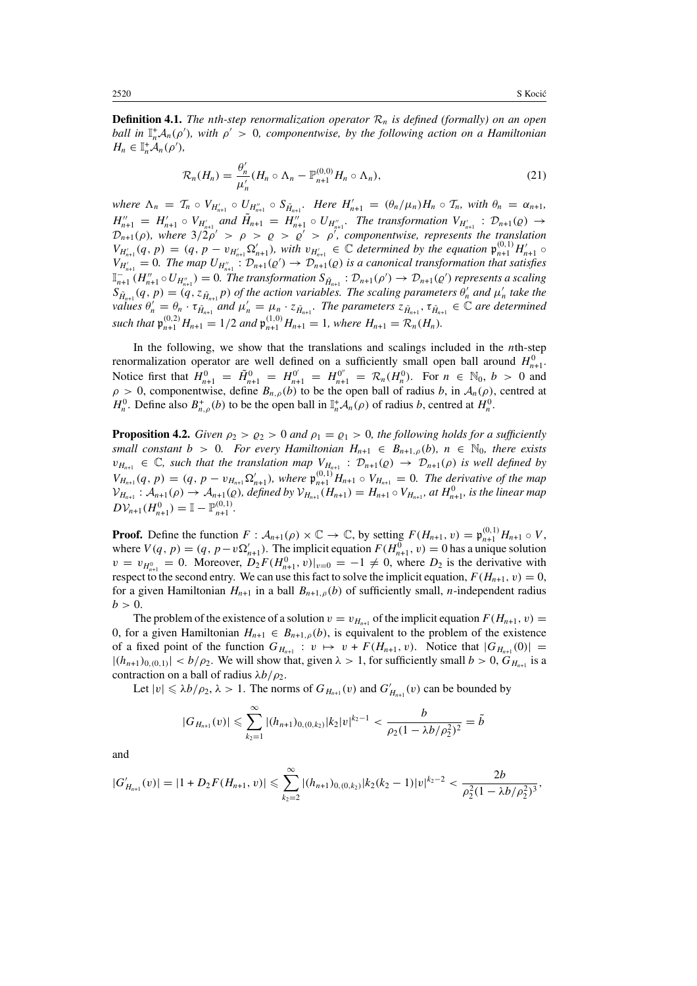<span id="page-8-0"></span>**Definition 4.1.** *The nth-step renormalization operator*  $\mathcal{R}_n$  *is defined (formally) on an open ball in*  $\mathbb{I}_n^+ A_n(\rho')$ , with  $\rho' > 0$ , componentwise, by the following action on a Hamiltonian  $H_n \in \mathbb{I}_n^+ A_n(\rho'),$ 

$$
\mathcal{R}_n(H_n) = \frac{\theta'_n}{\mu'_n}(H_n \circ \Lambda_n - \mathbb{P}_{n+1}^{(0,0)} H_n \circ \Lambda_n), \tag{21}
$$

*where*  $\Lambda_n = T_n \circ V_{H'_{n+1}} \circ U_{H''_{n+1}} \circ S_{\tilde{H}_{n+1}}$ *. Here*  $H'_{n+1} = (\theta_n/\mu_n)H_n \circ T_n$ *, with*  $\theta_n = \alpha_{n+1}$ *,*  $H''_{n+1} = H'_{n+1} \circ V_{H'_{n+1}}$  and  $\tilde{H}_{n+1} = H''_{n+1} \circ U_{H''_{n+1}}$ . The transformation  $V_{H'_{n+1}} : \mathcal{D}_{n+1}(p) \to$  $\mathcal{D}_{n+1}(\rho)$ *, where*  $3/2\rho' > \rho > \rho > \rho' > \rho'$ *, componentwise, represents the translation*  $V_{H'_{n+1}}(q, p) = (q, p - v_{H'_{n+1}} \Omega'_{n+1}),$  with  $v_{H'_{n+1}} \in \mathbb{C}$  determined by the equation  $\mathfrak{p}_{n+1}^{(0,1)} H'_{n+1} \circ$  $V_{H'_{n+1}} = 0$ . The map  $U_{H''_{n+1}}$ :  $\mathcal{D}_{n+1}(Q') \to \mathcal{D}_{n+1}^{(n)}(Q)$  is a canonical transformation that satisfies  $\mathbb{I}_{n+1}^{-n}$   $(H_{n+1}'' \circ U_{H_{n+1}''}) = 0$ . The transformation  $S_{\tilde{H}_{n+1}} : \mathcal{D}_{n+1}(\rho') \to \mathcal{D}_{n+1}(\rho')$  represents a scaling  $S_{\tilde{H}_{n+1}}(q, p) = (q, z_{\tilde{H}_{n+1}}p)$  *of the action variables. The scaling parameters*  $\theta'_n$  *and*  $\mu'_n$  *take the values*  $\theta'_n = \theta_n \cdot \tau_{\tilde{H}_{n+1}}$  *and*  $\mu'_n = \mu_n \cdot z_{\tilde{H}_{n+1}}$ . The parameters  $z_{\tilde{H}_{n+1}}$ ,  $\tau_{\tilde{H}_{n+1}} \in \mathbb{C}$  are determined *such that*  $\mathfrak{p}_{n+1}^{(0,2)} H_{n+1} = 1/2$  *and*  $\mathfrak{p}_{n+1}^{(1,0)} H_{n+1} = 1$ *, where*  $H_{n+1} = \mathcal{R}_n(H_n)$ *.* 

In the following, we show that the translations and scalings included in the *n*th-step renormalization operator are well defined on a sufficiently small open ball around  $H_{n+1}^0$ . Notice first that  $H_{n+1}^0 = \tilde{H}_{n+1}^0 = H_{n+1}^{0'} = H_{n+1}^{0''} = \mathcal{R}_n(H_n^0)$ . For  $n \in \mathbb{N}_0$ ,  $b > 0$  and  $\rho > 0$ , componentwise, define  $B_{n,\rho}(b)$  to be the open ball of radius *b*, in  $A_n(\rho)$ , centred at *H*<sup>0</sup>. Define also  $B^+_{n,\rho}(b)$  to be the open ball in  $\mathbb{I}_n^+ \mathcal{A}_n(\rho)$  of radius *b*, centred at  $H_n^0$ .

**Proposition 4.2.** *Given*  $\rho_2 > \rho_2 > 0$  *and*  $\rho_1 = \rho_1 > 0$ *, the following holds for a sufficiently small constant*  $b > 0$ *. For every Hamiltonian*  $H_{n+1} \in B_{n+1,\rho}(b)$ *, n*  $\in \mathbb{N}_0$ *, there exists*  $v_{H_{n+1}} \in \mathbb{C}$ *, such that the translation map*  $V_{H_{n+1}}$  :  $\mathcal{D}_{n+1}(p) \to \mathcal{D}_{n+1}(p)$  *is well defined by*  $V_{H_{n+1}}(q, p) = (q, p - v_{H_{n+1}} \Omega'_{n+1})$ , where  $\mathfrak{p}_{n+1}^{(0,1)} H_{n+1} \circ V_{H_{n+1}} = 0$ . The derivative of the map  $V_{H_{n+1}}$ :  $A_{n+1}(\rho) \to A_{n+1}(\rho)$ , defined by  $V_{H_{n+1}}(H_{n+1}) = H_{n+1} \circ V_{H_{n+1}}$ , at  $H_{n+1}^0$ , is the linear map  $D\mathcal{V}_{n+1}(H_{n+1}^0) = \mathbb{I} - \mathbb{P}_{n+1}^{(0,1)}$ .

**Proof.** Define the function  $F: A_{n+1}(\rho) \times \mathbb{C} \to \mathbb{C}$ , by setting  $F(H_{n+1}, v) = \mathfrak{p}_{n+1}^{(0,1)} H_{n+1} \circ V$ , where  $V(q, p) = (q, p - v\Omega'_{n+1})$ . The implicit equation  $F(H_{n+1}^0, v) = 0$  has a unique solution  $v = v_{H_{n+1}^0} = 0$ . Moreover,  $D_2 F(H_{n+1}^0, v)|_{v=0} = -1 \neq 0$ , where  $D_2$  is the derivative with respect to the second entry. We can use this fact to solve the implicit equation,  $F(H_{n+1}, v) = 0$ , for a given Hamiltonian  $H_{n+1}$  in a ball  $B_{n+1,\rho}(b)$  of sufficiently small, *n*-independent radius  $b > 0$ .

The problem of the existence of a solution  $v = v_{H_{n+1}}$  of the implicit equation  $F(H_{n+1}, v) =$ 0, for a given Hamiltonian  $H_{n+1} \in B_{n+1,\rho}(b)$ , is equivalent to the problem of the existence of a fixed point of the function  $G_{H_{n+1}} : v \mapsto v + F(H_{n+1}, v)$ . Notice that  $|G_{H_{n+1}}(0)| =$  $|(h_{n+1})_{0,(0,1)}| < b/\rho_2$ . We will show that, given  $\lambda > 1$ , for sufficiently small  $b > 0$ ,  $G_{H_{n+1}}$  is a contraction on a ball of radius *λb/ρ*2.

Let  $|v| \le \lambda b/\rho_2$ ,  $\lambda > 1$ . The norms of  $G_{H_{n+1}}(v)$  and  $G'_{H_{n+1}}(v)$  can be bounded by

$$
|G_{H_{n+1}}(v)| \leq \sum_{k_2=1}^{\infty} |(h_{n+1})_{0,(0,k_2)}|k_2|v|^{k_2-1} < \frac{b}{\rho_2(1-\lambda b/\rho_2^2)^2} = \tilde{b}
$$

and

$$
|G'_{H_{n+1}}(v)|=|1+D_2F(H_{n+1},v)|\leq \sum_{k_2=2}^{\infty}|(h_{n+1})_{0,(0,k_2)}|k_2(k_2-1)|v|^{k_2-2}<\frac{2b}{\rho_2^2(1-\lambda b/\rho_2^2)^3},
$$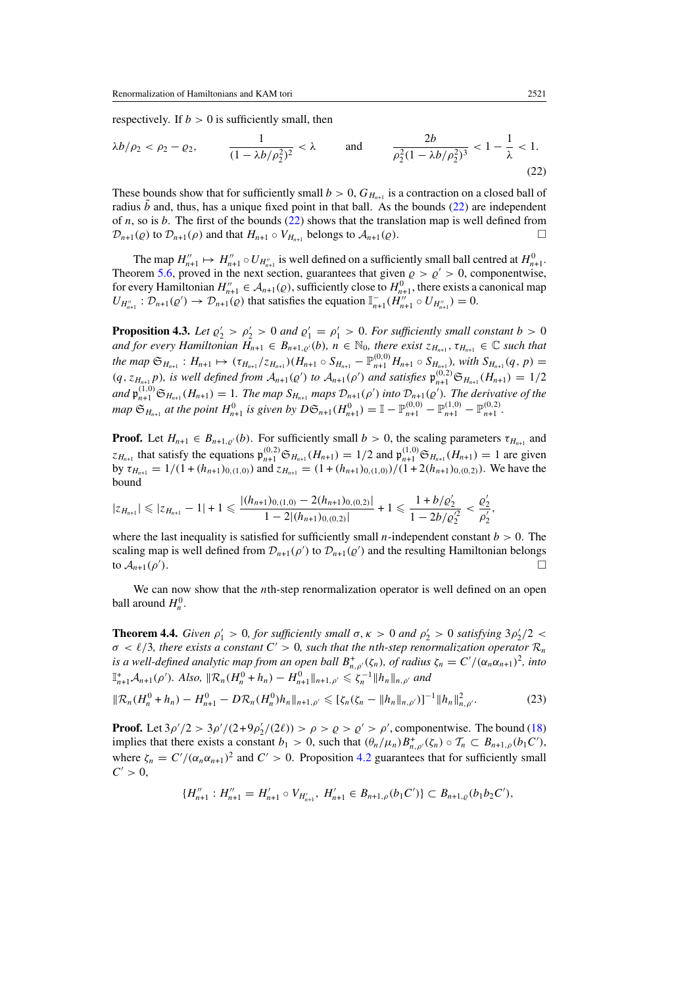<span id="page-9-0"></span>respectively. If  $b > 0$  is sufficiently small, then

$$
\lambda b/\rho_2 < \rho_2 - \rho_2, \qquad \frac{1}{(1 - \lambda b/\rho_2^2)^2} < \lambda \qquad \text{and} \qquad \frac{2b}{\rho_2^2 (1 - \lambda b/\rho_2^2)^3} < 1 - \frac{1}{\lambda} < 1. \tag{22}
$$

These bounds show that for sufficiently small  $b > 0$ ,  $G_{H_{n+1}}$  is a contraction on a closed ball of radius  $b$  and, thus, has a unique fixed point in that ball. As the bounds (22) are independent of *n*, so is *b*. The first of the bounds (22) shows that the translation map is well defined from  $\mathcal{D}_{n+1}(\rho)$  to  $\mathcal{D}_{n+1}(\rho)$  and that  $H_{n+1} \circ V_{H_{n+1}}$  belongs to  $\mathcal{A}_{n+1}(\rho)$ .

The map  $H''_{n+1} \mapsto H''_{n+1} \circ U_{H''_{n+1}}$  is well defined on a sufficiently small ball centred at  $H^0_{n+1}$ . Theorem [5.6,](#page-14-0) proved in the next section, guarantees that given  $\rho > \rho' > 0$ , componentwise, for every Hamiltonian  $H''_{n+1} \in A_{n+1}(\varrho)$ , sufficiently close to  $H^0_{n+1}$ , there exists a canonical map  $U_{H_{n+1}''}: \mathcal{D}_{n+1}(Q') \to \mathcal{D}_{n+1}(Q)$  that satisfies the equation  $\mathbb{I}_{n+1}^{-}(H_{n+1}^{''}) \circ U_{H_{n+1}''}) = 0$ .

**Proposition 4.3.** *Let*  $\varrho'_2 > \varrho'_2 > 0$  *and*  $\varrho'_1 = \varrho'_1 > 0$ *. For sufficiently small constant*  $b > 0$ *and for every Hamiltonian*  $H_{n+1} \in B_{n+1,\varrho'}(b)$ ,  $n \in \mathbb{N}_0$ , there exist  $z_{H_{n+1}}, \tau_{H_{n+1}} \in \mathbb{C}$  such that  $a_n \in \mathfrak{S}_{H_{n+1}} : H_{n+1} \mapsto (\tau_{H_{n+1}}/z_{H_{n+1}})(H_{n+1} \circ S_{H_{n+1}} - \mathbb{P}_{n+1}^{(0,0)} H_{n+1} \circ S_{H_{n+1}})$ , with  $S_{H_{n+1}}(q, p) =$  $(q, z_{H_{n+1}})$ , is well defined from  $A_{n+1}(q)$  to  $A_{n+1}(p')$  and satisfies  $\mathfrak{p}_{n+1}^{(0,2)} \mathfrak{S}_{H_{n+1}}(H_{n+1}) = 1/2$ and  $\mathfrak{p}_{n+1}^{(1,0)}\mathfrak{S}_{H_{n+1}}(H_{n+1})=1$ . The map  $S_{H_{n+1}}$  maps  $\mathcal{D}_{n+1}(\rho')$  into  $\mathcal{D}_{n+1}(\rho')$ . The derivative of the map  $\mathfrak{S}_{H_{n+1}}$  at the point  $H_{n+1}^0$  is given by  $D\mathfrak{S}_{n+1}(H_{n+1}^0) = \mathbb{I} - \mathbb{P}_{n+1}^{(0,0)} - \mathbb{P}_{n+1}^{(1,0)} - \mathbb{P}_{n+1}^{(0,2)}$ .

**Proof.** Let  $H_{n+1} \in B_{n+1,\rho}(b)$ . For sufficiently small  $b > 0$ , the scaling parameters  $\tau_{H_{n+1}}$  and *z*<sub>*H<sub>n+1</sub>*</sub> that satisfy the equations  $\mathfrak{p}_{n+1}^{(0,2)} \mathfrak{S}_{H_{n+1}}(H_{n+1}) = 1/2$  and  $\mathfrak{p}_{n+1}^{(1,0)} \mathfrak{S}_{H_{n+1}}(H_{n+1}) = 1$  are given by  $\tau_{H_{n+1}} = 1/(1 + (h_{n+1})_{0,(1,0)})$  and  $z_{H_{n+1}} = (1 + (h_{n+1})_{0,(1,0)})/(1 + 2(h_{n+1})_{0,(0,2)})$ . We have the bound

$$
|z_{H_{n+1}}| \leq |z_{H_{n+1}}-1|+1 \leq \frac{|(h_{n+1})_{0,(1,0)}-2(h_{n+1})_{0,(0,2)}|}{1-2|(h_{n+1})_{0,(0,2)}|}+1 \leq \frac{1+b/\varrho'_2}{1-2b/\varrho'^2_2} < \frac{\varrho'_2}{\rho'_2},
$$

where the last inequality is satisfied for sufficiently small  $n$ -independent constant  $b > 0$ . The scaling map is well defined from  $\mathcal{D}_{n+1}(\rho')$  to  $\mathcal{D}_{n+1}(\rho')$  and the resulting Hamiltonian belongs to  $\mathcal{A}_{n+1}(\rho').$ **)**. □

We can now show that the *n*th-step renormalization operator is well defined on an open ball around  $H_n^0$ .

**Theorem 4.4.** *Given*  $\rho'_1 > 0$ *, for sufficiently small*  $\sigma$ *,*  $\kappa > 0$  *and*  $\rho'_2 > 0$  *satisfying*  $3\rho'_2/2 < \sigma$  $\sigma$  <  $\ell/3$ , there exists a constant  $C' > 0$ , such that the *n*th-step renormalization operator  $\mathcal{R}_n$ *is a well-defined analytic map from an open ball*  $B^+_{n,\rho'}(\zeta_n)$ *, of radius*  $\zeta_n = C'/(\alpha_n \alpha_{n+1})^2$ *, into*  $\mathbb{I}_{n+1}^+ \mathcal{A}_{n+1}(\rho')$ *. Also,*  $\|\mathcal{R}_n(H_n^0 + h_n) - H_{n+1}^0\|_{n+1,\rho'} \leq \zeta_n^{-1} \|h_n\|_{n,\rho'}$  and

$$
\|\mathcal{R}_n(H_n^0 + h_n) - H_{n+1}^0 - D\mathcal{R}_n(H_n^0)h_n\|_{n+1,\rho'} \leqslant [\zeta_n(\zeta_n - \|h_n\|_{n,\rho'})]^{-1} \|h_n\|_{n,\rho'}^2.
$$
 (23)

**Proof.** Let  $3\rho'/2 > 3\rho'/(2+9\rho'_2/(2\ell)) > \rho > \rho > \rho' > \rho'$ , componentwise. The bound [\(18\)](#page-7-0) implies that there exists a constant  $b_1 > 0$ , such that  $(\theta_n/\mu_n)B_{n,\rho'}^+(\zeta_n) \circ \mathcal{T}_n \subset B_{n+1,\rho}(b_1C'),$ where  $\zeta_n = C'/(\alpha_n \alpha_{n+1})^2$  and  $C' > 0$ . Proposition [4.2](#page-8-0) guarantees that for sufficiently small  $C' > 0$ ,

$$
\{H''_{n+1}: H''_{n+1} = H'_{n+1} \circ V_{H'_{n+1}}, H'_{n+1} \in B_{n+1,\rho}(b_1C')\} \subset B_{n+1,\rho}(b_1b_2C'),
$$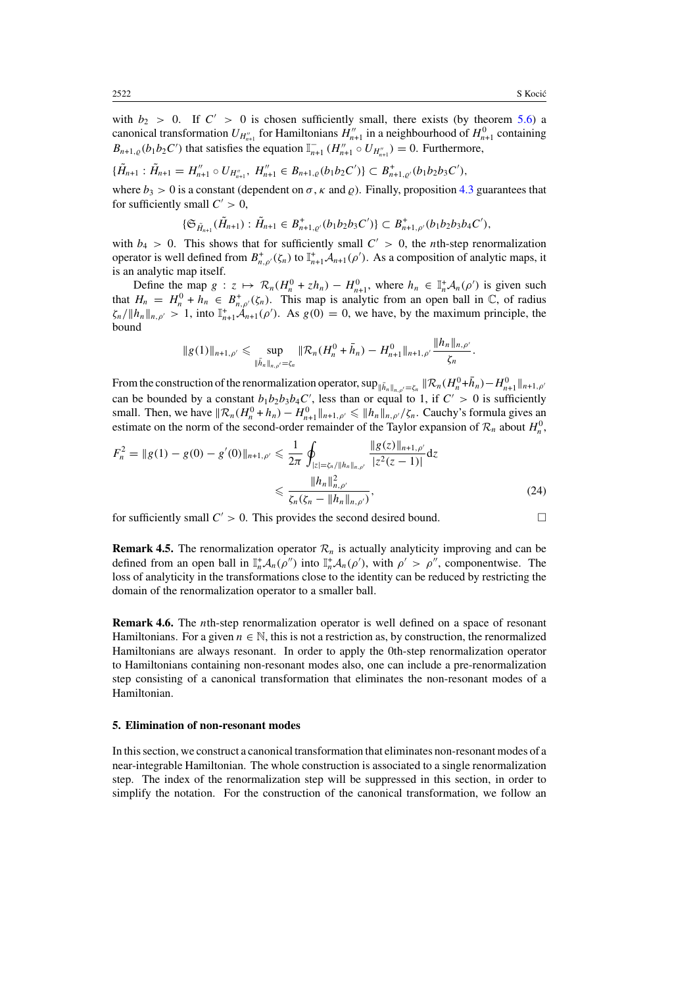<span id="page-10-0"></span>with  $b_2 > 0$ . If  $C' > 0$  is chosen sufficiently small, there exists (by theorem [5.6\)](#page-14-0) a canonical transformation  $U_{H_{n+1}''}$  for Hamiltonians  $H_{n+1}''$  in a neighbourhood of  $H_{n+1}^0$  containing  $B_{n+1,Q}(b_1b_2C')$  that satisfies the equation  $\mathbb{I}_{n+1}^{-}(H''_{n+1} \circ U_{H''_{n+1}}) = 0$ . Furthermore,

$$
\{\tilde{H}_{n+1} : \tilde{H}_{n+1} = H''_{n+1} \circ U_{H''_{n+1}},\ H''_{n+1} \in B_{n+1,\varrho}(b_1b_2C')\} \subset B^+_{n+1,\varrho'}(b_1b_2b_3C'),
$$

where  $b_3 > 0$  is a constant (dependent on  $\sigma$ ,  $\kappa$  and  $\rho$ ). Finally, proposition [4.3](#page-9-0) guarantees that for sufficiently small  $C' > 0$ ,

$$
\{\mathfrak{S}_{\tilde{H}_{n+1}}(\tilde{H}_{n+1}): \tilde{H}_{n+1}\in B_{n+1,\varrho'}^+(b_1b_2b_3C')\}\subset B_{n+1,\varrho'}^+(b_1b_2b_3b_4C'),
$$

with  $b_4 > 0$ . This shows that for sufficiently small  $C' > 0$ , the *n*th-step renormalization operator is well defined from  $B^+_{n,\rho'}(\zeta_n)$  to  $\mathbb{I}_{n+1}^+A_{n+1}(\rho')$ . As a composition of analytic maps, it is an analytic map itself.

Define the map  $g : z \mapsto \mathcal{R}_n(H_n^0 + zh_n) - H_{n+1}^0$ , where  $h_n \in \mathbb{I}_n^+ \mathcal{A}_n(\rho')$  is given such that  $H_n = H_n^0 + h_n \in B_{n,\rho'}^+(\zeta_n)$ . This map is analytic from an open ball in  $\mathbb{C}$ , of radius  $\zeta_n/\Vert h_n \Vert_{n,\rho'} > 1$ , into  $\int_{n+1}^{+} A_{n+1}(\rho')$ . As  $g(0) = 0$ , we have, by the maximum principle, the bound *hnn,ρ*

$$
\|g(1)\|_{n+1,\rho'}\leqslant \sup_{\|\bar{h}_n\|_{n,\rho'}=\zeta_n}\|\mathcal{R}_n(H_n^0+\bar{h}_n)-H_{n+1}^0\|_{n+1,\rho'}\frac{\|h_n\|_{n,\rho'}}{\zeta_n}.
$$

From the construction of the renormalization operator,  $\sup_{\|\bar{h}_n\|_{n,\rho'}=\zeta_n} \|\mathcal{R}_n(H_n^0 + \bar{h}_n) - H_{n+1}^0\|_{n+1,\rho'}$ can be bounded by a constant  $b_1b_2b_3b_4C'$ , less than or equal to 1, if  $C' > 0$  is sufficiently small. Then, we have  $\|\mathcal{R}_n(H_n^0 + h_n) - H_{n+1}^0\|_{n+1,\rho'} \leq \|h_n\|_{n,\rho'}/\zeta_n$ . Cauchy's formula gives an estimate on the norm of the second-order remainder of the Taylor expansion of  $\mathcal{R}_n$  about  $H_n^0$ ,

$$
F_n^2 = \|g(1) - g(0) - g'(0)\|_{n+1,\rho'} \le \frac{1}{2\pi} \oint_{|z| = \zeta_n / \|h_n\|_{n,\rho'}} \frac{\|g(z)\|_{n+1,\rho'}}{|z^2(z-1)|} dz
$$
  

$$
\le \frac{\|h_n\|_{n,\rho'}^2}{\zeta_n(\zeta_n - \|h_n\|_{n,\rho'})},
$$
 (24)

for sufficiently small  $C' > 0$ . This provides the second desired bound.

**Remark 4.5.** The renormalization operator  $\mathcal{R}_n$  is actually analyticity improving and can be defined from an open ball in  $\mathbb{I}_n^* A_n(\rho'')$  into  $\mathbb{I}_n^* A_n(\rho')$ , with  $\rho' > \rho''$ , componentwise. The loss of analyticity in the transformations close to the identity can be reduced by restricting the domain of the renormalization operator to a smaller ball.

**Remark 4.6.** The *n*th-step renormalization operator is well defined on a space of resonant Hamiltonians. For a given  $n \in \mathbb{N}$ , this is not a restriction as, by construction, the renormalized Hamiltonians are always resonant. In order to apply the 0th-step renormalization operator to Hamiltonians containing non-resonant modes also, one can include a pre-renormalization step consisting of a canonical transformation that eliminates the non-resonant modes of a Hamiltonian.

#### **5. Elimination of non-resonant modes**

In this section, we construct a canonical transformation that eliminates non-resonant modes of a near-integrable Hamiltonian. The whole construction is associated to a single renormalization step. The index of the renormalization step will be suppressed in this section, in order to simplify the notation. For the construction of the canonical transformation, we follow an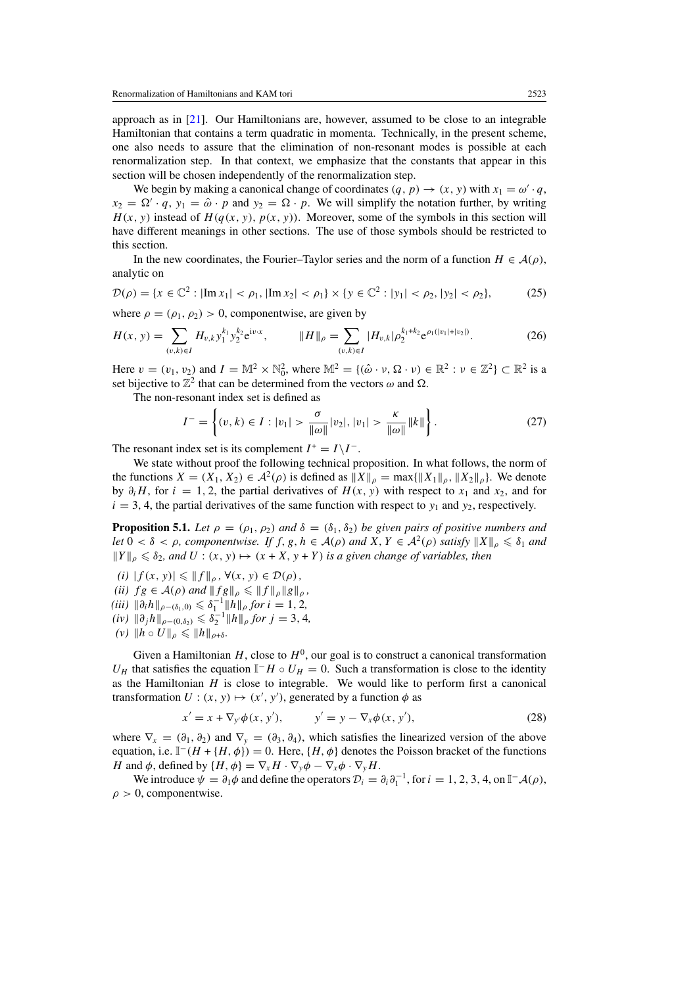<span id="page-11-0"></span>approach as in [\[21\]](#page-32-0). Our Hamiltonians are, however, assumed to be close to an integrable Hamiltonian that contains a term quadratic in momenta. Technically, in the present scheme, one also needs to assure that the elimination of non-resonant modes is possible at each renormalization step. In that context, we emphasize that the constants that appear in this section will be chosen independently of the renormalization step.

We begin by making a canonical change of coordinates  $(q, p) \rightarrow (x, y)$  with  $x_1 = \omega' \cdot q$ ,  $x_2 = \Omega' \cdot q$ ,  $y_1 = \hat{\omega} \cdot p$  and  $y_2 = \Omega \cdot p$ . We will simplify the notation further, by writing  $H(x, y)$  instead of  $H(q(x, y), p(x, y))$ . Moreover, some of the symbols in this section will have different meanings in other sections. The use of those symbols should be restricted to this section.

In the new coordinates, the Fourier–Taylor series and the norm of a function  $H \in \mathcal{A}(\rho)$ , analytic on

$$
\mathcal{D}(\rho) = \{x \in \mathbb{C}^2 : |\text{Im } x_1| < \rho_1, |\text{Im } x_2| < \rho_1\} \times \{y \in \mathbb{C}^2 : |y_1| < \rho_2, |y_2| < \rho_2\},\tag{25}
$$

where  $\rho = (\rho_1, \rho_2) > 0$ , componentwise, are given by

$$
H(x, y) = \sum_{(v,k)\in I} H_{v,k} y_1^{k_1} y_2^{k_2} e^{iv \cdot x}, \qquad \|H\|_{\rho} = \sum_{(v,k)\in I} |H_{v,k}| \rho_2^{k_1 + k_2} e^{\rho_1(|v_1| + |v_2|)}. \tag{26}
$$

Here  $v = (v_1, v_2)$  and  $I = \mathbb{M}^2 \times \mathbb{N}_0^2$ , where  $\mathbb{M}^2 = \{(\hat{\omega} \cdot v, \Omega \cdot v) \in \mathbb{R}^2 : v \in \mathbb{Z}^2\} \subset \mathbb{R}^2$  is a set bijective to  $\mathbb{Z}^2$  that can be determined from the vectors  $\omega$  and  $\Omega$ .

The non-resonant index set is defined as

$$
I^{-} = \left\{ (v, k) \in I : |v_1| > \frac{\sigma}{\|\omega\|} |v_2|, |v_1| > \frac{\kappa}{\|\omega\|} \|k\| \right\}.
$$
 (27)

The resonant index set is its complement  $I^+ = I \setminus I^-$ .

We state without proof the following technical proposition. In what follows, the norm of the functions  $X = (X_1, X_2) \in \mathcal{A}^2(\rho)$  is defined as  $||X||_{\rho} = \max{||X_1||_{\rho}, ||X_2||_{\rho}}$ . We denote by  $\partial_i H$ , for  $i = 1, 2$ , the partial derivatives of  $H(x, y)$  with respect to  $x_1$  and  $x_2$ , and for  $i = 3, 4$ , the partial derivatives of the same function with respect to  $y_1$  and  $y_2$ , respectively.

**Proposition 5.1.** *Let*  $\rho = (\rho_1, \rho_2)$  *and*  $\delta = (\delta_1, \delta_2)$  *be given pairs of positive numbers and let*  $0 < \delta < \rho$ , componentwise. If  $f, g, h \in A(\rho)$  and  $X, Y \in A^2(\rho)$  satisfy  $||X||_\rho \leq \delta_1$  and  $||Y||_{\rho} \le \delta_2$ , and  $U : (x, y) \mapsto (x + X, y + Y)$  *is a given change of variables, then* 

 $(f(x, y) \leq \|f\|_{\rho}, \forall (x, y) \in \mathcal{D}(\rho),$ 

*(ii)*  $fg \in \mathcal{A}(\rho)$  *and*  $||fg||_{\rho} \le ||fg||_{\rho} ||g||_{\rho}$ ,

 $(iii)$   $\|\partial_i h\|_{\rho-(\delta_1,0)} \leq \delta_1^{-1} \|h\|_{\rho}$  for  $i=1,2,$ 

- $(iv)$   $\|\partial_j h\|_{\rho-(0,\delta_2)} \leq \delta_2^{-1} \|h\|_{\rho}$  for  $j=3,4$ ,
- $(v)$   $||h \circ U||_{\rho} \le ||h||_{\rho+\delta}$ .

Given a Hamiltonian  $H$ , close to  $H^0$ , our goal is to construct a canonical transformation *U<sub>H</sub>* that satisfies the equation  $\mathbb{I}^-H \circ U_H = 0$ . Such a transformation is close to the identity as the Hamiltonian  $H$  is close to integrable. We would like to perform first a canonical transformation  $U: (x, y) \mapsto (x', y')$ , generated by a function  $\phi$  as

$$
x' = x + \nabla_{y'} \phi(x, y'), \qquad y' = y - \nabla_x \phi(x, y'), \tag{28}
$$

where  $\nabla_x = (\partial_1, \partial_2)$  and  $\nabla_y = (\partial_3, \partial_4)$ , which satisfies the linearized version of the above equation, i.e.  $\mathbb{I}^-(H + \{H, \phi\}) = 0$ . Here,  $\{H, \phi\}$  denotes the Poisson bracket of the functions *H* and  $\phi$ , defined by  $\{H, \phi\} = \nabla_x H \cdot \nabla_y \phi - \nabla_x \phi \cdot \nabla_y H$ .

We introduce  $\psi = \partial_1 \phi$  and define the operators  $\mathcal{D}_i = \partial_i \partial_1^{-1}$ , for  $i = 1, 2, 3, 4$ , on  $\mathbb{I}^- \mathcal{A}(\rho)$ , *ρ >* 0, componentwise.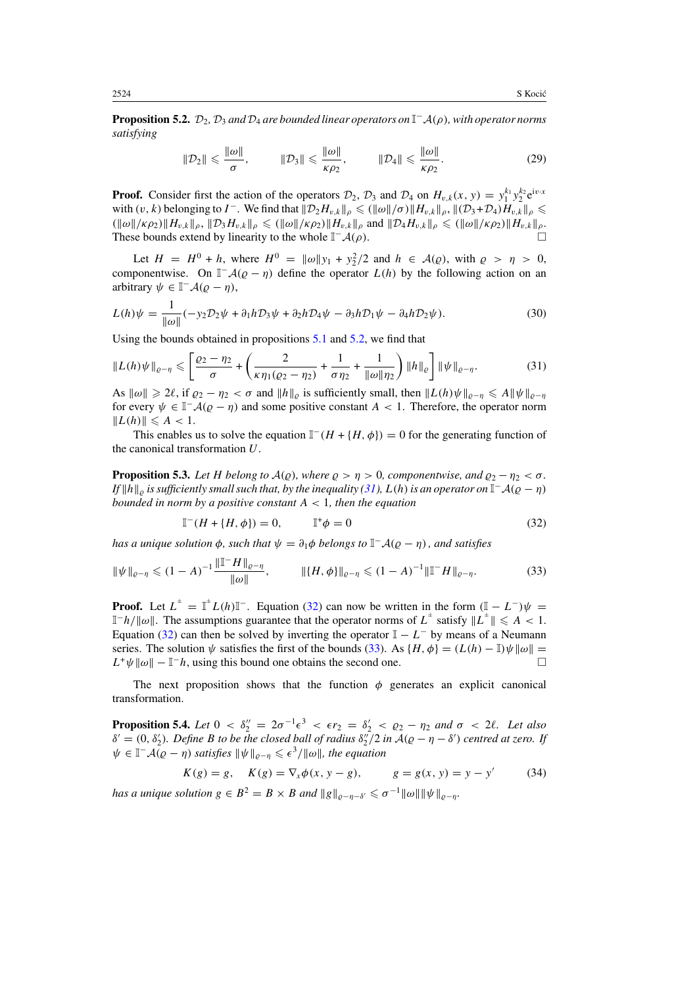<span id="page-12-0"></span>**Proposition 5.2.**  $\mathcal{D}_2$ ,  $\mathcal{D}_3$  *and*  $\mathcal{D}_4$  *are bounded linear operators on*  $\mathbb{I}^- \mathcal{A}(\rho)$ *, with operator norms satisfying*

$$
\|\mathcal{D}_2\| \leqslant \frac{\|\omega\|}{\sigma}, \qquad \|\mathcal{D}_3\| \leqslant \frac{\|\omega\|}{\kappa \rho_2}, \qquad \|\mathcal{D}_4\| \leqslant \frac{\|\omega\|}{\kappa \rho_2}.
$$
 (29)

**Proof.** Consider first the action of the operators  $\mathcal{D}_2$ ,  $\mathcal{D}_3$  and  $\mathcal{D}_4$  on  $H_{v,k}(x, y) = y_1^{k_1} y_2^{k_2} e^{j v \cdot x}$ with  $(v, k)$  belonging to  $I^-$ . We find that  $||\mathcal{D}_2 H_{v,k}||_\rho \leq (||\omega||/\sigma) ||H_{v,k}||_\rho$ ,  $||(\mathcal{D}_3 + \mathcal{D}_4)H_{v,k}||_\rho \leq$  $(\|\omega\|/\kappa \rho_2) \|H_{v,k}\|_{\rho}, \|D_3 H_{v,k}\|_{\rho} \leq (\|\omega\|/\kappa \rho_2) \|H_{v,k}\|_{\rho}$  and  $\|D_4 H_{v,k}\|_{\rho} \leq (\|\omega\|/\kappa \rho_2) \|H_{v,k}\|_{\rho}$ . These bounds extend by linearity to the whole  $\mathbb{I}^-\mathcal{A}(\rho)$ .

Let  $H = H^0 + h$ , where  $H^0 = ||\omega||y_1 + y_2^2/2$  and  $h \in \mathcal{A}(\rho)$ , with  $\rho > \eta > 0$ , componentwise. On  $\mathbb{I}^-\mathcal{A}(\rho - \eta)$  define the operator  $L(h)$  by the following action on an arbitrary  $\psi \in \mathbb{I}^- \mathcal{A}(\varrho - \eta)$ ,

$$
L(h)\psi = \frac{1}{\|\omega\|}(-y_2 \mathcal{D}_2 \psi + \partial_1 h \mathcal{D}_3 \psi + \partial_2 h \mathcal{D}_4 \psi - \partial_3 h \mathcal{D}_1 \psi - \partial_4 h \mathcal{D}_2 \psi).
$$
 (30)

Using the bounds obtained in propositions [5.1](#page-11-0) and [5.2,](#page-11-0) we find that

$$
\|L(h)\psi\|_{\varrho-\eta} \leqslant \left[\frac{\varrho_2-\eta_2}{\sigma} + \left(\frac{2}{\kappa\eta_1(\varrho_2-\eta_2)} + \frac{1}{\sigma\eta_2} + \frac{1}{\|\omega\|\eta_2}\right) \|h\|_{\varrho}\right] \|\psi\|_{\varrho-\eta}.
$$
 (31)

As  $\|\omega\| \ge 2\ell$ , if  $\varrho_2 - \eta_2 < \sigma$  and  $\|h\|_{\varrho}$  is sufficiently small, then  $\|L(h)\psi\|_{\varrho-\eta} \le A \|\psi\|_{\varrho-\eta}$ for every  $\psi \in \mathbb{I}^-\mathcal{A}(\varrho - \eta)$  and some positive constant  $A < 1$ . Therefore, the operator norm  $||L(h)|| \leq A < 1.$ 

This enables us to solve the equation  $\mathbb{I}^-(H + \{H, \phi\}) = 0$  for the generating function of the canonical transformation *U*.

**Proposition 5.3.** *Let H belong to*  $A(\rho)$ *, where*  $\rho > \eta > 0$ *, componentwise, and*  $\rho_2 - \eta_2 < \sigma$ *. If*  $||h||_o$  *is sufficiently small such that, by the inequality (31),*  $L(h)$  *is an operator on*  $\mathbb{I}^-A(o - \eta)$ *bounded in norm by a positive constant A <* 1*, then the equation*

$$
\mathbb{I}^-(H + \{H, \phi\}) = 0, \qquad \mathbb{I}^+ \phi = 0 \tag{32}
$$

*has a unique solution*  $\phi$ *, such that*  $\psi = \partial_1 \phi$  *belongs to*  $\mathbb{I}^- \mathcal{A}(\rho - \eta)$ *, and satisfies* 

$$
\|\psi\|_{\varrho-\eta} \leq (1-A)^{-1} \frac{\|\mathbb{T} - H\|_{\varrho-\eta}}{\|\omega\|}, \qquad \|\{H, \phi\}\|_{\varrho-\eta} \leq (1-A)^{-1} \|\mathbb{T} - H\|_{\varrho-\eta}.
$$
 (33)

**Proof.** Let  $L^{\pm} = \mathbb{I}^{\pm} L(h) \mathbb{I}^{-}$ . Equation (32) can now be written in the form  $(\mathbb{I} - L^{-})\psi =$  $\mathbb{I}^{-h}/\|\omega\|$ . The assumptions guarantee that the operator norms of  $L^{\pm}$  satisfy  $\|L^{\pm}\| \leqslant A < 1$ . Equation (32) can then be solved by inverting the operator  $\mathbb{I} - L^{-}$  by means of a Neumann series. The solution  $\psi$  satisfies the first of the bounds (33). As  $\{H, \phi\} = (L(h) - \mathbb{I})\psi \|\omega\|$  $L^+ \psi ||\omega|| - \mathbb{I}^- h$ , using this bound one obtains the second one.

The next proposition shows that the function  $\phi$  generates an explicit canonical transformation.

**Proposition 5.4.** *Let*  $0 < \delta_2'' = 2\sigma^{-1} \epsilon^3 < \epsilon r_2 = \delta_2' < \varrho_2 - \eta_2$  and  $\sigma < 2\ell$ . *Let* also  $\delta' = (0, \delta'_2)$ *. Define B to be the closed ball of radius*  $\delta''_2/2$  *in*  $\mathcal{A}(\varrho - \eta - \delta')$  *centred at zero. If*  $\psi \in \mathbb{I}^- \mathcal{A}(\varrho - \eta)$  *satisfies*  $\|\psi\|_{\varrho - \eta} \leqslant \epsilon^3 / \|\omega\|$ *, the equation* 

$$
K(g) = g
$$
,  $K(g) = \nabla_x \phi(x, y - g)$ ,  $g = g(x, y) = y - y'$  (34)

*has a unique solution*  $g \in B^2 = B \times B$  *and*  $||g||_{\varrho - \eta - \delta'} \leq \sigma^{-1} ||\omega|| ||\psi||_{\varrho - \eta}$ .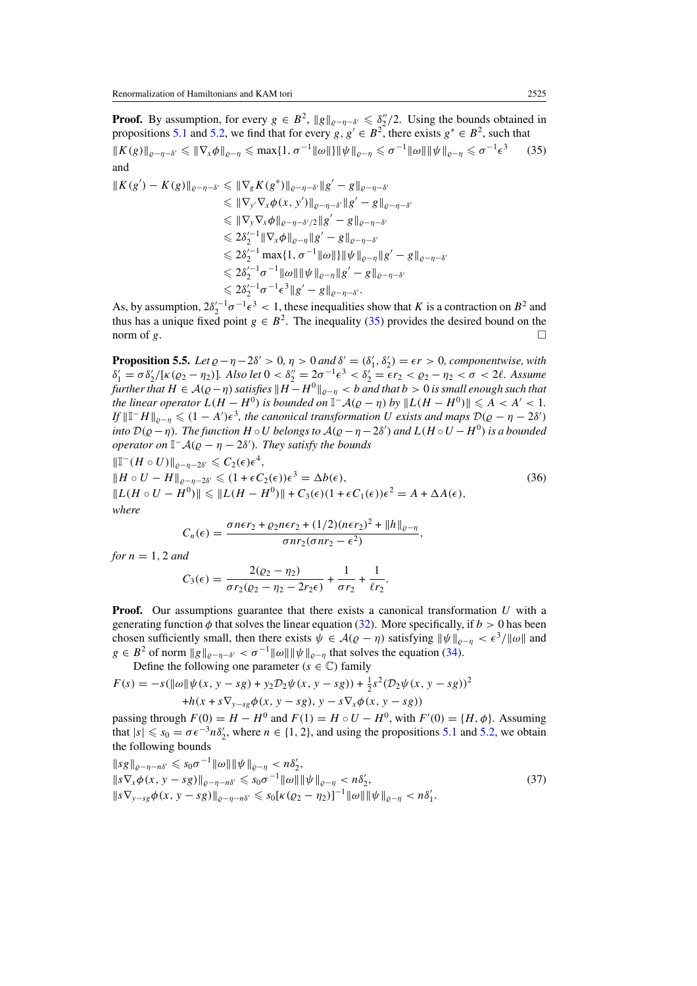<span id="page-13-0"></span>**Proof.** By assumption, for every  $g \in B^2$ ,  $||g||_{\varrho-\eta-\delta'} \leq \delta''/2$ . Using the bounds obtained in propositions [5.1](#page-11-0) and [5.2,](#page-11-0) we find that for every *g*,  $g' \in B^2$ , there exists  $g^* \in B^2$ , such that  $|| K(g) ||_{\varrho-\eta-\delta'} \leq || \nabla_x \phi ||_{\varrho-\eta} \leq \max\{1, \sigma^{-1} || \omega ||\} || \psi ||_{\varrho-\eta} \leq \sigma^{-1} || \omega || || \psi ||_{\varrho-\eta} \leq \sigma^{-1}$  $(35)$ and

$$
||K(g') - K(g)||_{\varrho - \eta - \delta'} \le ||\nabla_g K(g^*)||_{\varrho - \eta - \delta'} ||g' - g||_{\varrho - \eta - \delta'}
$$
  
\n
$$
\le ||\nabla_y \nabla_x \phi(x, y')||_{\varrho - \eta - \delta'} ||g' - g||_{\varrho - \eta - \delta'}
$$
  
\n
$$
\le ||\nabla_y \nabla_x \phi||_{\varrho - \eta - \delta'/2} ||g' - g||_{\varrho - \eta - \delta'}
$$
  
\n
$$
\le 2\delta_2'^{-1} ||\nabla_x \phi||_{\varrho - \eta} ||g' - g||_{\varrho - \eta - \delta'}
$$
  
\n
$$
\le 2\delta_2'^{-1} \max\{1, \sigma^{-1} ||\omega||\} ||\psi||_{\varrho - \eta} ||g' - g||_{\varrho - \eta - \delta'}
$$
  
\n
$$
\le 2\delta_2'^{-1} \sigma^{-1} ||\omega|| ||\psi||_{\varrho - \eta} ||g' - g||_{\varrho - \eta - \delta'}
$$
  
\n
$$
\le 2\delta_2'^{-1} \sigma^{-1} \epsilon^3 ||g' - g||_{\varrho - \eta - \delta'}.
$$

As, by assumption,  $2\delta_2'^{-1}\sigma^{-1}\epsilon^3 < 1$ , these inequalities show that *K* is a contraction on  $B^2$  and thus has a unique fixed point  $g \in B^2$ . The inequality (35) provides the desired bound on the norm of  $g$ .

**Proposition 5.5.** *Let*  $\varrho - \eta - 2\delta' > 0$ ,  $\eta > 0$  and  $\delta' = (\delta'_1, \delta'_2) = \epsilon r > 0$ , componentwise, with  $\delta_1' = \sigma \delta_2' / [k(\varrho_2 - \eta_2)]$ . Also let  $0 < \delta_2'' = 2\sigma^{-1} \epsilon^3 < \delta_2' = \epsilon r_2 < \varrho_2 - \eta_2 < \sigma < 2\ell$ . Assume *further that*  $H \in \mathcal{A}(\varrho - \eta)$  *satisfies*  $\|H - H^0\|_{\varrho - \eta} < b$  *and that*  $b > 0$  *is small enough such that the linear operator*  $L(H - H^0)$  *is bounded on*  $\mathbb{I}^- \mathcal{A}(\varrho - \eta)$  *by*  $\|L(H - H^0)\| \leq A < A' < 1$ *. If*  $||I - H||_{\varrho - \eta} \leq (1 - A')\epsilon^3$ , the canonical transformation *U* exists and maps  $\mathcal{D}(\varrho - \eta - 2\delta')$ *into*  $D(\varrho - \eta)$ *. The function*  $H \circ U$  *belongs to*  $\mathcal{A}(\varrho - \eta - 2\delta')$  *and*  $L(H \circ U - H^0)$  *is a bounded operator on*  $\mathbb{I}^- \mathcal{A}(\varrho - \eta - 2\delta')$ *. They satisfy the bounds* 

$$
\|\mathbb{T}^{-}(H \circ U)\|_{\ell^{-\eta-2\delta'}} \leq C_{2}(\epsilon)\epsilon^{4},
$$
  
\n
$$
\|H \circ U - H\|_{\ell^{-\eta-2\delta'}} \leq (1 + \epsilon C_{2}(\epsilon))\epsilon^{3} = \Delta b(\epsilon),
$$
  
\n
$$
\|L(H \circ U - H^{0})\| \leq \|L(H - H^{0})\| + C_{3}(\epsilon)(1 + \epsilon C_{1}(\epsilon))\epsilon^{2} = A + \Delta A(\epsilon),
$$
\n(36)  
\nwhere

$$
C_n(\epsilon)=\frac{\sigma n\epsilon r_2+\varrho_2 n\epsilon r_2+(1/2)(n\epsilon r_2)^2+\|h\|_{\varrho-\eta}}{\sigma n r_2(\sigma n r_2-\epsilon^2)},
$$

*for*  $n = 1, 2$  *and* 

$$
C_3(\epsilon) = \frac{2(\varrho_2 - \eta_2)}{\sigma r_2(\varrho_2 - \eta_2 - 2r_2\epsilon)} + \frac{1}{\sigma r_2} + \frac{1}{\ell r_2}.
$$

**Proof.** Our assumptions guarantee that there exists a canonical transformation *U* with a generating function  $\phi$  that solves the linear equation [\(32\)](#page-12-0). More specifically, if  $b > 0$  has been chosen sufficiently small, then there exists  $\psi \in \mathcal{A}(\varrho - \eta)$  satisfying  $\|\psi\|_{\varrho - \eta} < \epsilon^3/\|\omega\|$  and  $g \in B^2$  of norm  $||g||_{\rho-\eta-\delta} < \sigma^{-1}||\omega|| ||\psi||_{\rho-\eta}$  that solves the equation [\(34\)](#page-12-0).

Define the following one parameter  $(s \in \mathbb{C})$  family

$$
F(s) = -s(||\omega|| \psi(x, y - sg) + y_2 \mathcal{D}_2 \psi(x, y - sg)) + \frac{1}{2}s^2(\mathcal{D}_2 \psi(x, y - sg))^2
$$
  
+h(x + s\nabla\_{y - sg} \phi(x, y - sg), y - s\nabla\_x \phi(x, y - sg))

passing through  $F(0) = H - H^0$  and  $F(1) = H \circ U - H^0$ , with  $F'(0) = \{H, \phi\}$ . Assuming that  $|s| \le s_0 = \sigma \epsilon^{-3} n \delta_2'$ , where  $n \in \{1, 2\}$ , and using the propositions [5.1](#page-11-0) and [5.2,](#page-11-0) we obtain the following bounds

$$
\|s\|_{\varrho-\eta-\tilde{n}^{\gamma}} \leq s_0 \sigma^{-1} \|\omega\| \|\psi\|_{\varrho-\eta} < n\delta_2',
$$
  
\n
$$
\|s\nabla_x \phi(x, y - s g)\|_{\varrho-\eta-\tilde{n}^{\gamma}} \leq s_0 \sigma^{-1} \|\omega\| \|\psi\|_{\varrho-\eta} < n\delta_2',
$$
  
\n
$$
\|s\nabla_{y-sg} \phi(x, y - s g)\|_{\varrho-\eta-\tilde{n}^{\gamma}} \leq s_0 [\kappa(\varrho_2-\eta_2)]^{-1} \|\omega\| \|\psi\|_{\varrho-\eta} < n\delta_1'.
$$
\n(37)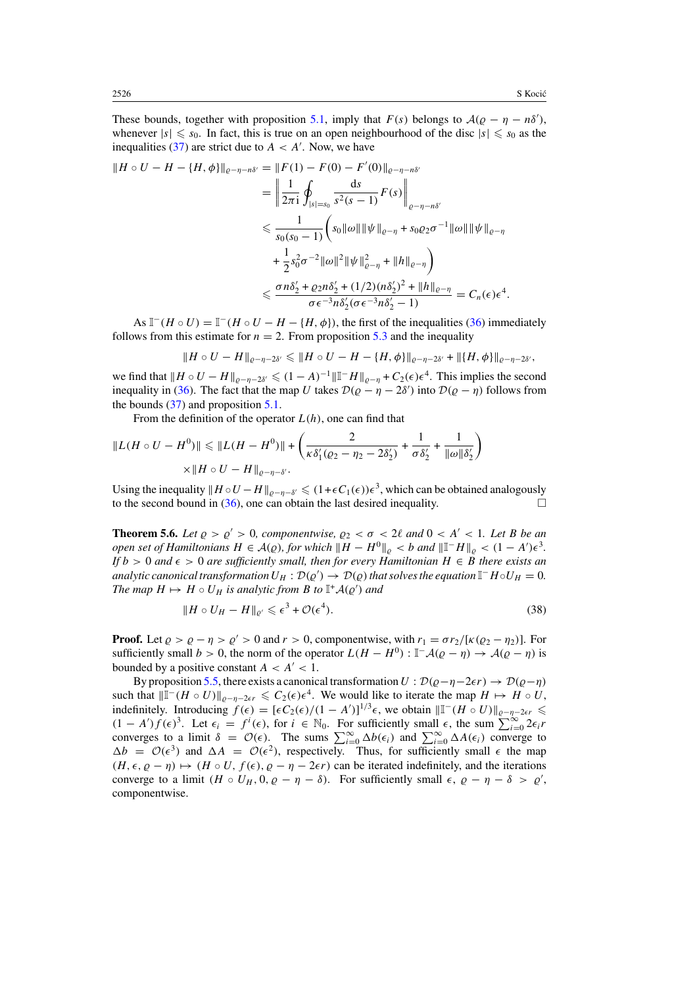<span id="page-14-0"></span>These bounds, together with proposition [5.1,](#page-11-0) imply that  $F(s)$  belongs to  $A(\varrho - \eta - n\delta')$ , whenever  $|s| \le s_0$ . In fact, this is true on an open neighbourhood of the disc  $|s| \le s_0$  as the inequalities [\(37\)](#page-13-0) are strict due to  $A < A'$ . Now, we have

$$
||H \circ U - H - \{H, \phi\}||_{\varrho - \eta - n\delta'} = ||F(1) - F(0) - F'(0)||_{\varrho - \eta - n\delta'}
$$
  
\n
$$
= \left\| \frac{1}{2\pi i} \oint_{|s|=s_0} \frac{ds}{s^2(s-1)} F(s) \right\|_{\varrho - \eta - n\delta'}
$$
  
\n
$$
\leq \frac{1}{s_0(s_0 - 1)} \left( s_0 ||\omega|| ||\psi||_{\varrho - \eta} + s_0 \varrho_2 \sigma^{-1} ||\omega|| ||\psi||_{\varrho - \eta} + \frac{1}{2} s_0^2 \sigma^{-2} ||\omega||^2 ||\psi||_{\varrho - \eta}^2 + ||h||_{\varrho - \eta} \right)
$$
  
\n
$$
\leq \frac{\sigma n \delta_2' + \varrho_2 n \delta_2' + (1/2)(n\delta_2')^2 + ||h||_{\varrho - \eta}}{\sigma \epsilon^{-3} n \delta_2' (\sigma \epsilon^{-3} n \delta_2' - 1)} = C_n(\epsilon) \epsilon^4.
$$

As  $\mathbb{I}^-(H \circ U) = \mathbb{I}^-(H \circ U - H - \{H, \phi\})$ , the first of the inequalities [\(36\)](#page-13-0) immediately follows from this estimate for  $n = 2$ . From proposition [5.3](#page-12-0) and the inequality

$$
||H \circ U - H||_{\varrho - \eta - 2\delta'} \leq ||H \circ U - H - \{H, \phi\}||_{\varrho - \eta - 2\delta'} + ||\{H, \phi\}||_{\varrho - \eta - 2\delta'},
$$

we find that  $\|H \circ U - H\|_{\varrho-\eta-2\delta'} \leq (1-A)^{-1} \|\mathbb{I} - H\|_{\varrho-\eta} + C_2(\epsilon) \epsilon^4$ . This implies the second inequality in [\(36\)](#page-13-0). The fact that the map *U* takes  $\mathcal{D}(\rho - \eta - 2\delta')$  into  $\mathcal{D}(\rho - \eta)$  follows from the bounds  $(37)$  and proposition  $5.1$ .

From the definition of the operator  $L(h)$ , one can find that

$$
||L(H \circ U - H^0)|| \le ||L(H - H^0)|| + \left(\frac{2}{\kappa \delta_1' (Q_2 - \eta_2 - 2\delta_2')} + \frac{1}{\sigma \delta_2'} + \frac{1}{||\omega||\delta_2'}\right) \times ||H \circ U - H||_{Q-\eta-\delta'}.
$$

Using the inequality  $||H \circ U - H||_{\varrho - \eta - \delta'} \leq (1 + \epsilon C_1(\epsilon))\epsilon^3$ , which can be obtained analogously to the second bound in [\(36\)](#page-13-0), one can obtain the last desired inequality.  $\Box$ 

**Theorem 5.6.** *Let*  $\varrho > \varrho' > 0$ , *componentwise*,  $\varrho_2 < \sigma < 2\ell$  *and*  $0 < A' < 1$ *. Let B be an open set of Hamiltonians*  $H \in \mathcal{A}(\varrho)$ *, for which*  $\|H - H^0\|_{\varrho} < b$  *and*  $\|\mathbb{I} - H\|_{\varrho} < (1 - A')\epsilon^3$ *. If*  $b > 0$  *and*  $\epsilon > 0$  *are sufficiently small, then for every Hamiltonian*  $H \in B$  *there exists an analytic canonical transformation*  $U_H: \mathcal{D}(\varrho') \to \mathcal{D}(\varrho)$  that solves the equation  $\mathbb{I}^-H \circ U_H = 0$ . *The map*  $H \mapsto H \circ U_H$  *is analytic from*  $B$  *to*  $\mathbb{I}^+ \mathcal{A}(\varrho')$  *and* 

$$
||H \circ U_H - H||_{\varrho'} \leqslant \epsilon^3 + \mathcal{O}(\epsilon^4). \tag{38}
$$

**Proof.** Let  $\rho > \rho - \eta > \rho' > 0$  and  $r > 0$ , componentwise, with  $r_1 = \frac{\sigma r_2}{k(\rho_2 - \eta_2)}$ . For sufficiently small  $b > 0$ , the norm of the operator  $L(H - H^0)$ :  $\mathbb{I}^- A(\rho - \eta) \rightarrow A(\rho - \eta)$  is bounded by a positive constant  $A < A' < 1$ .

By proposition [5.5,](#page-13-0) there exists a canonical transformation  $U : \mathcal{D}(\varrho - \eta - 2\epsilon r) \to \mathcal{D}(\varrho - \eta)$ such that  $\|\mathbb{I}^-(H \circ U)\|_{\varrho-\eta-2\epsilon r} \leqslant C_2(\epsilon)\epsilon^4$ . We would like to iterate the map  $H \mapsto H \circ U$ , indefinitely. Introducing  $f(\epsilon) = [\epsilon C_2(\epsilon)/(1 - A')]^{1/3}\epsilon$ , we obtain  $\|\mathbb{I}^-(H \circ U)\|_{\ell^{\gamma-1}(-\epsilon)} \leq (1 - A')f(\epsilon)^3$ . Let  $\epsilon_i = f^i(\epsilon)$ , for  $i \in \mathbb{N}_0$ . For sufficiently small  $\epsilon$ , the sum  $\sum_{i=0}^{\infty} 2\epsilon_i r$ converges to a limit  $\delta = \mathcal{O}(\epsilon)$ . The sums  $\sum_{i=0}^{\infty} \Delta b(\epsilon_i)$  and  $\sum_{i=0}^{\infty} \Delta A(\epsilon_i)$  converge to  $\Delta b = \mathcal{O}(\epsilon^3)$  and  $\Delta A = \mathcal{O}(\epsilon^2)$ , respectively. Thus, for sufficiently small  $\epsilon$  the map  $(H, \epsilon, \varrho - \eta) \mapsto (H \circ U, f(\epsilon), \varrho - \eta - 2\epsilon r)$  can be iterated indefinitely, and the iterations converge to a limit  $(H \circ U_H, 0, \varrho - \eta - \delta)$ . For sufficiently small  $\epsilon, \varrho - \eta - \delta > \varrho'$ , componentwise.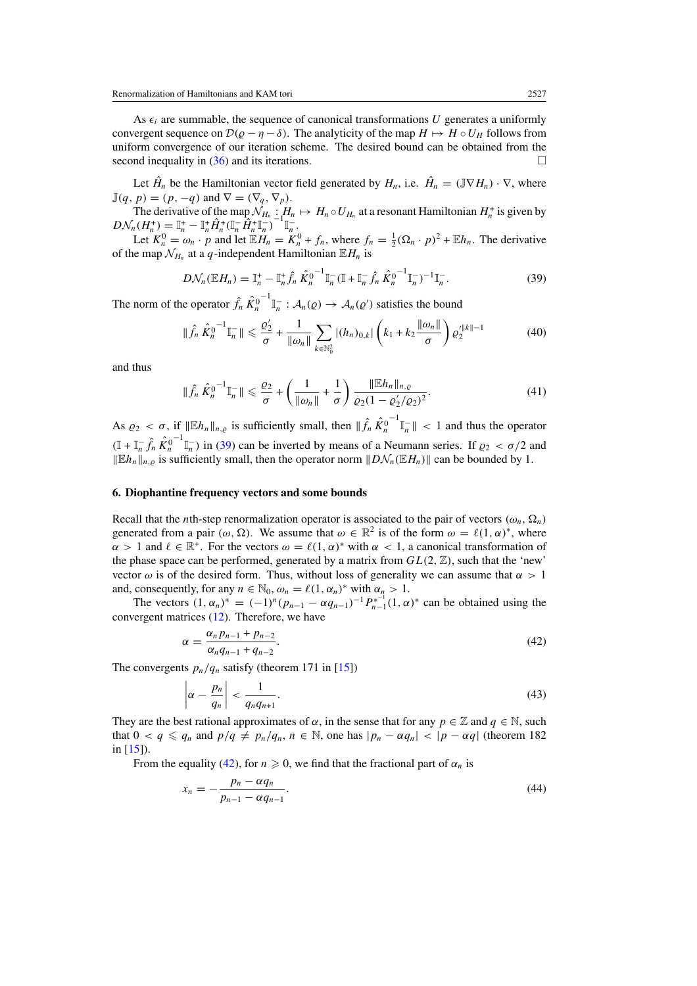<span id="page-15-0"></span>As  $\epsilon_i$  are summable, the sequence of canonical transformations U generates a uniformly convergent sequence on  $\mathcal{D}(\varrho - \eta - \delta)$ . The analyticity of the map  $H \mapsto H \circ U_H$  follows from uniform convergence of our iteration scheme. The desired bound can be obtained from the second inequality in [\(36\)](#page-13-0) and its iterations.  $\Box$ 

Let  $\hat{H}_n$  be the Hamiltonian vector field generated by  $H_n$ , i.e.  $\hat{H}_n = (\mathbb{J} \nabla H_n) \cdot \nabla$ , where  $\mathbb{J}(q, p) = (p, -q)$  and  $\nabla = (\nabla_q, \nabla_p)$ .

The derivative of the map  $\mathcal{N}_{H_n}$  :  $H_n \mapsto H_n \circ U_{H_n}$  at a resonant Hamiltonian  $H_n^+$  is given by  $D\mathcal{N}_n(H_n^+) = \mathbb{I}_n^+ - \mathbb{I}_n^+ \hat{H}_n^+ (\mathbb{I}_n^- \hat{H}_n^+ \mathbb{I}_n^-)^{-1} \mathbb{I}_n^-$ 

Let  $K_n^0 = \omega_n \cdot p$  and let  $\mathbb{E}H_n = K_n^0 + f_n$ , where  $f_n = \frac{1}{2}(\Omega_n \cdot p)^2 + \mathbb{E}h_n$ . The derivative of the map  $\mathcal{N}_{H_n}$  at a *q*-independent Hamiltonian  $\mathbb{E}H_n$  is

$$
D\mathcal{N}_n(\mathbb{E}H_n) = \mathbb{I}_n^+ - \mathbb{I}_n^+ \hat{f}_n \hat{K}_n^{0^{-1}} \mathbb{I}_n^-(\mathbb{I} + \mathbb{I}_n^- \hat{f}_n \hat{K}_n^{0^{-1}} \mathbb{I}_n^-)^{-1} \mathbb{I}_n^-(39)
$$

The norm of the operator  $\hat{f}_n \hat{K}_n^0$  $\mathbb{I}_{n}^{-}$  :  $\mathcal{A}_{n}(p) \rightarrow \mathcal{A}_{n}(p')$  satisfies the bound

$$
\|\hat{f}_n\,\hat{K}_n^{0^{-1}}\mathbb{I}_n^{-}\| \leq \frac{\varrho_2'}{\sigma} + \frac{1}{\|\omega_n\|} \sum_{k \in \mathbb{N}_0^2} |(h_n)_{0,k}| \left(k_1 + k_2 \frac{\|\omega_n\|}{\sigma}\right) \varrho_2'^{\|k\|-1} \tag{40}
$$

and thus

$$
\|\hat{f}_n\hat{K}_n^{0^{-1}}\mathbb{I}_n^{-}\| \le \frac{\varrho_2}{\sigma} + \left(\frac{1}{\|\omega_n\|} + \frac{1}{\sigma}\right) \frac{\|\mathbb{E}h_n\|_{n,\varrho}}{\varrho_2(1-\varrho_2'/\varrho_2)^2}.
$$
\n(41)

As  $\rho_2 < \sigma$ , if  $||\mathbb{E}h_n||_{n,q}$  is sufficiently small, then  $||\hat{f}_n \hat{K}_n^0$  $^{-1}$   $\mathbb{I}_n^-$  || < 1 and thus the operator  $(\mathbb{I} + \mathbb{I}_n^- \hat{f}_n \hat{K}_n^0)$  $\int_{\pi}^{-1}$  *n* (39) can be inverted by means of a Neumann series. If  $\rho_2 < \sigma/2$  and  $||Eh_n||_{n,\rho}$  is sufficiently small, then the operator norm  $||D\mathcal{N}_n(EH_n)||$  can be bounded by 1.

#### **6. Diophantine frequency vectors and some bounds**

Recall that the *n*th-step renormalization operator is associated to the pair of vectors  $(\omega_n, \Omega_n)$ generated from a pair  $(\omega, \Omega)$ . We assume that  $\omega \in \mathbb{R}^2$  is of the form  $\omega = \ell(1, \alpha)^*$ , where  $\alpha > 1$  and  $\ell \in \mathbb{R}^+$ . For the vectors  $\omega = \ell(1, \alpha)^*$  with  $\alpha < 1$ , a canonical transformation of the phase space can be performed, generated by a matrix from  $GL(2, \mathbb{Z})$ , such that the 'new' vector  $\omega$  is of the desired form. Thus, without loss of generality we can assume that  $\alpha > 1$ and, consequently, for any  $n \in \mathbb{N}_0$ ,  $\omega_n = \ell(1, \alpha_n)^*$  with  $\alpha_n > 1$ .

The vectors  $(1, \alpha_n)^* = (-1)^n (p_{n-1} - \alpha q_{n-1})^{-1} P_{n-1}^{*^{-1}} (1, \alpha)^*$  can be obtained using the convergent matrices [\(12\)](#page-6-0). Therefore, we have

$$
\alpha = \frac{\alpha_n p_{n-1} + p_{n-2}}{\alpha_n q_{n-1} + q_{n-2}}.\tag{42}
$$

The convergents  $p_n/q_n$  satisfy (theorem 171 in [\[15\]](#page-32-0))

$$
\left|\alpha - \frac{p_n}{q_n}\right| < \frac{1}{q_n q_{n+1}}.\tag{43}
$$

They are the best rational approximates of  $\alpha$ , in the sense that for any  $p \in \mathbb{Z}$  and  $q \in \mathbb{N}$ , such that  $0 < q \leq q_n$  and  $p/q \neq p_n/q_n$ ,  $n \in \mathbb{N}$ , one has  $|p_n - \alpha q_n| < |p - \alpha q|$  (theorem 182) in  $[15]$ ).

From the equality (42), for  $n \ge 0$ , we find that the fractional part of  $\alpha_n$  is

$$
x_n = -\frac{p_n - \alpha q_n}{p_{n-1} - \alpha q_{n-1}}.\tag{44}
$$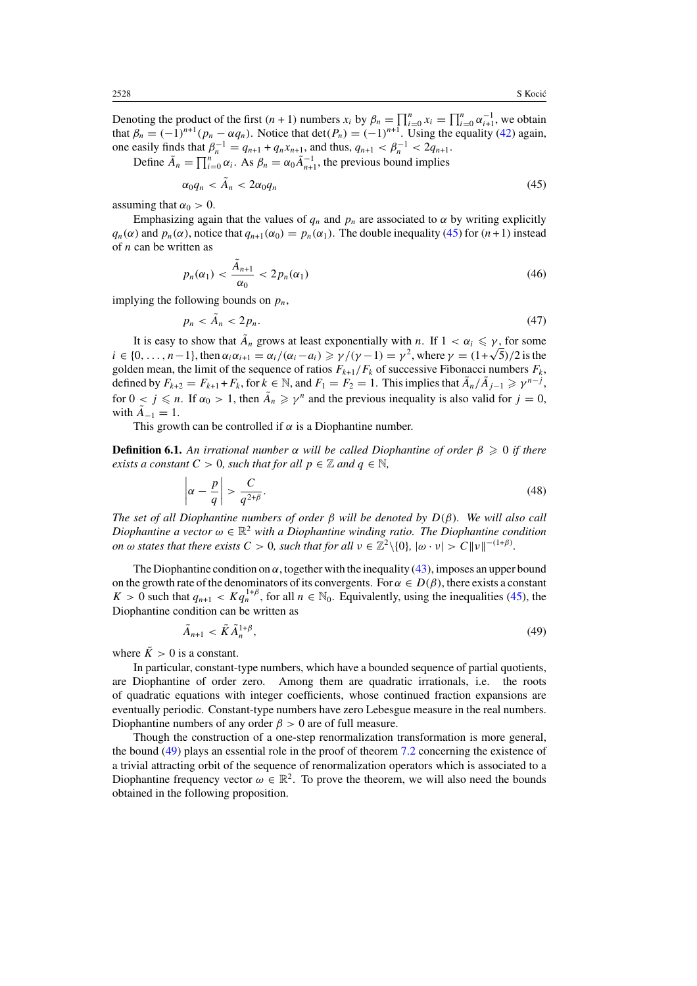<span id="page-16-0"></span>Denoting the product of the first  $(n + 1)$  numbers  $x_i$  by  $\beta_n = \prod_{i=0}^n x_i = \prod_{i=0}^n \alpha_{i+1}^{-1}$ , we obtain that  $\beta_n = (-1)^{n+1} (p_n - \alpha q_n)$ . Notice that  $\det(P_n) = (-1)^{n+1}$ . Using the equality [\(42\)](#page-15-0) again, one easily finds that  $\beta_n^{-1} = q_{n+1} + q_n x_{n+1}$ , and thus,  $q_{n+1} < \beta_n^{-1} < 2q_{n+1}$ .

Define  $\tilde{A}_n = \prod_{i=0}^n \alpha_i$ . As  $\beta_n = \alpha_0 \tilde{A}_{n+1}^{-1}$ , the previous bound implies

$$
\alpha_0 q_n < \tilde{A}_n < 2\alpha_0 q_n \tag{45}
$$

assuming that  $\alpha_0 > 0$ .

Emphasizing again that the values of  $q_n$  and  $p_n$  are associated to  $\alpha$  by writing explicitly *q<sub>n</sub>*( $\alpha$ ) and  $p_n(\alpha)$ , notice that  $q_{n+1}(\alpha_0) = p_n(\alpha_1)$ . The double inequality (45) for  $(n+1)$  instead of *n* can be written as

$$
p_n(\alpha_1) < \frac{\tilde{A}_{n+1}}{\alpha_0} < 2p_n(\alpha_1) \tag{46}
$$

implying the following bounds on  $p_n$ ,

$$
p_n < \tilde{A}_n < 2p_n. \tag{47}
$$

It is easy to show that  $\tilde{A}_n$  grows at least exponentially with *n*. If  $1 < \alpha_i \leq \gamma$ , for some  $i \in \{0, \ldots, n-1\}$ , then  $\alpha_i \alpha_{i+1} = \alpha_i/(\alpha_i - a_i) \geq \gamma/(\gamma - 1) = \gamma^2$ , where  $\gamma = (1+\sqrt{5})/2$  is the golden mean, the limit of the sequence of ratios  $F_{k+1}/F_k$  of successive Fibonacci numbers  $F_k$ , defined by  $F_{k+2} = F_{k+1} + F_k$ , for  $k \in \mathbb{N}$ , and  $F_1 = F_2 = 1$ . This implies that  $A_n / A_{j-1} \geq \gamma^{n-j}$ , for  $0 < j \le n$ . If  $\alpha_0 > 1$ , then  $\tilde{A}_n \ge \gamma^n$  and the previous inequality is also valid for  $j = 0$ , with  $\tilde{A}_{-1} = 1$ .

This growth can be controlled if  $\alpha$  is a Diophantine number.

**Definition 6.1.** An irrational number  $\alpha$  will be called Diophantine of order  $\beta \geq 0$  if there *exists a constant*  $C > 0$ *, such that for all*  $p \in \mathbb{Z}$  *and*  $q \in \mathbb{N}$ *,* 

$$
\left|\alpha - \frac{p}{q}\right| > \frac{C}{q^{2+\beta}}.\tag{48}
$$

*The set of all Diophantine numbers of order β will be denoted by D(β). We will also call Diophantine a vector*  $\omega \in \mathbb{R}^2$  *with a Diophantine winding ratio. The Diophantine condition on*  $\omega$  *states that there exists*  $C > 0$ *, such that for all*  $\nu \in \mathbb{Z}^2 \setminus \{0\}$ *,*  $|\omega \cdot \nu| > C ||\nu||^{-(1+\beta)}$ *.* 

The Diophantine condition on  $\alpha$ , together with the inequality [\(43\)](#page-15-0), imposes an upper bound on the growth rate of the denominators of its convergents. For  $\alpha \in D(\beta)$ , there exists a constant  $K > 0$  such that  $q_{n+1} < K q_n^{1+\beta}$ , for all  $n \in \mathbb{N}_0$ . Equivalently, using the inequalities (45), the Diophantine condition can be written as

$$
\tilde{A}_{n+1} < \tilde{K}\tilde{A}_n^{1+\beta},\tag{49}
$$

where  $\tilde{K} > 0$  is a constant.

In particular, constant-type numbers, which have a bounded sequence of partial quotients, are Diophantine of order zero. Among them are quadratic irrationals, i.e. the roots of quadratic equations with integer coefficients, whose continued fraction expansions are eventually periodic. Constant-type numbers have zero Lebesgue measure in the real numbers. Diophantine numbers of any order  $\beta > 0$  are of full measure.

Though the construction of a one-step renormalization transformation is more general, the bound (49) plays an essential role in the proof of theorem [7.2](#page-21-0) concerning the existence of a trivial attracting orbit of the sequence of renormalization operators which is associated to a Diophantine frequency vector  $\omega \in \mathbb{R}^2$ . To prove the theorem, we will also need the bounds obtained in the following proposition.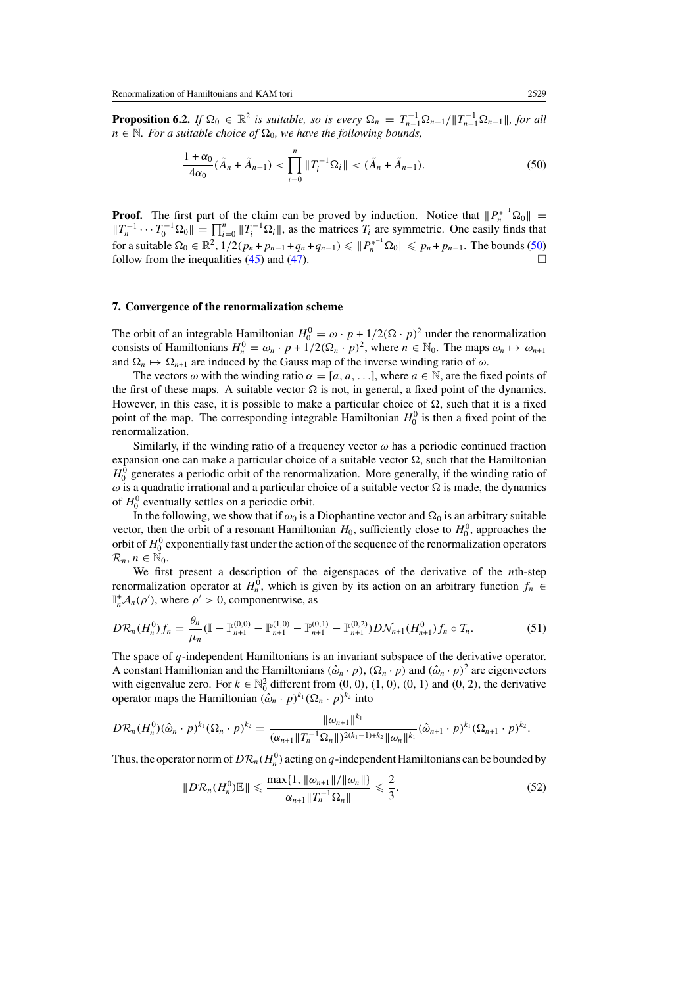<span id="page-17-0"></span>**Proposition 6.2.** *If*  $\Omega_0 \in \mathbb{R}^2$  *is suitable, so is every*  $\Omega_n = T_{n-1}^{-1} \Omega_{n-1} / ||T_{n-1}^{-1} \Omega_{n-1}||$ , for all  $n \in \mathbb{N}$ *. For a suitable choice of*  $\Omega_0$ *, we have the following bounds,* 

$$
\frac{1+\alpha_0}{4\alpha_0}(\tilde{A}_n + \tilde{A}_{n-1}) < \prod_{i=0}^n \|T_i^{-1}\Omega_i\| < (\tilde{A}_n + \tilde{A}_{n-1}).\tag{50}
$$

**Proof.** The first part of the claim can be proved by induction. Notice that  $||P_n^{*^{-1}}\Omega_0|| =$  $||T_n^{-1} \cdots T_0^{-1} \Omega_0|| = \prod_{i=0}^n ||T_i^{-1} \Omega_i||$ , as the matrices  $T_i$  are symmetric. One easily finds that for a suitable  $\Omega_0 \in \mathbb{R}^2$ ,  $1/2(p_n + p_{n-1} + q_n + q_{n-1}) \leqslant ||P_n^{*^{-1}}\Omega_0|| \leqslant p_n + p_{n-1}$ . The bounds (50) follow from the inequalities [\(45\)](#page-16-0) and [\(47\)](#page-16-0).

#### **7. Convergence of the renormalization scheme**

The orbit of an integrable Hamiltonian  $H_0^0 = \omega \cdot p + 1/2(\Omega \cdot p)^2$  under the renormalization consists of Hamiltonians  $H_n^0 = \omega_n \cdot p + 1/2(\Omega_n \cdot p)^2$ , where  $n \in \mathbb{N}_0$ . The maps  $\omega_n \mapsto \omega_{n+1}$ and  $\Omega_n \mapsto \Omega_{n+1}$  are induced by the Gauss map of the inverse winding ratio of  $\omega$ .

The vectors  $\omega$  with the winding ratio  $\alpha = [a, a, \ldots]$ , where  $a \in \mathbb{N}$ , are the fixed points of the first of these maps. A suitable vector  $\Omega$  is not, in general, a fixed point of the dynamics. However, in this case, it is possible to make a particular choice of  $\Omega$ , such that it is a fixed point of the map. The corresponding integrable Hamiltonian  $H_0^0$  is then a fixed point of the renormalization.

Similarly, if the winding ratio of a frequency vector  $\omega$  has a periodic continued fraction expansion one can make a particular choice of a suitable vector  $\Omega$ , such that the Hamiltonian  $H_0^0$  generates a periodic orbit of the renormalization. More generally, if the winding ratio of  $\omega$  is a quadratic irrational and a particular choice of a suitable vector  $\Omega$  is made, the dynamics of  $H_0^0$  eventually settles on a periodic orbit.

In the following, we show that if  $\omega_0$  is a Diophantine vector and  $\Omega_0$  is an arbitrary suitable vector, then the orbit of a resonant Hamiltonian  $H_0$ , sufficiently close to  $H_0^0$ , approaches the orbit of  $H_0^0$  exponentially fast under the action of the sequence of the renormalization operators  $\mathcal{R}_n, n \in \mathbb{N}_0$ .

We first present a description of the eigenspaces of the derivative of the *n*th-step renormalization operator at  $H_n^0$ , which is given by its action on an arbitrary function  $f_n \in$  $\mathbb{I}_n^+ \mathcal{A}_n(\rho')$ , where  $\rho' > 0$ , componentwise, as

$$
D\mathcal{R}_n(H_n^0)f_n = \frac{\theta_n}{\mu_n} (\mathbb{I} - \mathbb{P}_{n+1}^{(0,0)} - \mathbb{P}_{n+1}^{(1,0)} - \mathbb{P}_{n+1}^{(0,1)} - \mathbb{P}_{n+1}^{(0,2)})D\mathcal{N}_{n+1}(H_{n+1}^0)f_n \circ \mathcal{T}_n.
$$
 (51)

The space of *q*-independent Hamiltonians is an invariant subspace of the derivative operator. A constant Hamiltonian and the Hamiltonians  $(\hat{\omega}_n \cdot p)$ ,  $(\Omega_n \cdot p)$  and  $(\hat{\omega}_n \cdot p)^2$  are eigenvectors with eigenvalue zero. For  $k \in \mathbb{N}_0^2$  different from  $(0, 0)$ ,  $(1, 0)$ ,  $(0, 1)$  and  $(0, 2)$ , the derivative operator maps the Hamiltonian  $(\hat{\omega}_n \cdot p)^{k_1} (\Omega_n \cdot p)^{k_2}$  into

$$
D\mathcal{R}_n(H_n^0)(\hat{\omega}_n \cdot p)^{k_1}(\Omega_n \cdot p)^{k_2} = \frac{\|\omega_{n+1}\|^{k_1}}{(\alpha_{n+1}\|T_n^{-1}\Omega_n\|)^{2(k_1-1)+k_2}\|\omega_n\|^{k_1}}(\hat{\omega}_{n+1} \cdot p)^{k_1}(\Omega_{n+1} \cdot p)^{k_2}.
$$

Thus, the operator norm of  $D\mathcal{R}_n(H_n^0)$  acting on  $q$ -independent Hamiltonians can be bounded by

$$
||D\mathcal{R}_n(H_n^0)\mathbb{E}|| \le \frac{\max\{1, ||\omega_{n+1}||/||\omega_n||\}}{\alpha_{n+1}||T_n^{-1}\Omega_n||} \le \frac{2}{3}.
$$
 (52)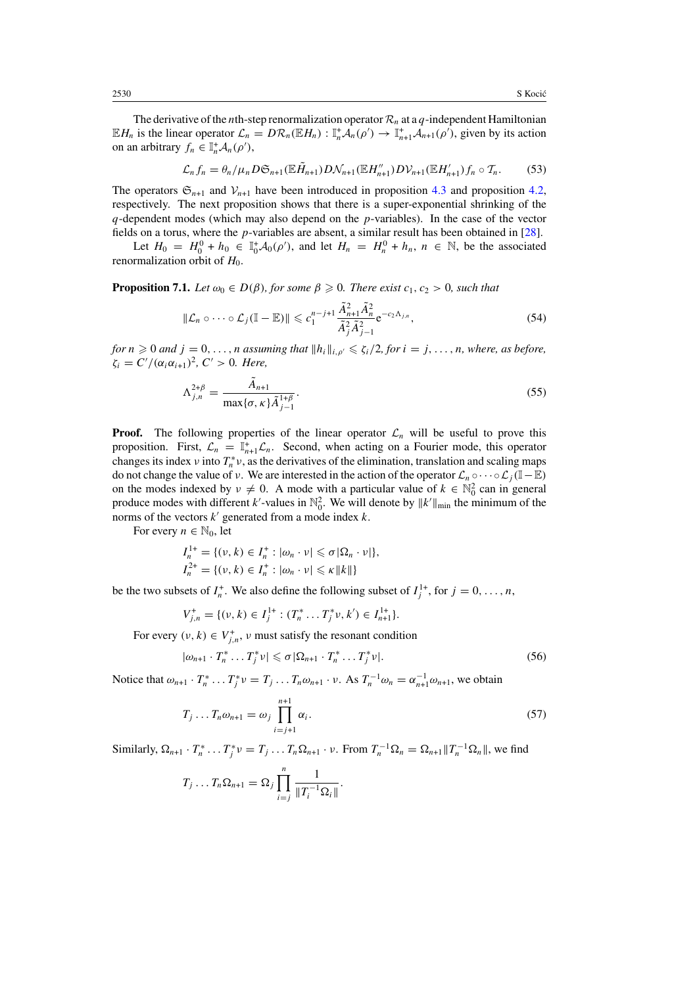<span id="page-18-0"></span>The derivative of the *n*th-step renormalization operator  $\mathcal{R}_n$  at a  $q$ -independent Hamiltonian  $\mathbb{E}H_n$  is the linear operator  $\mathcal{L}_n = D\mathcal{R}_n(\mathbb{E}H_n) : \mathbb{I}_n^+ \mathcal{A}_n(\rho') \to \mathbb{I}_{n+1}^+ \mathcal{A}_{n+1}(\rho')$ , given by its action on an arbitrary  $f_n \in \mathbb{I}_n^+ \mathcal{A}_n(\rho'),$ 

$$
\mathcal{L}_n f_n = \theta_n / \mu_n D \mathfrak{S}_{n+1}(\mathbb{E} \tilde{H}_{n+1}) D \mathcal{N}_{n+1}(\mathbb{E} H''_{n+1}) D \mathcal{V}_{n+1}(\mathbb{E} H'_{n+1}) f_n \circ \mathcal{T}_n. \tag{53}
$$

The operators  $\mathfrak{S}_{n+1}$  and  $\mathcal{V}_{n+1}$  have been introduced in proposition [4.3](#page-9-0) and proposition [4.2,](#page-8-0) respectively. The next proposition shows that there is a super-exponential shrinking of the *q*-dependent modes (which may also depend on the *p*-variables). In the case of the vector fields on a torus, where the *p*-variables are absent, a similar result has been obtained in [\[28\]](#page-32-0).

Let  $H_0 = H_0^0 + h_0 \in \mathbb{I}_0^+ A_0(\rho')$ , and let  $H_n = H_n^0 + h_n$ ,  $n \in \mathbb{N}$ , be the associated renormalization orbit of  $H_0$ .

**Proposition 7.1.** *Let*  $\omega_0 \in D(\beta)$ *, for some*  $\beta \geq 0$ *. There exist*  $c_1, c_2 > 0$ *, such that* 

$$
\|\mathcal{L}_n \circ \cdots \circ \mathcal{L}_j(\mathbb{I} - \mathbb{E})\| \leqslant c_1^{n-j+1} \frac{\tilde{A}_{n+1}^2 \tilde{A}_n^2}{\tilde{A}_j^2 \tilde{A}_{j-1}^2} e^{-c_2 \Lambda_{j,n}},\tag{54}
$$

*for*  $n \geq 0$  *and*  $j = 0, \ldots, n$  *assuming that*  $||h_i||_{i, \rho'} \leq \zeta_i/2$ , *for*  $i = j, \ldots, n$ *, where, as before,*  $\zeta_i = C' / (\alpha_i \alpha_{i+1})^2$ ,  $C' > 0$ *. Here,* 

$$
\Lambda_{j,n}^{2+\beta} = \frac{\tilde{A}_{n+1}}{\max\{\sigma, \kappa\} \tilde{A}_{j-1}^{1+\beta}}.
$$
\n(55)

**Proof.** The following properties of the linear operator  $\mathcal{L}_n$  will be useful to prove this proposition. First,  $\mathcal{L}_n = \mathbb{I}_{n+1}^+ \mathcal{L}_n$ . Second, when acting on a Fourier mode, this operator changes its index *ν* into  $T_n^* v$ , as the derivatives of the elimination, translation and scaling maps do not change the value of *ν*. We are interested in the action of the operator  $\mathcal{L}_n \circ \cdots \circ \mathcal{L}_j (\mathbb{I} - \mathbb{E})$ on the modes indexed by  $v \neq 0$ . A mode with a particular value of  $k \in \mathbb{N}_0^2$  can in general produce modes with different k'-values in  $\mathbb{N}_0^2$ . We will denote by  $||k'||_{min}$  the minimum of the norms of the vectors *k* generated from a mode index *k*.

For every  $n \in \mathbb{N}_0$ , let

$$
I_n^{1+} = \{ (v, k) \in I_n^+ : |\omega_n \cdot v| \le \sigma |\Omega_n \cdot v| \},
$$
  

$$
I_n^{2+} = \{ (v, k) \in I_n^+ : |\omega_n \cdot v| \le \kappa ||k|| \}
$$

be the two subsets of  $I_n^+$ . We also define the following subset of  $I_j^{1+}$ , for  $j = 0, \ldots, n$ ,

$$
V_{j,n}^+ = \{ (\nu, k) \in I_j^{1+} : (T_n^* \dots T_j^* \nu, k') \in I_{n+1}^{1+} \}.
$$

For every  $(v, k) \in V_{j,n}^*$ , *v* must satisfy the resonant condition

$$
|\omega_{n+1} \cdot T_n^* \dots T_j^* \nu| \leq \sigma |\Omega_{n+1} \cdot T_n^* \dots T_j^* \nu|.
$$
 (56)

Notice that  $\omega_{n+1} \cdot T_n^* \dots T_j^* \nu = T_j \dots T_n \omega_{n+1} \cdot \nu$ . As  $T_n^{-1} \omega_n = \alpha_{n+1}^{-1} \omega_{n+1}$ , we obtain

$$
T_j \dots T_n \omega_{n+1} = \omega_j \prod_{i=j+1}^{n+1} \alpha_i.
$$
 (57)

Similarly,  $\Omega_{n+1} \cdot T_n^* \cdot \cdot \cdot T_j^* \nu = T_j \cdot \cdot \cdot T_n \Omega_{n+1} \cdot \nu$ . From  $T_n^{-1} \Omega_n = \Omega_{n+1} || T_n^{-1} \Omega_n ||$ , we find

$$
T_j \ldots T_n \Omega_{n+1} = \Omega_j \prod_{i=j}^n \frac{1}{\|T_i^{-1} \Omega_i\|}.
$$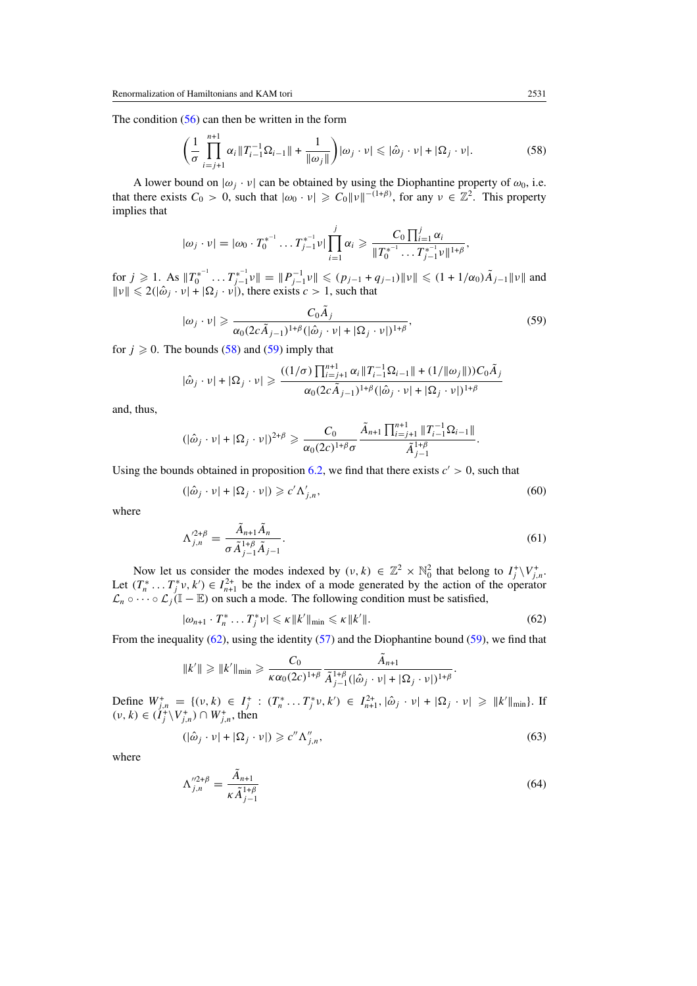<span id="page-19-0"></span>The condition  $(56)$  can then be written in the form

$$
\left(\frac{1}{\sigma}\prod_{i=j+1}^{n+1}\alpha_i\|\mathcal{T}_{i-1}^{-1}\Omega_{i-1}\|+\frac{1}{\|\omega_j\|}\right)|\omega_j\cdot\nu|\leqslant|\hat{\omega}_j\cdot\nu|+|\Omega_j\cdot\nu|.\tag{58}
$$

A lower bound on  $|\omega_j \cdot v|$  can be obtained by using the Diophantine property of  $\omega_0$ , i.e. that there exists  $C_0 > 0$ , such that  $|\omega_0 \cdot v| \geq C_0 ||v||^{-(1+\beta)}$ , for any  $v \in \mathbb{Z}^2$ . This property implies that

$$
|\omega_j \cdot \nu| = |\omega_0 \cdot T_0^{*^{-1}} \dots T_{j-1}^{*^{-1}} \nu| \prod_{i=1}^j \alpha_i \geq \frac{C_0 \prod_{i=1}^j \alpha_i}{\|T_0^{*^{-1}} \dots T_{j-1}^{*^{-1}} \nu\|^{1+\beta}},
$$

 $\int \int f(x, y) \, dx \, dx \, dx$   $\|T_0^{*^{-1}} \dots T_{j-1}^{*^{-1}} \nu\| = \|P_{j-1}^{-1} \nu\| \leq (p_{j-1} + q_{j-1}) \| \nu\| \leq (1 + 1/\alpha_0) \tilde{A}_{j-1} \| \nu\|$  and  $||v|| \le 2(|\hat{\omega}_j \cdot v| + |\Omega_j \cdot v|)$ , there exists  $c > 1$ , such that

$$
|\omega_j \cdot \nu| \geqslant \frac{C_0 \tilde{A}_j}{\alpha_0 (2c \tilde{A}_{j-1})^{1+\beta} (|\hat{\omega}_j \cdot \nu| + |\Omega_j \cdot \nu|)^{1+\beta}},
$$
\n<sup>(59)</sup>

for  $j \ge 0$ . The bounds (58) and (59) imply that

$$
|\hat{\omega}_j \cdot \nu| + |\Omega_j \cdot \nu| \ge \frac{((1/\sigma) \prod_{i=j+1}^{n+1} \alpha_i \|T_{i-1}^{-1} \Omega_{i-1}\| + (1/\|\omega_j\|))C_0 \tilde{A}_j}{\alpha_0 (2c \tilde{A}_{j-1})^{1+\beta} (|\hat{\omega}_j \cdot \nu| + |\Omega_j \cdot \nu|)^{1+\beta}}
$$

and, thus,

$$
(|\hat{\omega}_j \cdot \nu| + |\Omega_j \cdot \nu|)^{2+\beta} \geq \frac{C_0}{\alpha_0(2c)^{1+\beta}\sigma} \frac{\tilde{A}_{n+1} \prod_{i=j+1}^{n+1} ||T_{i-1}^{-1} \Omega_{i-1}||}{\tilde{A}_{j-1}^{1+\beta}}.
$$

Using the bounds obtained in proposition [6.2,](#page-16-0) we find that there exists  $c' > 0$ , such that

$$
(|\hat{\omega}_j \cdot \nu| + |\Omega_j \cdot \nu|) \geq c' \Lambda'_{j,n},\tag{60}
$$

where

$$
\Lambda_{j,n}^{'^{2+\beta}} = \frac{\tilde{A}_{n+1}\tilde{A}_n}{\sigma \tilde{A}_{j-1}^{1+\beta}\tilde{A}_{j-1}}.
$$
\n(61)

Now let us consider the modes indexed by  $(v, k) \in \mathbb{Z}^2 \times \mathbb{N}_0^2$  that belong to  $I_j^+ \setminus V_{j,n}^+$ . Let  $(T_n^* \dots T_j^* \nu, k') \in I_{n+1}^{2+}$  be the index of a mode generated by the action of the operator  $\mathcal{L}_n \circ \cdots \circ \mathcal{L}_j(\mathbb{I} - \mathbb{E})$  on such a mode. The following condition must be satisfied,

$$
|\omega_{n+1} \cdot T_n^* \dots T_j^* \nu| \leq \kappa \|k'\|_{\min} \leq \kappa \|k'\|.
$$
 (62)

From the inequality  $(62)$ , using the identity  $(57)$  and the Diophantine bound  $(59)$ , we find that

$$
||k'|| \ge ||k'||_{\min} \ge \frac{C_0}{\kappa \alpha_0 (2c)^{1+\beta}} \frac{\tilde{A}_{n+1}}{\tilde{A}_{j-1}^{1+\beta} (|\hat{\omega}_j \cdot \nu| + |\Omega_j \cdot \nu|)^{1+\beta}}.
$$

Define  $W_{j,n}^+ = \{ (v,k) \in I_j^+ : (T_n^* \dots T_j^* v, k') \in I_{n+1}^{2+}, |\hat{\omega}_j \cdot v| + |\Omega_j \cdot v| \ge ||k'||_{\min} \}.$  If  $(v, k) \in (I_j^+ \setminus V_{j,n}^+) \cap W_{j,n}^+$ , then

$$
(|\hat{\omega}_j \cdot \nu| + |\Omega_j \cdot \nu|) \geq c'' \Lambda''_{j,n},\tag{63}
$$

where

$$
\Lambda_{j,n}^{\prime\prime 2+\beta} = \frac{\tilde{A}_{n+1}}{\kappa \tilde{A}_{j-1}^{1+\beta}}
$$
\n(64)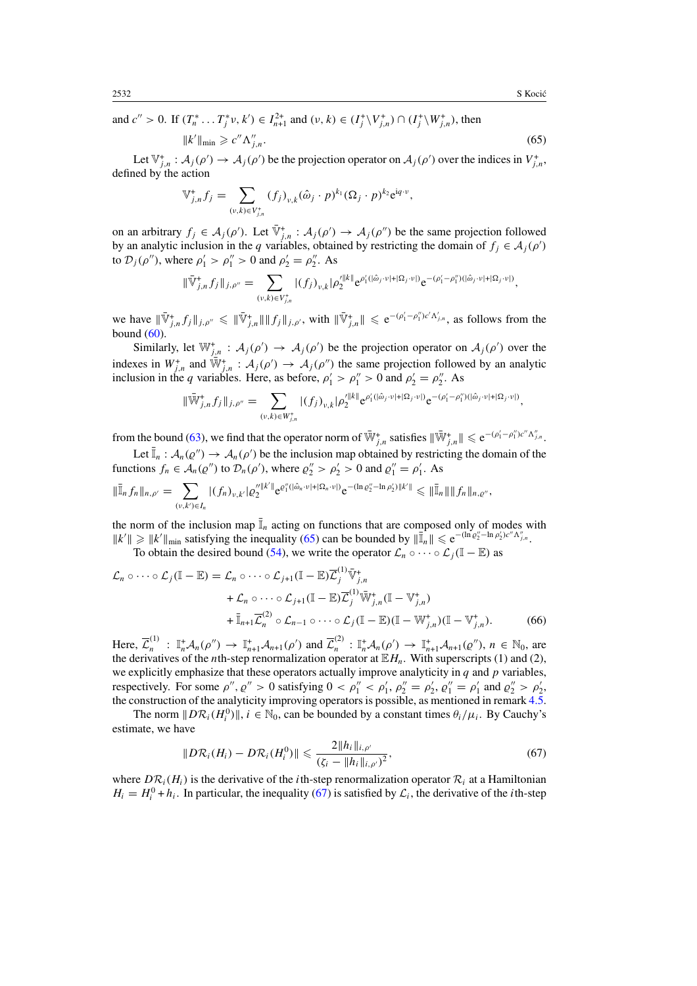and  $c'' > 0$ . If  $(T_n^* \dots T_j^* \nu, k') \in I_{n+1}^{2+}$  and  $(\nu, k) \in (I_j^* \setminus V_{j,n}^*) \cap (I_j^* \setminus W_{j,n}^*)$ , then

$$
||k'||_{\min} \geqslant c'' \Lambda''_{j,n}.
$$
\n
$$
(65)
$$

Let  $\mathbb{V}_{j,n}^+ : \mathcal{A}_j(\rho') \to \mathcal{A}_j(\rho')$  be the projection operator on  $\mathcal{A}_j(\rho')$  over the indices in  $V_{j,n}^+$ , defined by the action

$$
\mathbb{V}_{j,n}^{+} f_j = \sum_{(\nu,k)\in V_{j,n}^{+}} (f_j)_{\nu,k} (\hat{\omega}_j \cdot p)^{k_1} (\Omega_j \cdot p)^{k_2} e^{iq \cdot \nu},
$$

on an arbitrary  $f_j \in A_j(\rho')$ . Let  $\overline{\mathbb{V}}_{j,n}^+ : A_j(\rho') \to A_j(\rho'')$  be the same projection followed by an analytic inclusion in the *q* variables, obtained by restricting the domain of  $f_j \in A_j(\rho')$ to  $\mathcal{D}_j(\rho'')$ , where  $\rho'_1 > \rho''_1 > 0$  and  $\rho'_2 = \rho''_2$ . As

$$
\|\bar{\nabla}^{\ast}_{j,n}f_j\|_{j,\rho''}=\sum_{(v,k)\in V_{j,n}^+}|(f_j)_{v,k}|\rho'^{\|k\|}_{2}e^{\rho'_1(|\hat{\omega}_j\cdot v|+|\Omega_j\cdot v|)}e^{-(\rho'_1-\rho''_1)(|\hat{\omega}_j\cdot v|+|\Omega_j\cdot v|)},
$$

we have  $\|\bar{\nabla}_{j,n}^{\dagger}f_j\|_{j,\rho''}\leqslant \|\bar{\nabla}_{j,n}^{\dagger}\| \|f_j\|_{j,\rho'}$ , with  $\|\bar{\nabla}_{j,n}^{\dagger}\| \leqslant e^{-(\rho'_1-\rho''_1)c'\Lambda'_{j,n}}$ , as follows from the bound  $(60)$ 

Similarly, let  $\mathbb{W}_{j,n}^+$ :  $\mathcal{A}_j(\rho') \to \mathcal{A}_j(\rho')$  be the projection operator on  $\mathcal{A}_j(\rho')$  over the indexes in  $W^+_{j,n}$  and  $\bar{W}^+_{j,n}$  :  $\mathcal{A}_j(\rho') \to \mathcal{A}_j(\rho'')$  the same projection followed by an analytic inclusion in the *q* variables. Here, as before,  $\rho'_1 > \rho''_1 > 0$  and  $\rho'_2 = \rho''_2$ . As

$$
\|\bar{\mathbb{W}}_{j,n}^* f_j\|_{j,\rho''} = \sum_{(v,k)\in W_{j,n}^+} |(f_j)_{v,k}| \rho'^{\|k\|}_2 e^{\rho'_1(|\hat{\omega}_j\cdot v|+|\Omega_j\cdot v|)} e^{-(\rho'_1-\rho''_1)(|\hat{\omega}_j\cdot v|+|\Omega_j\cdot v|)},
$$

from the bound [\(63\)](#page-19-0), we find that the operator norm of  $\overline{W}^+_{j,n}$  satisfies  $\|\overline{W}^+_{j,n}\| \leq e^{-(\rho'_1 - \rho''_1)c''\Lambda''_{j,n}}$ .

Let  $\bar{I}_n$ :  $A_n(\varrho'') \to A_n(\varrho')$  be the inclusion map obtained by restricting the domain of the functions  $f_n \in A_n(\varrho'')$  to  $\mathcal{D}_n(\rho')$ , where  $\varrho''_2 > \rho'_2 > 0$  and  $\varrho''_1 = \rho'_1$ . As

$$
\|\bar{\mathbb{I}}_n f_n\|_{n,\rho'} = \sum_{(\nu,k')\in I_n} |(f_n)_{\nu,k'}| \varrho_2''^{k''}\ e^{\varrho_1''(|\hat{\omega}_n\cdot\nu|+|\Omega_n\cdot\nu|)} e^{-(\ln\varrho_2''-\ln\rho_2')\|k'\|} \leq \|\bar{\mathbb{I}}_n\| \|f_n\|_{n,\varrho'},
$$

the norm of the inclusion map  $\bar{I}_n$  acting on functions that are composed only of modes with  $||k'|| \ge ||k'||_{\text{min}}$  satisfying the inequality (65) can be bounded by  $||\overline{\mathbb{I}}_n|| \le e^{-(\ln \varrho_2^{\prime\prime} - \ln \varrho_2^{\prime})c'' \Lambda_{j,n}^{\prime}}$ .

To obtain the desired bound [\(54\)](#page-18-0), we write the operator  $\mathcal{L}_n \circ \cdots \circ \mathcal{L}_j (\mathbb{I} - \mathbb{E})$  as

$$
\mathcal{L}_n \circ \cdots \circ \mathcal{L}_j (\mathbb{I} - \mathbb{E}) = \mathcal{L}_n \circ \cdots \circ \mathcal{L}_{j+1} (\mathbb{I} - \mathbb{E}) \overline{\mathcal{L}}_j^{(1)} \overline{\mathbb{V}}_{j,n}^+ \n+ \mathcal{L}_n \circ \cdots \circ \mathcal{L}_{j+1} (\mathbb{I} - \mathbb{E}) \overline{\mathcal{L}}_j^{(1)} \overline{\mathbb{W}}_{j,n}^+ (\mathbb{I} - \mathbb{V}_{j,n}^+) \n+ \overline{\mathbb{I}}_{n+1} \overline{\mathcal{L}}_n^{(2)} \circ \mathcal{L}_{n-1} \circ \cdots \circ \mathcal{L}_j (\mathbb{I} - \mathbb{E}) (\mathbb{I} - \mathbb{W}_{j,n}^+) (\mathbb{I} - \mathbb{V}_{j,n}^+).
$$
\n(66)

Here,  $\overline{\mathcal{L}}_n^{(1)}$  :  $\mathbb{I}_n^+ \mathcal{A}_n(\rho'') \to \mathbb{I}_{n+1}^+ \mathcal{A}_{n+1}(\rho')$  and  $\overline{\mathcal{L}}_n^{(2)}$  :  $\mathbb{I}_n^+ \mathcal{A}_n(\rho') \to \mathbb{I}_{n+1}^+ \mathcal{A}_{n+1}(\rho'')$ ,  $n \in \mathbb{N}_0$ , are the derivatives of the *n*th-step renormalization operator at  $\mathbb{E}H_n$ . With superscripts (1) and (2), we explicitly emphasize that these operators actually improve analyticity in  $q$  and  $p$  variables, respectively. For some  $\rho''$ ,  $\rho'' > 0$  satisfying  $0 < \rho''_1 < \rho'_1$ ,  $\rho''_2 = \rho'_2$ ,  $\rho''_1 = \rho'_1$  and  $\rho''_2 > \rho'_2$ , the construction of the analyticity improving operators is possible, as mentioned in remark [4.5.](#page-10-0)

The norm  $\|D\mathcal{R}_i(H_i^0)\|$ ,  $i \in \mathbb{N}_0$ , can be bounded by a constant times  $\theta_i/\mu_i$ . By Cauchy's estimate, we have

$$
||D\mathcal{R}_i(H_i) - D\mathcal{R}_i(H_i^0)|| \leq \frac{2||h_i||_{i,\rho'}}{(\zeta_i - ||h_i||_{i,\rho'})^2},
$$
\n(67)

where  $D\mathcal{R}_i(H_i)$  is the derivative of the *i*th-step renormalization operator  $\mathcal{R}_i$  at a Hamiltonian  $H_i = H_i^0 + h_i$ . In particular, the inequality (67) is satisfied by  $\mathcal{L}_i$ , the derivative of the *i*th-step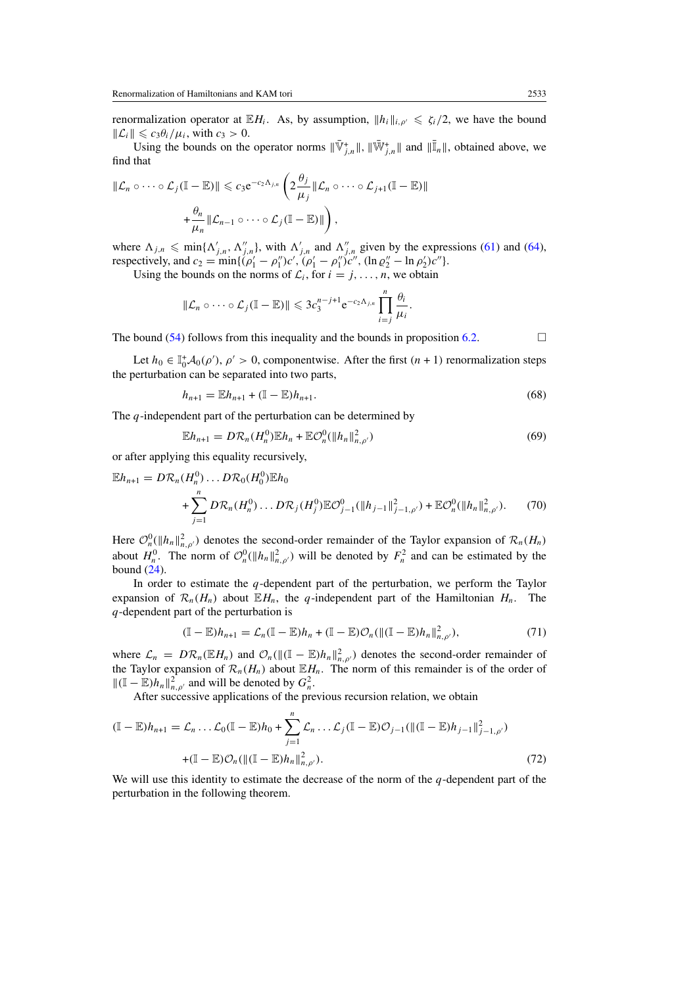<span id="page-21-0"></span>renormalization operator at  $\mathbb{E}H_i$ . As, by assumption,  $||h_i||_{i,\rho'} \leq \zeta_i/2$ , we have the bound  $\|\mathcal{L}_i\| \leqslant c_3\theta_i/\mu_i$ , with  $c_3 > 0$ .

Using the bounds on the operator norms  $\|\bar{\mathbb{V}}_{j,n}^+\|$ ,  $\|\bar{\mathbb{W}}_{j,n}^+\|$  and  $\|\bar{\mathbb{I}}_n\|$ , obtained above, we find that

$$
\|\mathcal{L}_n \circ \cdots \circ \mathcal{L}_j(\mathbb{I} - \mathbb{E})\| \leqslant c_3 e^{-c_2 \Lambda_{j,n}} \left(2 \frac{\theta_j}{\mu_j} \|\mathcal{L}_n \circ \cdots \circ \mathcal{L}_{j+1}(\mathbb{I} - \mathbb{E})\| + \frac{\theta_n}{\mu_n} \|\mathcal{L}_{n-1} \circ \cdots \circ \mathcal{L}_j(\mathbb{I} - \mathbb{E})\|\right),
$$

where  $\Lambda_{j,n} \leq \min\{\Lambda'_{j,n}, \Lambda''_{j,n}\}\$ , with  $\Lambda'_{j,n}$  and  $\Lambda''_{j,n}$  given by the expressions [\(61\)](#page-19-0) and [\(64\)](#page-19-0), respectively, and  $c_2 = \min\{(\rho'_1 - \rho''_1)c', (\rho'_1 - \rho''_1)c'', (\ln \rho''_2 - \ln \rho'_2)c''\}.$ 

Using the bounds on the norms of  $\mathcal{L}_i$ , for  $i = j, \ldots, n$ , we obtain

$$
\|\mathcal{L}_n \circ \cdots \circ \mathcal{L}_j(\mathbb{I} - \mathbb{E})\| \leqslant 3c_3^{n-j+1} e^{-c_2 \Lambda_{j,n}} \prod_{i=j}^n \frac{\theta_i}{\mu_i}.
$$

The bound [\(54\)](#page-18-0) follows from this inequality and the bounds in proposition [6.2.](#page-16-0)  $\Box$ 

Let  $h_0 \in \mathbb{I}_0^+ \mathcal{A}_0(\rho'), \rho' > 0$ , componentwise. After the first  $(n + 1)$  renormalization steps the perturbation can be separated into two parts,

$$
h_{n+1} = \mathbb{E}h_{n+1} + (\mathbb{I} - \mathbb{E})h_{n+1}.
$$
\n(68)

The *q*-independent part of the perturbation can be determined by

$$
\mathbb{E}h_{n+1} = D\mathcal{R}_n(H_n^0)\mathbb{E}h_n + \mathbb{E}\mathcal{O}_n^0(\|h_n\|_{n,\rho'}^2)
$$
\n
$$
(69)
$$

or after applying this equality recursively,

$$
\mathbb{E}h_{n+1} = D\mathcal{R}_n(H_n^0) \dots D\mathcal{R}_0(H_0^0)\mathbb{E}h_0
$$
  
+ 
$$
\sum_{j=1}^n D\mathcal{R}_n(H_n^0) \dots D\mathcal{R}_j(H_j^0)\mathbb{E}\mathcal{O}_{j-1}^0(||h_{j-1}||_{j-1,\rho'}^2) + \mathbb{E}\mathcal{O}_n^0(||h_n||_{n,\rho'}^2).
$$
 (70)

Here  $\mathcal{O}_n^0(\|h_n\|_{n,\rho'}^2)$  denotes the second-order remainder of the Taylor expansion of  $\mathcal{R}_n(H_n)$ about  $H_n^0$ . The norm of  $\mathcal{O}_n^0(\|h_n\|_{n,\rho'}^2)$  will be denoted by  $F_n^2$  and can be estimated by the bound [\(24\)](#page-10-0).

In order to estimate the *q*-dependent part of the perturbation, we perform the Taylor expansion of  $\mathcal{R}_n(H_n)$  about  $\mathbb{E}H_n$ , the *q*-independent part of the Hamiltonian  $H_n$ . The *q*-dependent part of the perturbation is

$$
(\mathbb{I}-\mathbb{E})h_{n+1}=\mathcal{L}_n(\mathbb{I}-\mathbb{E})h_n+(\mathbb{I}-\mathbb{E})\mathcal{O}_n(\|(\mathbb{I}-\mathbb{E})h_n\|_{n,\rho'}^2),
$$
\n(71)

where  $\mathcal{L}_n = DR_n(\mathbb{E}H_n)$  and  $\mathcal{O}_n(\|(\mathbb{I}-\mathbb{E})h_n\|_{n,\rho}^2)$  denotes the second-order remainder of the Taylor expansion of  $\mathcal{R}_n(H_n)$  about  $\mathbb{E}[H_n]$ . The norm of this remainder is of the order of  $||(I - E)h_n||_{n,\rho'}^2$  and will be denoted by  $G_n^2$ .

After successive applications of the previous recursion relation, we obtain

$$
(\mathbb{I} - \mathbb{E})h_{n+1} = \mathcal{L}_n \dots \mathcal{L}_0(\mathbb{I} - \mathbb{E})h_0 + \sum_{j=1}^n \mathcal{L}_n \dots \mathcal{L}_j(\mathbb{I} - \mathbb{E})\mathcal{O}_{j-1}(\|(\mathbb{I} - \mathbb{E})h_{j-1}\|_{j-1,\rho'}^2) + (\mathbb{I} - \mathbb{E})\mathcal{O}_n(\|(\mathbb{I} - \mathbb{E})h_n\|_{n,\rho'}^2).
$$
\n(72)

We will use this identity to estimate the decrease of the norm of the *q*-dependent part of the perturbation in the following theorem.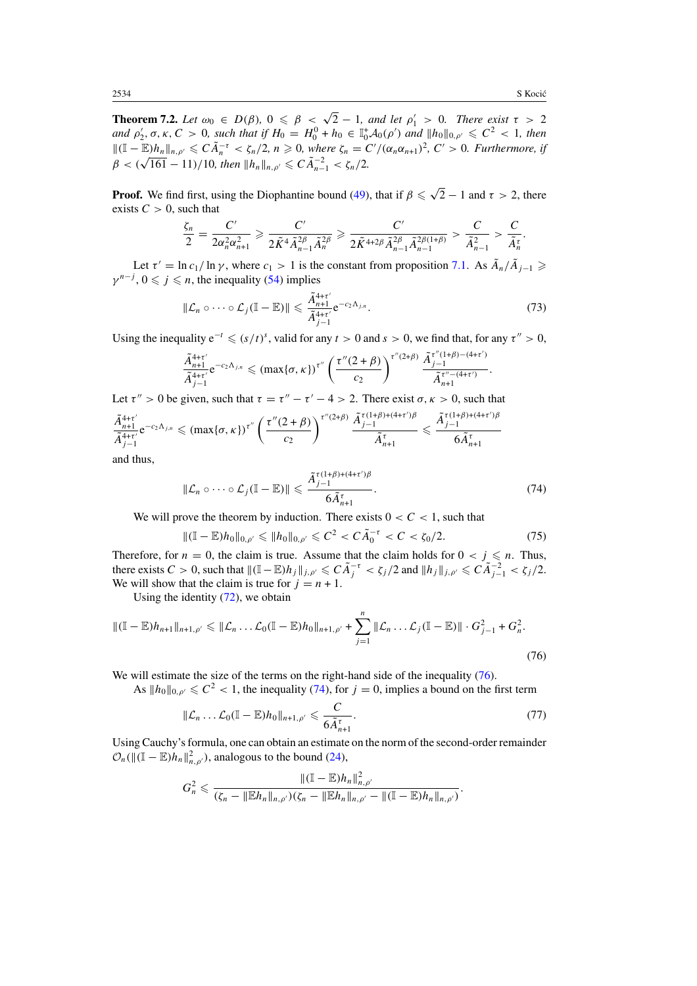*.*

<span id="page-22-0"></span>**Theorem 7.2.** *Let*  $\omega_0 \in D(\beta)$ ,  $0 \le \beta \le \sqrt{2} - 1$ , and let  $\rho'_1 > 0$ . There exist  $\tau > 2$ *and*  $\rho'_2, \sigma, \kappa, C > 0$ , such that if  $H_0 = H_0^0 + h_0 \in \mathbb{I}_0^+ A_0(\rho')$  and  $||h_0||_{0,\rho'} \leq C^2 < 1$ , then  $||(I−E)h_n||_{n,\rho'}$  ≤  $C\tilde{A}_n^{-\tau}$  <  $\zeta_n/2$ ,  $n \ge 0$ , where  $\zeta_n = C'/(\alpha_n\alpha_{n+1})^2$ ,  $C' > 0$ . Furthermore, if *g*  $\beta$  <  $(\sqrt{161} - 11)/10$ , then  $||h_n||_{n,p'} \leq C \tilde{A}_{n-1}^{-2} < \zeta_n/2$ .

**Proof.** We find first, using the Diophantine bound [\(49\)](#page-16-0), that if  $\beta \leq \sqrt{2} - 1$  and  $\tau > 2$ , there exists  $C > 0$ , such that

$$
\frac{\zeta_n}{2} = \frac{C'}{2\alpha_n^2 \alpha_{n+1}^2} \geq \frac{C'}{2\tilde{K}^4 \tilde{A}_{n-1}^{2\beta} \tilde{A}_n^{2\beta}} \geq \frac{C'}{2\tilde{K}^{4+2\beta} \tilde{A}_{n-1}^{2\beta} \tilde{A}_{n-1}^{2\beta(1+\beta)}} > \frac{C}{\tilde{A}_{n-1}^2} > \frac{C}{\tilde{A}_n^{\tau}}.
$$

Let  $\tau' = \ln c_1 / \ln \gamma$ , where  $c_1 > 1$  is the constant from proposition [7.1.](#page-18-0) As  $\tilde{A}_n / \tilde{A}_{i-1} \geq$  $\gamma^{n-j}$ ,  $0 \leq j \leq n$ , the inequality [\(54\)](#page-18-0) implies

$$
\|\mathcal{L}_n \circ \cdots \circ \mathcal{L}_j(\mathbb{I} - \mathbb{E})\| \leq \frac{\tilde{A}_{n+1}^{4+\tau'}}{\tilde{A}_{j-1}^{4+\tau'}} e^{-c_2 \Lambda_{j,n}}.
$$
\n(73)

Using the inequality  $e^{-t} \leqslant (s/t)^s$ , valid for any  $t > 0$  and  $s > 0$ , we find that, for any  $\tau'' > 0$ ,

$$
\frac{\tilde{A}_{n+1}^{4+\tau'}}{\tilde{A}_{j-1}^{4+\tau'}} e^{-c_2 \Lambda_{j,n}} \le (\max\{\sigma,\kappa\})^{\tau''}\left(\frac{\tau''(2+\beta)}{c_2}\right)^{\tau''(2+\beta)} \frac{\tilde{A}_{j-1}^{\tau''(1+\beta)-(4+\tau')}}{\tilde{A}_{n+1}^{\tau''-(4+\tau')}}
$$

Let  $\tau'' > 0$  be given, such that  $\tau = \tau'' - \tau' - 4 > 2$ . There exist  $\sigma, \kappa > 0$ , such that

$$
\frac{\tilde{A}_{n+1}^{4+\tau'}}{\tilde{A}_{j-1}^{4+\tau'}}e^{-c_2\Lambda_{j,n}}\leq (\max\{\sigma,\kappa\})^{\tau''}\left(\frac{\tau''(2+\beta)}{c_2}\right)^{\tau''(2+\beta)}\frac{\tilde{A}_{j-1}^{\tau(1+\beta)+(4+\tau')\beta}}{\tilde{A}_{n+1}^{\tau}}\leq \frac{\tilde{A}_{j-1}^{\tau(1+\beta)+(4+\tau')\beta}}{6\tilde{A}_{n+1}^{\tau}}
$$

and thus,

$$
\|\mathcal{L}_n \circ \cdots \circ \mathcal{L}_j(\mathbb{I} - \mathbb{E})\| \leq \frac{\tilde{A}_{j-1}^{\tau(1+\beta)+(4+\tau')\beta}}{6\tilde{A}_{n+1}^{\tau}}.
$$
\n(74)

We will prove the theorem by induction. There exists  $0 < C < 1$ , such that

$$
\|(\mathbb{I} - \mathbb{E})h_0\|_{0,\rho'} \leq \|h_0\|_{0,\rho'} \leq C^2 < C\tilde{A}_0^{-\tau} < C < \zeta_0/2. \tag{75}
$$

Therefore, for  $n = 0$ , the claim is true. Assume that the claim holds for  $0 < j \le n$ . Thus, there exists  $C > 0$ , such that  $\|(\mathbb{I} - \mathbb{E})h_j\|_{j,\rho'} \leqslant C\tilde{A}_j^{-\tau} < \zeta_j/2$  and  $\|h_j\|_{j,\rho'} \leqslant C\tilde{A}_{j-1}^{-2} < \zeta_j/2$ . We will show that the claim is true for  $j = n + 1$ .

Using the identity  $(72)$ , we obtain

$$
\|(\mathbb{I} - \mathbb{E})h_{n+1}\|_{n+1,\rho'} \leq \|\mathcal{L}_n \dots \mathcal{L}_0(\mathbb{I} - \mathbb{E})h_0\|_{n+1,\rho'} + \sum_{j=1}^n \|\mathcal{L}_n \dots \mathcal{L}_j(\mathbb{I} - \mathbb{E})\| \cdot G_{j-1}^2 + G_n^2.
$$
\n(76)

We will estimate the size of the terms on the right-hand side of the inequality  $(76)$ .

As  $||h_0||_{0,\rho'} \leq C^2 < 1$ , the inequality (74), for  $j = 0$ , implies a bound on the first term

$$
\|\mathcal{L}_n \dots \mathcal{L}_0(\mathbb{I} - \mathbb{E})h_0\|_{n+1,\rho'} \leqslant \frac{C}{6\tilde{A}_{n+1}^{\tau}}.
$$
\n(77)

Using Cauchy's formula, one can obtain an estimate on the norm of the second-order remainder  $\mathcal{O}_n(\|(\mathbb{I} - \mathbb{E})h_n\|_{n,\rho}^2)$ , analogous to the bound [\(24\)](#page-10-0),

$$
G_n^2 \leq \frac{\|(\mathbb{I}-\mathbb{E})h_n\|_{n,\rho'}^2}{(\zeta_n-\|\mathbb{E}h_n\|_{n,\rho'})(\zeta_n-\|\mathbb{E}h_n\|_{n,\rho'}-\|(\mathbb{I}-\mathbb{E})h_n\|_{n,\rho'})}.
$$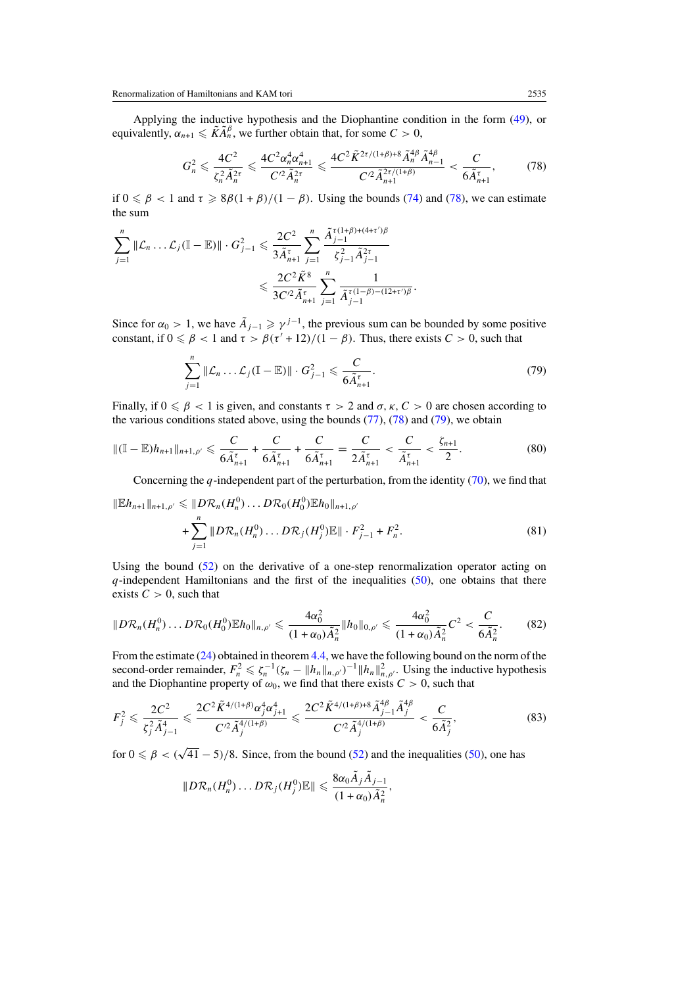<span id="page-23-0"></span>Applying the inductive hypothesis and the Diophantine condition in the form [\(49\)](#page-16-0), or equivalently,  $\alpha_{n+1} \le \tilde{K} \tilde{A}_n^{\beta}$ , we further obtain that, for some  $C > 0$ ,

$$
G_n^2 \leq \frac{4C^2}{\zeta_n^2 \tilde{A}_n^{2\tau}} \leq \frac{4C^2 \alpha_n^4 \alpha_{n+1}^4}{C'^2 \tilde{A}_n^{2\tau}} \leq \frac{4C^2 \tilde{K}^{2\tau/(1+\beta)+8} \tilde{A}_n^{4\beta} \tilde{A}_{n-1}^{4\beta}}{C'^2 \tilde{A}_{n+1}^{2\tau/(1+\beta)}} < \frac{C}{6\tilde{A}_{n+1}^{\tau}},\tag{78}
$$

if  $0 \le \beta < 1$  and  $\tau \ge 8\beta(1 + \beta)/(1 - \beta)$ . Using the bounds [\(74\)](#page-22-0) and (78), we can estimate the sum

$$
\sum_{j=1}^{n} \|\mathcal{L}_n \dots \mathcal{L}_j(\mathbb{I} - \mathbb{E})\| \cdot G_{j-1}^2 \leq \frac{2C^2}{3\tilde{A}_{n+1}^{\tau}} \sum_{j=1}^{n} \frac{\tilde{A}_{j-1}^{\tau(1+\beta)+(4+\tau')\beta}}{\zeta_{j-1}^2 \tilde{A}_{j-1}^2} \leq \frac{2C^2 \tilde{K}^8}{3C'^2 \tilde{A}_{n+1}^{\tau}} \sum_{j=1}^{n} \frac{1}{\tilde{A}_{j-1}^{\tau(1-\beta)-(12+\tau')\beta}}.
$$

Since for  $\alpha_0 > 1$ , we have  $\tilde{A}_{i-1} \geq \gamma^{j-1}$ , the previous sum can be bounded by some positive constant, if  $0 \le \beta < 1$  and  $\tau > \beta(\tau' + 12)/(1 - \beta)$ . Thus, there exists  $C > 0$ , such that

$$
\sum_{j=1}^{n} \|\mathcal{L}_n \dots \mathcal{L}_j(\mathbb{I} - \mathbb{E})\| \cdot G_{j-1}^2 \leqslant \frac{C}{6\tilde{A}_{n+1}^{\tau}}.
$$
\n(79)

Finally, if  $0 \le \beta < 1$  is given, and constants  $\tau > 2$  and  $\sigma$ ,  $\kappa$ ,  $C > 0$  are chosen according to the various conditions stated above, using the bounds  $(77)$ ,  $(78)$  and  $(79)$ , we obtain

$$
\| (\mathbb{I} - \mathbb{E}) h_{n+1} \|_{n+1,\rho'} \leqslant \frac{C}{6\tilde{A}_{n+1}^{\tau}} + \frac{C}{6\tilde{A}_{n+1}^{\tau}} + \frac{C}{6\tilde{A}_{n+1}^{\tau}} = \frac{C}{2\tilde{A}_{n+1}^{\tau}} < \frac{C}{\tilde{A}_{n+1}^{\tau}} < \frac{\zeta_{n+1}}{2}.
$$
 (80)

Concerning the *q*-independent part of the perturbation, from the identity [\(70\)](#page-21-0), we find that

$$
\|Eh_{n+1}\|_{n+1,\rho'} \leq \|D\mathcal{R}_n(H_n^0)\dots D\mathcal{R}_0(H_0^0)Eh_0\|_{n+1,\rho'}
$$
  
+ 
$$
\sum_{j=1}^n \|D\mathcal{R}_n(H_n^0)\dots D\mathcal{R}_j(H_j^0)E\| \cdot F_{j-1}^2 + F_n^2.
$$
 (81)

Using the bound  $(52)$  on the derivative of a one-step renormalization operator acting on *q*-independent Hamiltonians and the first of the inequalities [\(50\)](#page-17-0), one obtains that there exists  $C > 0$ , such that

$$
||D\mathcal{R}_n(H_n^0)\dots D\mathcal{R}_0(H_0^0)\mathbb{E}h_0\|_{n,\rho'}\leq \frac{4\alpha_0^2}{(1+\alpha_0)\tilde{A}_n^2}||h_0||_{0,\rho'}\leq \frac{4\alpha_0^2}{(1+\alpha_0)\tilde{A}_n^2}C^2<\frac{C}{6\tilde{A}_n^2}.
$$
 (82)

From the estimate [\(24\)](#page-10-0) obtained in theorem [4.4,](#page-9-0) we have the following bound on the norm of the second-order remainder,  $F_n^2 \le \zeta_n^{-1} (\zeta_n - ||h_n||_{n,\rho'})^{-1} ||h_n||_{n,\rho'}^2$ . Using the inductive hypothesis and the Diophantine property of  $\omega_0$ , we find that there exists  $C > 0$ , such that

$$
F_j^2 \leqslant \frac{2C^2}{\zeta_j^2 \tilde{A}_{j-1}^4} \leqslant \frac{2C^2 \tilde{K}^{4/(1+\beta)} \alpha_j^4 \alpha_{j+1}^4}{C'^2 \tilde{A}_j^{4/(1+\beta)}} \leqslant \frac{2C^2 \tilde{K}^{4/(1+\beta)+8} \tilde{A}_{j-1}^{4\beta} \tilde{A}_j^{4\beta}}{C'^2 \tilde{A}_j^{4/(1+\beta)}} < \frac{C}{6\tilde{A}_j^2},\tag{83}
$$

for  $0 \le \beta < (\sqrt{41} - 5)/8$ . Since, from the bound [\(52\)](#page-17-0) and the inequalities [\(50\)](#page-17-0), one has

$$
||D\mathcal{R}_n(H_n^0)\dots D\mathcal{R}_j(H_j^0)\mathbb{E}|| \leq \frac{8\alpha_0\tilde{A}_j\tilde{A}_{j-1}}{(1+\alpha_0)\tilde{A}_n^2},
$$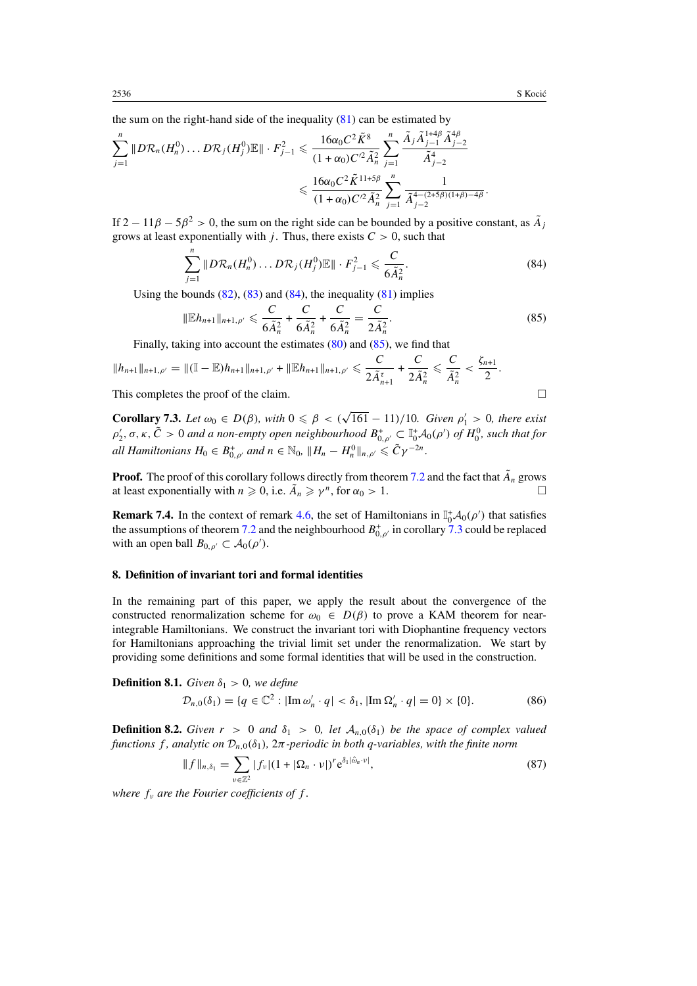*.*

<span id="page-24-0"></span>the sum on the right-hand side of the inequality  $(81)$  can be estimated by

$$
\sum_{j=1}^{n} \|D\mathcal{R}_n(H_n^0)\dots D\mathcal{R}_j(H_j^0)\mathbb{E}\| \cdot F_{j-1}^2 \leq \frac{16\alpha_0 C^2 \tilde{K}^8}{(1+\alpha_0)C'^2 \tilde{A}_n^2} \sum_{j=1}^{n} \frac{\tilde{A}_j \tilde{A}_{j-1}^{1+4\beta} \tilde{A}_{j-2}^{4\beta}}{\tilde{A}_{j-2}^4} \leq \frac{16\alpha_0 C^2 \tilde{K}^{11+5\beta}}{(1+\alpha_0)C'^2 \tilde{A}_n^2} \sum_{j=1}^{n} \frac{1}{\tilde{A}_{j-2}^{4-(2+5\beta)(1+\beta)-4\beta}}
$$

If  $2 - 11\beta - 5\beta^2 > 0$ , the sum on the right side can be bounded by a positive constant, as  $\tilde{A}_i$ grows at least exponentially with *j*. Thus, there exists  $C > 0$ , such that

$$
\sum_{j=1}^{n} \|D\mathcal{R}_n(H_n^0)\dots D\mathcal{R}_j(H_j^0)\mathbb{E}\| \cdot F_{j-1}^2 \leqslant \frac{C}{6\tilde{A}_n^2}.\tag{84}
$$

Using the bounds  $(82)$ ,  $(83)$  and  $(84)$ , the inequality  $(81)$  implies

$$
\|\mathbb{E}h_{n+1}\|_{n+1,\rho'} \leqslant \frac{C}{6\tilde{A}_n^2} + \frac{C}{6\tilde{A}_n^2} + \frac{C}{6\tilde{A}_n^2} = \frac{C}{2\tilde{A}_n^2}.
$$
\n(85)

Finally, taking into account the estimates [\(80\)](#page-23-0) and (85), we find that

$$
||h_{n+1}||_{n+1,\rho'} = ||(\mathbb{I} - \mathbb{E})h_{n+1}||_{n+1,\rho'} + ||\mathbb{E}h_{n+1}||_{n+1,\rho'} \leq \frac{C}{2\tilde{A}_{n+1}^{\tau}} + \frac{C}{2\tilde{A}_{n}^{2}} \leq \frac{C}{\tilde{A}_{n}^{2}} < \frac{\zeta_{n+1}}{2}.
$$

This completes the proof of the claim.  $\Box$ 

**Corollary 7.3.** *Let*  $\omega_0 \in D(\beta)$ *, with*  $0 \le \beta < (\sqrt{161} - 11)/10$ *. Given*  $\rho'_1 > 0$ *, there exist ρ*<sup>1</sup><sub>2</sub>,  $\sigma$ ,  $\kappa$ ,  $\tilde{C} > 0$  *and a non-empty open neighbourhood*  $B_{0,\rho'}^+ \subset \mathbb{I}_0^+$  $\mathcal{A}_0(\rho')$  *of*  $H_0^0$ *, such that for all Hamiltonians*  $H_0 \in B_{0,\rho'}^+$  *and*  $n \in \mathbb{N}_0$ ,  $\|H_n - H_n^0\|_{n,\rho'} \leqslant \tilde{C}\gamma^{-2n}$ .

**Proof.** The proof of this corollary follows directly from theorem [7.2](#page-21-0) and the fact that  $\tilde{A}_n$  grows at least exponentially with  $n \geq 0$ , i.e.  $\tilde{A}_n \geq \gamma^n$ , for  $\alpha_0 > 1$ .

**Remark 7.4.** In the context of remark [4.6,](#page-10-0) the set of Hamiltonians in  $\mathbb{I}_0^+ \mathcal{A}_0(\rho')$  that satisfies the assumptions of theorem [7.2](#page-21-0) and the neighbourhood  $B_{0,\rho'}^+$  in corollary 7.3 could be replaced with an open ball  $B_{0,\rho'} \subset A_0(\rho').$ 

#### **8. Definition of invariant tori and formal identities**

In the remaining part of this paper, we apply the result about the convergence of the constructed renormalization scheme for  $\omega_0 \in D(\beta)$  to prove a KAM theorem for nearintegrable Hamiltonians. We construct the invariant tori with Diophantine frequency vectors for Hamiltonians approaching the trivial limit set under the renormalization. We start by providing some definitions and some formal identities that will be used in the construction.

**Definition 8.1.** *Given*  $\delta_1 > 0$ *, we define* 

$$
\mathcal{D}_{n,0}(\delta_1) = \{q \in \mathbb{C}^2 : |\text{Im}\,\omega'_n \cdot q| < \delta_1, |\text{Im}\,\Omega'_n \cdot q| = 0\} \times \{0\}.\tag{86}
$$

**Definition 8.2.** *Given*  $r > 0$  *and*  $\delta_1 > 0$ , let  $\mathcal{A}_{n,0}(\delta_1)$  be the space of complex valued *functions f , analytic on* D*n,*0*(δ*1*),* 2*π-periodic in both q-variables, with the finite norm*

$$
||f||_{n,\delta_1} = \sum_{\nu \in \mathbb{Z}^2} |f_{\nu}| (1 + |\Omega_n \cdot \nu|)^r e^{\delta_1 |\hat{\omega}_n \cdot \nu|}, \tag{87}
$$

*where*  $f_v$  *are the Fourier coefficients of*  $f$ *.*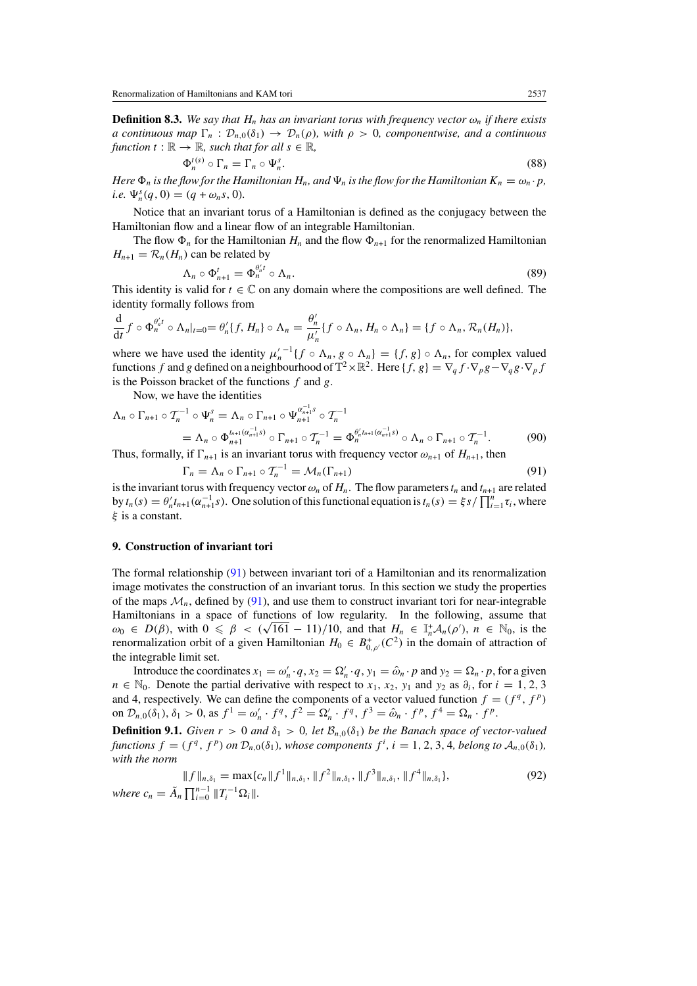<span id="page-25-0"></span>**Definition 8.3.** *We say that*  $H_n$  *has an invariant torus with frequency vector*  $\omega_n$  *if there exists a continuous map*  $\Gamma_n$  :  $\mathcal{D}_{n,0}(\delta_1) \to \mathcal{D}_n(\rho)$ *, with*  $\rho > 0$ *, componentwise, and a continuous function*  $t : \mathbb{R} \to \mathbb{R}$ *, such that for all*  $s \in \mathbb{R}$ *,* 

$$
\Phi_n^{t(s)} \circ \Gamma_n = \Gamma_n \circ \Psi_n^s. \tag{88}
$$

*Here*  $\Phi_n$  *is the flow for the Hamiltonian*  $H_n$ *, and*  $\Psi_n$  *is the flow for the Hamiltonian*  $K_n = \omega_n \cdot p$ *, i.e.*  $\Psi_n^s(q, 0) = (q + \omega_n s, 0)$ *.* 

Notice that an invariant torus of a Hamiltonian is defined as the conjugacy between the Hamiltonian flow and a linear flow of an integrable Hamiltonian.

The flow  $\Phi_n$  for the Hamiltonian  $H_n$  and the flow  $\Phi_{n+1}$  for the renormalized Hamiltonian  $H_{n+1} = \mathcal{R}_n(H_n)$  can be related by

$$
\Lambda_n \circ \Phi_{n+1}^t = \Phi_n^{\theta'_n t} \circ \Lambda_n. \tag{89}
$$

This identity is valid for  $t \in \mathbb{C}$  on any domain where the compositions are well defined. The identity formally follows from

$$
\frac{\mathrm{d}}{\mathrm{d}t}f\circ\Phi_n^{\theta'_n t}\circ\Lambda_n|_{t=0}=\theta'_n\{f,H_n\}\circ\Lambda_n=\frac{\theta'_n}{\mu'_n}\{f\circ\Lambda_n,H_n\circ\Lambda_n\}=\{f\circ\Lambda_n,\mathcal{R}_n(H_n)\},\
$$

where we have used the identity  $\mu_n'^{-1} \{ f \circ \Lambda_n, g \circ \Lambda_n \} = \{ f, g \} \circ \Lambda_n$ , for complex valued functions *f* and *g* defined on a neighbourhood of  $\mathbb{T}^2 \times \mathbb{R}^2$ . Here  $\{f, g\} = \nabla_q f \cdot \nabla_p g - \nabla_q g \cdot \nabla_p f$ is the Poisson bracket of the functions *f* and *g*.

Now, we have the identities

$$
\Lambda_n \circ \Gamma_{n+1} \circ \mathcal{T}_n^{-1} \circ \Psi_n^s = \Lambda_n \circ \Gamma_{n+1} \circ \Psi_{n+1}^{\alpha_{n+1}^{-1} s} \circ \mathcal{T}_n^{-1}
$$
  
=  $\Lambda_n \circ \Phi_{n+1}^{t_{n+1}(\alpha_{n+1}^{-1} s)} \circ \Gamma_{n+1} \circ \mathcal{T}_n^{-1} = \Phi_n^{\theta_{n+1}^{t}(\alpha_{n+1}^{-1} s)} \circ \Lambda_n \circ \Gamma_{n+1} \circ \mathcal{T}_n^{-1}.$  (90)

Thus, formally, if  $\Gamma_{n+1}$  is an invariant torus with frequency vector  $\omega_{n+1}$  of  $H_{n+1}$ , then

$$
\Gamma_n = \Lambda_n \circ \Gamma_{n+1} \circ \mathcal{T}_n^{-1} = \mathcal{M}_n(\Gamma_{n+1})
$$
\n(91)

is the invariant torus with frequency vector  $\omega_n$  of  $H_n$ . The flow parameters  $t_n$  and  $t_{n+1}$  are related by  $t_n(s) = \theta'_n t_{n+1}(\alpha_{n+1}^{-1} s)$ . One solution of this functional equation is  $t_n(s) = \xi s / \prod_{i=1}^n \tau_i$ , where *ξ* is a constant.

#### **9. Construction of invariant tori**

The formal relationship (91) between invariant tori of a Hamiltonian and its renormalization image motivates the construction of an invariant torus. In this section we study the properties of the maps  $\mathcal{M}_n$ , defined by (91), and use them to construct invariant tori for near-integrable Hamiltonians in a space of functions of low regularity. In the following, assume that *Hamiltonians* in a space of functions of low regularity. In the following, assume that  $\omega_0 \in D(\beta)$ , with  $0 \le \beta < (\sqrt{161} - 11)/10$ , and that  $H_n \in \mathbb{I}_n^+ A_n(\rho')$ ,  $n \in \mathbb{N}_0$ , is the renormalization orbit of a given Hamiltonian  $H_0 \in B^+_{0,\rho'}(C^2)$  in the domain of attraction of the integrable limit set.

Introduce the coordinates  $x_1 = \omega'_n \cdot q$ ,  $x_2 = \Omega'_n \cdot q$ ,  $y_1 = \hat{\omega}_n \cdot p$  and  $y_2 = \Omega_n \cdot p$ , for a given *n* ∈  $\mathbb{N}_0$ . Denote the partial derivative with respect to *x*<sub>1</sub>, *x*<sub>2</sub>, *y*<sub>1</sub> and *y*<sub>2</sub> as  $\partial_i$ , for *i* = 1, 2, 3 and 4, respectively. We can define the components of a vector valued function  $f = (f^q, f^p)$ on  $\mathcal{D}_{n,0}(\delta_1), \delta_1 > 0$ , as  $f^1 = \omega'_n \cdot f^q$ ,  $f^2 = \Omega'_n \cdot f^q$ ,  $f^3 = \hat{\omega}_n \cdot f^p$ ,  $f^4 = \Omega_n \cdot f^p$ .

**Definition 9.1.** *Given*  $r > 0$  *and*  $\delta_1 > 0$ *, let*  $\mathcal{B}_{n,0}(\delta_1)$  *be the Banach space of vector-valued* functions  $f = (f^q, f^p)$  on  $\mathcal{D}_{n,0}(\delta_1)$ , whose components  $f^i$ ,  $i = 1, 2, 3, 4$ , belong to  $\mathcal{A}_{n,0}(\delta_1)$ , *with the norm*

$$
||f||_{n,\delta_1} = \max\{c_n || f^1 ||_{n,\delta_1}, ||f^2 ||_{n,\delta_1}, ||f^3 ||_{n,\delta_1}, ||f^4 ||_{n,\delta_1}\},
$$
\n(92)

\nwhere  $c_n = \tilde{A}_n \prod_{i=0}^{n-1} ||T_i^{-1} \Omega_i||.$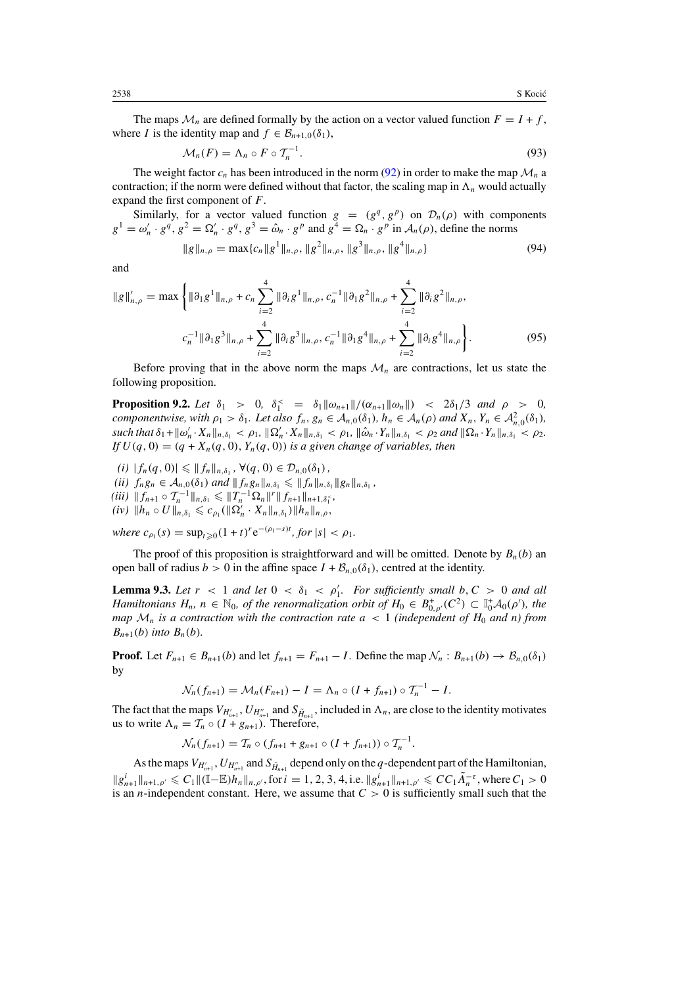<span id="page-26-0"></span>The maps  $\mathcal{M}_n$  are defined formally by the action on a vector valued function  $F = I + f$ , where *I* is the identity map and  $f \in \mathcal{B}_{n+1,0}(\delta_1)$ ,

$$
\mathcal{M}_n(F) = \Lambda_n \circ F \circ \mathcal{T}_n^{-1}.\tag{93}
$$

The weight factor  $c_n$  has been introduced in the norm [\(92\)](#page-25-0) in order to make the map  $\mathcal{M}_n$  a contraction; if the norm were defined without that factor, the scaling map in  $\Lambda_n$  would actually expand the first component of *F*.

Similarly, for a vector valued function  $g = (g^q, g^p)$  on  $\mathcal{D}_n(\rho)$  with components  $g^1 = \omega'_n \cdot g^q$ ,  $g^2 = \Omega'_n \cdot g^q$ ,  $g^3 = \hat{\omega}_n \cdot g^p$  and  $g^4 = \Omega_n \cdot g^p$  in  $\mathcal{A}_n(\rho)$ , define the norms

$$
||g||_{n,\rho} = \max\{c_n||g^1||_{n,\rho}, ||g^2||_{n,\rho}, ||g^3||_{n,\rho}, ||g^4||_{n,\rho}\}
$$
(94)

and

$$
\|g\|_{n,\rho}' = \max \left\{ \|\partial_1 g^1\|_{n,\rho} + c_n \sum_{i=2}^4 \|\partial_i g^1\|_{n,\rho}, c_n^{-1} \|\partial_1 g^2\|_{n,\rho} + \sum_{i=2}^4 \|\partial_i g^2\|_{n,\rho}, \right.\n c_n^{-1} \|\partial_1 g^3\|_{n,\rho} + \sum_{i=2}^4 \|\partial_i g^3\|_{n,\rho}, c_n^{-1} \|\partial_1 g^4\|_{n,\rho} + \sum_{i=2}^4 \|\partial_i g^4\|_{n,\rho} \right\}.
$$
\n(95)

Before proving that in the above norm the maps  $\mathcal{M}_n$  are contractions, let us state the following proposition.

**Proposition 9.2.** *Let*  $\delta_1 > 0$ ,  $\delta_1^{\lt} = \delta_1 ||\omega_{n+1}||/(\alpha_{n+1} ||\omega_n||)$  <  $2\delta_1/3$  *and*  $\rho > 0$ , *componentwise, with*  $\rho_1 > \delta_1$ *. Let also*  $f_n, g_n \in A_{n,0}(\delta_1)$ *,*  $h_n \in A_n(\rho)$  and  $X_n, Y_n \in A_{n,0}^2(\delta_1)$ *,* such that  $\delta_1 + ||\omega'_n \cdot X_n||_{n, \delta_1} < \rho_1$ ,  $||\Omega'_n \cdot X_n||_{n, \delta_1} < \rho_1$ ,  $||\hat{\omega}_n \cdot Y_n||_{n, \delta_1} < \rho_2$  and  $||\Omega_n \cdot Y_n||_{n, \delta_1} < \rho_2$ . *If*  $U(q, 0) = (q + X_n(q, 0), Y_n(q, 0))$  *is a given change of variables, then* 

 $(|i| |f_n(q, 0)| \leq ||f_n||_{n,\delta_1}, \forall (q, 0) \in \mathcal{D}_{n,0}(\delta_1)$ , *(ii)*  $f_n g_n \in A_{n,0}(\delta_1)$  *and*  $|| f_n g_n ||_{n,\delta_1} \leq || f_n ||_{n,\delta_1} || g_n ||_{n,\delta_1}$ ,  $(iii)$   $|| f_{n+1} \circ T_n^{-1} ||_{n,\delta_1} \leq || T_n^{-1} \Omega_n ||^r || f_{n+1} ||_{n+1,\delta_1^{-}}$  $(iv)$   $\|h_n \circ U\|_{n,\delta_1} \leqslant c_{\rho_1}(\|\Omega'_n \cdot X_n\|_{n,\delta_1}) \|h_n\|_{n,\rho}$ ,

*where*  $c_{\rho_1}(s) = \sup_{t \geq 0} (1 + t)^r e^{-(\rho_1 - s)t}$ , for  $|s| < \rho_1$ .

The proof of this proposition is straightforward and will be omitted. Denote by  $B_n(b)$  and open ball of radius  $b > 0$  in the affine space  $I + \mathcal{B}_{n,0}(\delta_1)$ , centred at the identity.

**Lemma 9.3.** Let  $r < 1$  and let  $0 < \delta_1 < \rho'_1$ . For sufficiently small  $b, C > 0$  and all *Hamiltonians*  $H_n$ ,  $n \in \mathbb{N}_0$ , *of the renormalization orbit of*  $H_0 \in B^+_{0,\rho'}(C^2) \subset \mathbb{I}_0^+ A_0(\rho')$ , the *map*  $\mathcal{M}_n$  *is a contraction with the contraction rate*  $a < 1$  *(independent of*  $H_0$  *and n) from B<sub>n+1</sub>*(*b*) *into B<sub>n</sub>*(*b*)*.* 

**Proof.** Let  $F_{n+1} \in B_{n+1}(b)$  and let  $f_{n+1} = F_{n+1} - I$ . Define the map  $\mathcal{N}_n : B_{n+1}(b) \to B_{n,0}(\delta_1)$ by

$$
\mathcal{N}_n(f_{n+1}) = \mathcal{M}_n(F_{n+1}) - I = \Lambda_n \circ (I + f_{n+1}) \circ T_n^{-1} - I.
$$

The fact that the maps  $V_{H'_{n+1}}$ ,  $U_{H''_{n+1}}$  and  $S_{\tilde{H}_{n+1}}$ , included in  $\Lambda_n$ , are close to the identity motivates us to write  $\Lambda_n = \mathcal{T}_n \circ (I + g_{n+1})$ . Therefore,

$$
\mathcal{N}_n(f_{n+1}) = \mathcal{T}_n \circ (f_{n+1} + g_{n+1} \circ (I + f_{n+1})) \circ \mathcal{T}_n^{-1}.
$$

As the maps  $V_{H'_{n+1}}, U_{H''_{n+1}}$  and  $S_{\tilde{H}_{n+1}}$  depend only on the *q*-dependent part of the Hamiltonian,  $||g_{n+1}^i||_{n+1,\rho'} \leq C_1 ||(\mathbb{I}-\mathbb{E})h_n||_{n,\rho'}$ , for  $i=1,2,3,4$ , i.e.  $||g_{n+1}^i||_{n+1,\rho'} \leq C C_1 \tilde{A}_n^{-\tau}$ , where  $C_1 > 0$ is an *n*-independent constant. Here, we assume that  $C > 0$  is sufficiently small such that the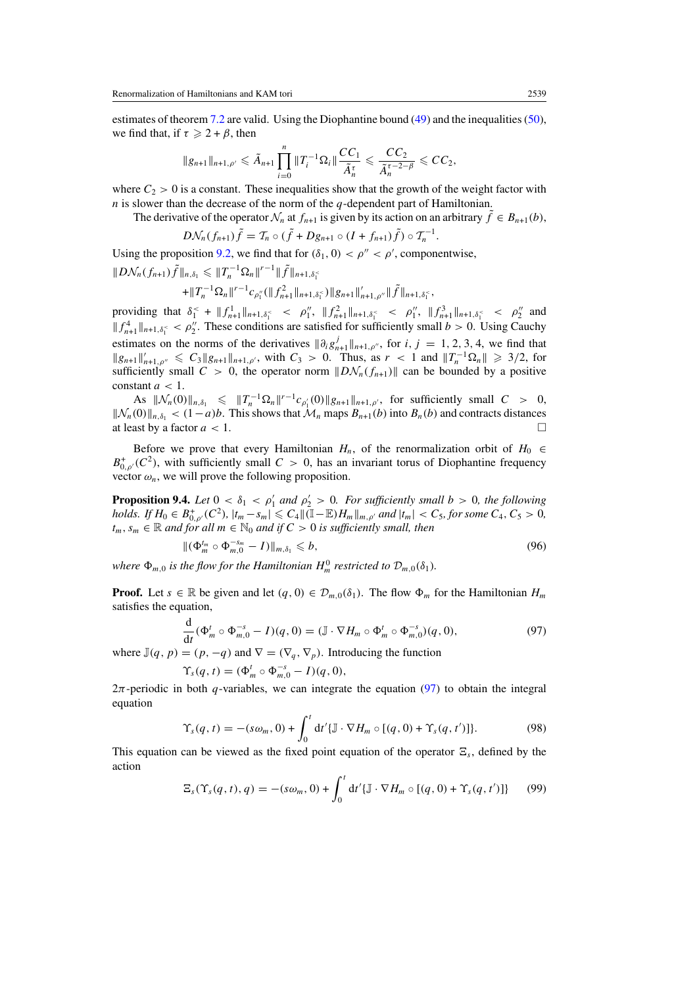<span id="page-27-0"></span>estimates of theorem [7.2](#page-21-0) are valid. Using the Diophantine bound [\(49\)](#page-16-0) and the inequalities [\(50\)](#page-17-0), we find that, if  $\tau \geq 2 + \beta$ , then

$$
||g_{n+1}||_{n+1,\rho'}\leqslant \tilde{A}_{n+1}\prod_{i=0}^n||T_i^{-1}\Omega_i||\frac{CC_1}{\tilde{A}_n^{\tau}}\leqslant \frac{CC_2}{\tilde{A}_n^{\tau-2-\beta}}\leqslant CC_2,
$$

where  $C_2 > 0$  is a constant. These inequalities show that the growth of the weight factor with *n* is slower than the decrease of the norm of the *q*-dependent part of Hamiltonian.

The derivative of the operator  $\mathcal{N}_n$  at  $f_{n+1}$  is given by its action on an arbitrary  $\hat{f} \in B_{n+1}(b)$ ,

$$
D\mathcal{N}_n(f_{n+1})\tilde{f} = \mathcal{T}_n \circ (\tilde{f} + Dg_{n+1} \circ (I + f_{n+1})\tilde{f}) \circ \mathcal{T}_n^{-1}.
$$

Using the proposition [9.2,](#page-26-0) we find that for  $(\delta_1, 0) < \rho'' < \rho'$ , componentwise,

$$
||D\mathcal{N}_n(f_{n+1})\tilde{f}||_{n,\delta_1} \leq ||T_n^{-1}\Omega_n||^{r-1}||\tilde{f}||_{n+1,\delta_1^2}
$$

$$
+||T_n^{-1}\Omega_n||^{r-1}c_{\rho_1''}(||f_{n+1}^2||_{n+1,\delta_1^{\lt}})||g_{n+1}||_{n+1,\rho''}'||\tilde{f}||_{n+1,\delta_1^{\lt}}.
$$

providing that  $\delta_1^{\leq} + ||f_{n+1}^1||_{n+1,\delta_1^{\leq}} < \rho_1'', ||f_{n+1}^2||_{n+1,\delta_1^{\leq}} < \rho_1'', ||f_{n+1}^3||_{n+1,\delta_1^{\leq}} < \rho_2''$  and  $|| f_{n+1}^4 ||_{n+1,\delta_1^{\le}} < \rho_2''$ . These conditions are satisfied for sufficiently small  $b > 0$ . Using Cauchy estimates on the norms of the derivatives  $\|\partial_i g_{n+1}^j\|_{n+1,\rho}$ , for *i*, *j* = 1, 2, 3, 4, we find that  $||g_{n+1}||'_{n+1,\rho''} \leq C_3 ||g_{n+1}||_{n+1,\rho'}$ , with  $C_3 > 0$ . Thus, as  $r < 1$  and  $||T_n^{-1}\Omega_n|| \geq 3/2$ , for sufficiently small  $C > 0$ , the operator norm  $\|D\mathcal{N}_n(f_{n+1})\|$  can be bounded by a positive constant  $a < 1$ .

As  $\|\mathcal{N}_n(0)\|_{n,\delta_1} \leq \|T_n^{-1}\Omega_n\|^{r-1}c_{\rho'_1}(0)\|g_{n+1}\|_{n+1,\rho'}$ , for sufficiently small  $C > 0$ ,  $||\mathcal{N}_n(0)||_{n,\delta_1}$  < (1−*a)b*. This shows that  $\mathcal{M}_n$  maps  $B_{n+1}(b)$  into  $B_n(b)$  and contracts distances at least by a factor *a* < 1. at least by a factor *a <* 1.

Before we prove that every Hamiltonian  $H_n$ , of the renormalization orbit of  $H_0 \in$  $B^+_{0,\rho'}(C^2)$ , with sufficiently small  $C > 0$ , has an invariant torus of Diophantine frequency vector  $\omega_n$ , we will prove the following proposition.

**Proposition 9.4.** *Let*  $0 < \delta_1 < \rho'_1$  *and*  $\rho'_2 > 0$ *. For sufficiently small*  $b > 0$ *, the following* holds. If  $H_0 \in B^+_{0,\rho'}(C^2)$ ,  $|t_m - s_m| \leqslant C_4 \| (I - \mathbb{E}) H_m \|_{m,\rho'}$  and  $|t_m| < C_5$ , for some  $C_4$ ,  $C_5 > 0$ ,  $t_m$ ,  $s_m$  ∈ R *and for all*  $m$  ∈ N<sub>0</sub> *and if*  $C > 0$  *is sufficiently small, then* 

$$
\| (\Phi_m^{t_m} \circ \Phi_{m,0}^{-s_m} - I) \|_{m,\delta_1} \leqslant b,
$$
\n(96)

*where*  $\Phi_{m,0}$  *is the flow for the Hamiltonian*  $H_m^0$  *restricted to*  $\mathcal{D}_{m,0}(\delta_1)$ *.* 

**Proof.** Let  $s \in \mathbb{R}$  be given and let  $(q, 0) \in \mathcal{D}_{m,0}(\delta_1)$ . The flow  $\Phi_m$  for the Hamiltonian  $H_m$ satisfies the equation,

$$
\frac{\mathrm{d}}{\mathrm{d}t}(\Phi_m^t \circ \Phi_{m,0}^{-s} - I)(q,0) = (\mathbb{J} \cdot \nabla H_m \circ \Phi_m^t \circ \Phi_{m,0}^{-s})(q,0),\tag{97}
$$

where  $\mathbb{J}(q, p) = (p, -q)$  and  $\nabla = (\nabla_q, \nabla_p)$ . Introducing the function

$$
\Upsilon_s(q,t) = (\Phi_m^t \circ \Phi_{m,0}^{-s} - I)(q,0),
$$

2*π*-periodic in both *q*-variables, we can integrate the equation (97) to obtain the integral equation

$$
\Upsilon_s(q,t) = -(s\omega_m,0) + \int_0^t dt' \{\mathbb{J} \cdot \nabla H_m \circ [(q,0) + \Upsilon_s(q,t')] \}.
$$
 (98)

This equation can be viewed as the fixed point equation of the operator  $\Xi_s$ , defined by the action

$$
\Xi_s(\Upsilon_s(q,t),q) = -(s\omega_m,0) + \int_0^t dt' \{\mathbb{J} \cdot \nabla H_m \circ [(q,0) + \Upsilon_s(q,t')] \} \tag{99}
$$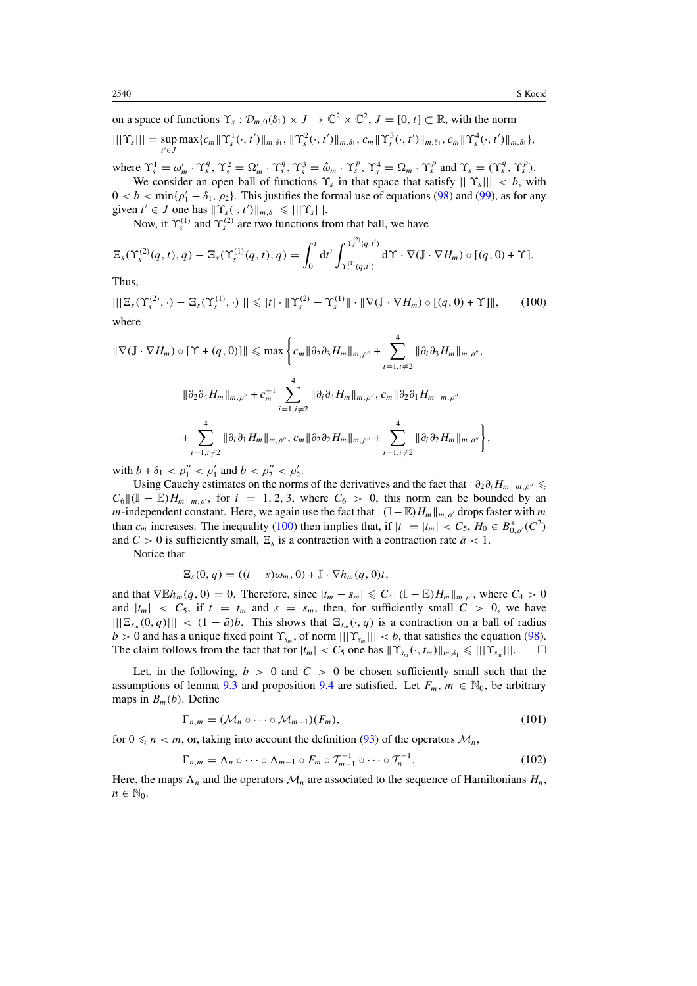<span id="page-28-0"></span>on a space of functions  $\Upsilon_s : \mathcal{D}_{m,0}(\delta_1) \times J \to \mathbb{C}^2 \times \mathbb{C}^2$ ,  $J = [0, t] \subset \mathbb{R}$ , with the norm  $|||\Upsilon_{s}||| = \sup_{t' \in J} \max\{c_m || \Upsilon_{s}^{1}(\cdot, t') ||_{m, \delta_1}, || \Upsilon_{s}^{2}(\cdot, t') ||_{m, \delta_1}, c_m || \Upsilon_{s}^{3}(\cdot, t') ||_{m, \delta_1}, c_m || \Upsilon_{s}^{4}(\cdot, t') ||_{m, \delta_1}\},$ 

where  $\Upsilon_s^1 = \omega'_m \cdot \Upsilon_s^q$ ,  $\Upsilon_s^2 = \Omega'_m \cdot \Upsilon_s^q$ ,  $\Upsilon_s^3 = \hat{\omega}_m \cdot \Upsilon_s^p$ ,  $\Upsilon_s^4 = \Omega_m \cdot \Upsilon_s^p$  and  $\Upsilon_s = (\Upsilon_s^q, \Upsilon_s^p)$ . We consider an open ball of functions  $\Upsilon_s$  in that space that satisfy  $|||\Upsilon_s||| < b$ , with

 $0 < b < \min{\{\rho'_1 - \delta_1, \rho_2\}}$ . This justifies the formal use of equations [\(98\)](#page-27-0) and [\(99\)](#page-27-0), as for any given  $t' \in J$  one has  $|| \Upsilon_s(\cdot, t') ||_{m, \delta_1} \leq ||| \Upsilon_s|||.$ 

Now, if  $\Upsilon_s^{(1)}$  and  $\Upsilon_s^{(2)}$  are two functions from that ball, we have

$$
\Xi_s(\Upsilon_s^{(2)}(q,t),q)-\Xi_s(\Upsilon_s^{(1)}(q,t),q)=\int_0^t dt'\int_{\Upsilon_s^{(1)}(q,t')}^{\Upsilon_s^{(2)}(q,t')} d\Upsilon \cdot \nabla (\mathbb{J}\cdot \nabla H_m)\circ [(q,0)+\Upsilon].
$$

Thus,

 $|||\Xi_s(\Upsilon_s^{(2)},\cdot)-\Xi_s(\Upsilon_s^{(1)},\cdot)||| \leq |t|\cdot \|\Upsilon_s^{(2)}-\Upsilon_s^{(1)}\| \cdot \|\nabla (\mathbb{J}\cdot\nabla H_m) \circ [(q,0)+\Upsilon] \|,$  (100) where

$$
\|\nabla(\mathbb{J}\cdot\nabla H_m)\circ[\Upsilon+(q,0)]\|\leq \max\left\{c_m\|\partial_2\partial_3 H_m\|_{m,\rho''}+\sum_{i=1,i\neq 2}^4\|\partial_i\partial_3 H_m\|_{m,\rho''},\right.\|\partial_2\partial_4 H_m\|_{m,\rho''}+c_m^{-1}\sum_{i=1,i\neq 2}^4\|\partial_i\partial_4 H_m\|_{m,\rho''},c_m\|\partial_2\partial_1 H_m\|_{m,\rho''}+\sum_{i=1,i\neq 2}^4\|\partial_i\partial_1 H_m\|_{m,\rho''},c_m\|\partial_2\partial_2 H_m\|_{m,\rho''}+\sum_{i=1,i\neq 2}^4\|\partial_i\partial_2 H_m\|_{m,\rho''}\right\},
$$

with  $b + \delta_1 < \rho_1'' < \rho_1'$  and  $b < \rho_2'' < \rho_2'$ .

Using Cauchy estimates on the norms of the derivatives and the fact that  $\|\partial_2\partial_i H_m\|_{m,\rho''}\leq$  $C_6$ ||( $\mathbb{I} - \mathbb{E}$ ) $H_m$ ||<sub>*m,ρ'*</sub>, for  $i = 1, 2, 3$ , where  $C_6 > 0$ , this norm can be bounded by an *m*-independent constant. Here, we again use the fact that  $\|(I-E)H_m\|_{m,\rho'}$  drops faster with *m* than  $c_m$  increases. The inequality (100) then implies that, if  $|t|=|t_m| < C_5$ ,  $H_0 \in B^+_{0,\rho'}(C^2)$ and  $C > 0$  is sufficiently small,  $\Xi_s$  is a contraction with a contraction rate  $\bar{a} < 1$ .

Notice that

$$
\Xi_s(0,q) = ((t-s)\omega_m, 0) + \mathbb{J} \cdot \nabla h_m(q, 0)t,
$$

and that  $\nabla \mathbb{E} h_m(q,0) = 0$ . Therefore, since  $|t_m - s_m| \leq C_4 ||(\mathbb{I} - \mathbb{E}) H_m||_{m,\rho}$ , where  $C_4 > 0$ and  $|t_m| < C_5$ , if  $t = t_m$  and  $s = s_m$ , then, for sufficiently small  $C > 0$ , we have  $|||E_{s_m}(0, q)||| < (1 - \bar{a})b$ . This shows that  $E_{s_m}(\cdot, q)$  is a contraction on a ball of radius *b* > 0 and has a unique fixed point  $\Upsilon_{s_m}$ , of norm  $|||\Upsilon_{s_m}||| < b$ , that satisfies the equation [\(98\)](#page-27-0). The claim follows from the fact that for  $|t_m| < C_5$  one has  $||\Upsilon_{s_m}(\cdot, t_m)||_{m, \delta_1} \leq |||\Upsilon_{s_m}|||$ .  $\Box$ 

Let, in the following,  $b > 0$  and  $C > 0$  be chosen sufficiently small such that the assumptions of lemma [9.3](#page-26-0) and proposition [9.4](#page-27-0) are satisfied. Let  $F_m$ ,  $m \in \mathbb{N}_0$ , be arbitrary maps in  $B_m(b)$ . Define

$$
\Gamma_{n,m} = (\mathcal{M}_n \circ \cdots \circ \mathcal{M}_{m-1})(F_m),\tag{101}
$$

for  $0 \le n < m$ , or, taking into account the definition [\(93\)](#page-26-0) of the operators  $\mathcal{M}_n$ ,

$$
\Gamma_{n,m} = \Lambda_n \circ \cdots \circ \Lambda_{m-1} \circ F_m \circ \mathcal{T}_{m-1}^{-1} \circ \cdots \circ \mathcal{T}_n^{-1}.
$$
 (102)

Here, the maps  $\Lambda_n$  and the operators  $\mathcal{M}_n$  are associated to the sequence of Hamiltonians  $H_n$ ,  $n \in \mathbb{N}_0$ .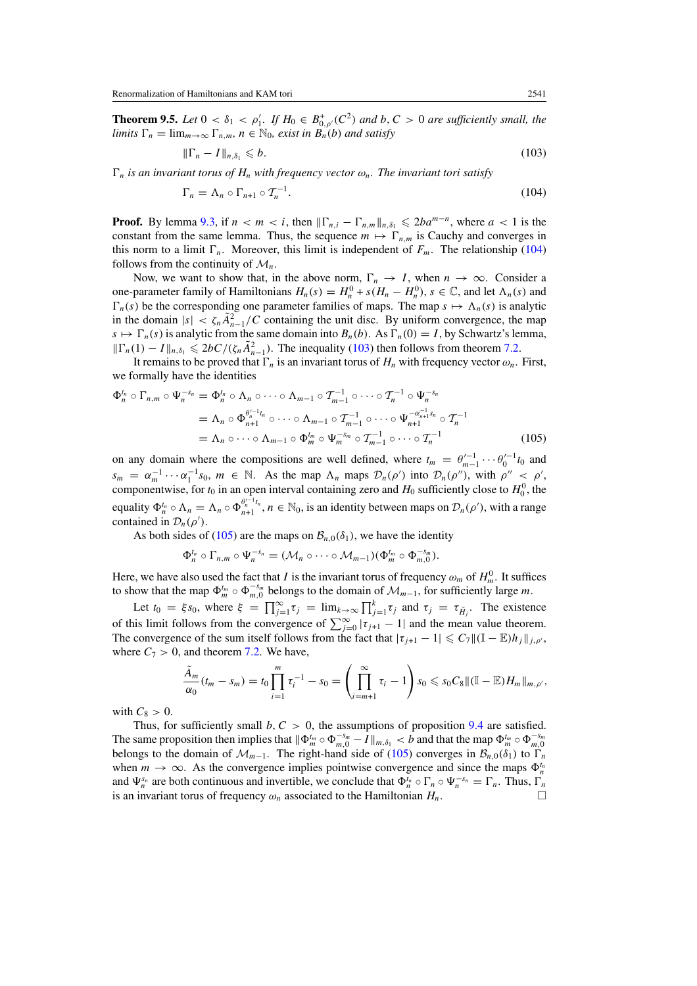**Theorem 9.5.** *Let*  $0 < \delta_1 < \rho'_1$ . *If*  $H_0 \in B^+_{0,\rho'}(C^2)$  *and*  $b, C > 0$  *are sufficiently small, the limits*  $\Gamma_n = \lim_{m \to \infty} \Gamma_{n,m}$ ,  $n \in \mathbb{N}_0$ , exist in  $B_n(r)$  and satisfy

$$
\|\Gamma_n - I\|_{n,\delta_1} \leqslant b. \tag{103}
$$

 $\Gamma_n$  *is an invariant torus of*  $H_n$  *with frequency vector*  $\omega_n$ *. The invariant tori satisfy* 

$$
\Gamma_n = \Lambda_n \circ \Gamma_{n+1} \circ \mathcal{T}_n^{-1}.\tag{104}
$$

**Proof.** By lemma [9.3,](#page-26-0) if  $n < m < i$ , then  $\|\Gamma_{n,i} - \Gamma_{n,m}\|_{n,\delta_1} \le 2ba^{m-n}$ , where  $a < 1$  is the constant from the same lemma. Thus, the sequence  $m \mapsto \Gamma_{n,m}$  is Cauchy and converges in this norm to a limit  $\Gamma_n$ . Moreover, this limit is independent of  $F_m$ . The relationship (104) follows from the continuity of  $\mathcal{M}_n$ .

Now, we want to show that, in the above norm,  $\Gamma_n \to I$ , when  $n \to \infty$ . Consider a one-parameter family of Hamiltonians  $H_n(s) = H_n^0 + s(H_n - H_n^0)$ ,  $s \in \mathbb{C}$ , and let  $\Lambda_n(s)$  and  $\Gamma_n(s)$  be the corresponding one parameter families of maps. The map  $s \mapsto \Lambda_n(s)$  is analytic in the domain  $|s| < \zeta_n \tilde{A}_{n-1}^2/C$  containing the unit disc. By uniform convergence, the map  $s \mapsto \Gamma_n(s)$  is analytic from the same domain into  $B_n(b)$ . As  $\Gamma_n(0) = I$ , by Schwartz's lemma,  $||\Gamma_n(1) - I||_{n,\delta_1}$  ≤ 2*bC*/( $\zeta_n \tilde{A}_{n-1}^2$ ). The inequality (103) then follows from theorem [7.2.](#page-21-0)

It remains to be proved that  $\Gamma_n$  is an invariant torus of  $H_n$  with frequency vector  $\omega_n$ . First, we formally have the identities

$$
\Phi_n^{t_n} \circ \Gamma_{n,m} \circ \Psi_n^{-s_n} = \Phi_n^{t_n} \circ \Lambda_n \circ \cdots \circ \Lambda_{m-1} \circ \mathcal{T}_{m-1}^{-1} \circ \cdots \circ \mathcal{T}_n^{-1} \circ \Psi_n^{-s_n}
$$
  
\n
$$
= \Lambda_n \circ \Phi_{n+1}^{\theta_n^{t-1}t_n} \circ \cdots \circ \Lambda_{m-1} \circ \mathcal{T}_{m-1}^{-1} \circ \cdots \circ \Psi_{n+1}^{-\alpha_{n+1}^{-1}s_n} \circ \mathcal{T}_n^{-1}
$$
  
\n
$$
= \Lambda_n \circ \cdots \circ \Lambda_{m-1} \circ \Phi_m^{t_m} \circ \Psi_m^{-s_m} \circ \mathcal{T}_{m-1}^{-1} \circ \cdots \circ \mathcal{T}_n^{-1}
$$
(105)

on any domain where the compositions are well defined, where  $t_m = \theta_{m-1}^{(-1} \cdots \theta_0^{(-1)} t_0$  and  $s_m = \alpha_m^{-1} \cdots \alpha_1^{-1} s_0$ ,  $m \in \mathbb{N}$ . As the map  $\Lambda_n$  maps  $\mathcal{D}_n(\rho')$  into  $\mathcal{D}_n(\rho'')$ , with  $\rho'' \leq \rho'$ , componentwise, for  $t_0$  in an open interval containing zero and  $H_0$  sufficiently close to  $H_0^0$ , the equality  $\Phi_n^{t_n} \circ \Lambda_n = \Lambda_n \circ \Phi_{n+1}^{\rho_n^{t-1}t_n}$ ,  $n \in \mathbb{N}_0$ , is an identity between maps on  $\mathcal{D}_n(\rho')$ , with a range contained in  $\mathcal{D}_n(\rho')$ .

As both sides of (105) are the maps on  $\mathcal{B}_{n,0}(\delta_1)$ , we have the identity

$$
\Phi_n^{t_n} \circ \Gamma_{n,m} \circ \Psi_n^{-s_n} = (\mathcal{M}_n \circ \cdots \circ \mathcal{M}_{m-1})(\Phi_m^{t_m} \circ \Phi_{m,0}^{-s_m}).
$$

Here, we have also used the fact that *I* is the invariant torus of frequency  $\omega_m$  of  $H_m^0$ . It suffices to show that the map  $\Phi_m^{t_m} \circ \Phi_{m,0}^{-s_m}$  belongs to the domain of  $\mathcal{M}_{m-1}$ , for sufficiently large *m*.

Let  $t_0 = \xi s_0$ , where  $\xi = \prod_{j=1}^{\infty} \tau_j = \lim_{k \to \infty} \prod_{j=1}^{k} \tau_j$  and  $\tau_j = \tau_{\tilde{H}_j}$ . The existence of this limit follows from the convergence of  $\sum_{j=0}^{\infty} |\tau_{j+1} - 1|$  and the mean value theorem. The convergence of the sum itself follows from the fact that  $|\tau_{j+1} - 1| \leq C_7 ||(\mathbb{I} - \mathbb{E})h_j||_{j,\rho'}$ , where  $C_7 > 0$ , and theorem [7.2.](#page-21-0) We have,

$$
\frac{\tilde{A}_m}{\alpha_0}(t_m - s_m) = t_0 \prod_{i=1}^m \tau_i^{-1} - s_0 = \left( \prod_{i=m+1}^\infty \tau_i - 1 \right) s_0 \leqslant s_0 C_8 \| (\mathbb{I} - \mathbb{E}) H_m \|_{m,\rho'},
$$

with  $C_8 > 0$ .

Thus, for sufficiently small  $b, C > 0$ , the assumptions of proposition [9.4](#page-27-0) are satisfied. The same proposition then implies that  $\|\Phi_m^{t_m} \circ \Phi_{m,0}^{-s_m} - I\|_{m,\delta_1} < b$  and that the map  $\Phi_m^{t_m} \circ \Phi_{m,0}^{-s_m}$ belongs to the domain of  $\mathcal{M}_{m-1}$ . The right-hand side of (105) converges in  $\mathcal{B}_{n,0}(\delta_1)$  to  $\Gamma_n$ when  $m \to \infty$ . As the convergence implies pointwise convergence and since the maps  $\Phi_n^{t_n}$ and  $\Psi_n^{s_n}$  are both continuous and invertible, we conclude that  $\Phi_n^{t_n} \circ \Gamma_n \circ \Psi_n^{-s_n} = \Gamma_n$ . Thus,  $\Gamma_n$ is an invariant torus of frequency  $\omega_n$  associated to the Hamiltonian  $H_n$ .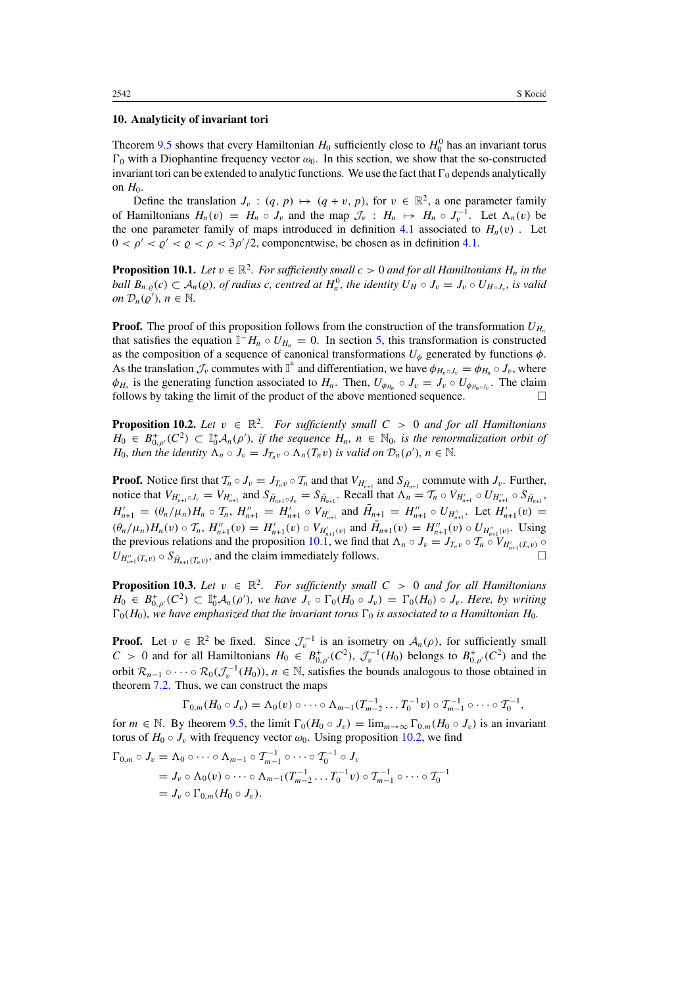#### <span id="page-30-0"></span>**10. Analyticity of invariant tori**

Theorem [9.5](#page-28-0) shows that every Hamiltonian  $H_0$  sufficiently close to  $H_0^0$  has an invariant torus  $\Gamma_0$  with a Diophantine frequency vector  $\omega_0$ . In this section, we show that the so-constructed invariant tori can be extended to analytic functions. We use the fact that  $\Gamma_0$  depends analytically on  $H_0$ .

Define the translation  $J_v$ :  $(q, p) \mapsto (q + v, p)$ , for  $v \in \mathbb{R}^2$ , a one parameter family of Hamiltonians  $H_n(v) = H_n \circ J_v$  and the map  $\mathcal{J}_v : H_n \mapsto H_n \circ J_v^{-1}$ . Let  $\Lambda_n(v)$  be the one parameter family of maps introduced in definition [4.1](#page-7-0) associated to  $H_n(v)$ . Let  $0 < \rho' < \rho' < \rho < 3\rho'/2$ , componentwise, be chosen as in definition [4.1.](#page-7-0)

**Proposition 10.1.** *Let*  $v \in \mathbb{R}^2$ *. For sufficiently small*  $c > 0$  *and for all Hamiltonians*  $H_n$  *in the ball*  $B_{n,q}(c) \subset A_n(q)$ , of radius c, centred at  $H_n^0$ , the identity  $U_H \circ J_v = J_v \circ U_{H \circ J_v}$ , is valid *on*  $\mathcal{D}_n(\varrho'), n \in \mathbb{N}$ .

**Proof.** The proof of this proposition follows from the construction of the transformation  $U_{H_n}$ that satisfies the equation  $\mathbb{I}^-H_n \circ U_{H_n} = 0$ . In section [5,](#page-10-0) this transformation is constructed as the composition of a sequence of canonical transformations  $U_{\phi}$  generated by functions  $\phi$ . As the translation  $\mathcal{J}_v$  commutes with  $\mathbb{I}^+$  and differentiation, we have  $\phi_{H_n \circ J_v} = \phi_{H_n} \circ J_v$ , where  $\phi_{H_n}$  is the generating function associated to  $H_n$ . Then,  $U_{\phi_{H_n}} \circ J_v = J_v \circ U_{\phi_{H_n \circ J_v}}$ . The claim follows by taking the limit of the product of the above mentioned sequence.  $\Box$ 

**Proposition 10.2.** *Let*  $v \in \mathbb{R}^2$ . For sufficiently small  $C > 0$  and for all Hamiltonians *H*<sub>0</sub> ∈ *B*<sup>+</sup><sub>0</sub>, $\rho$ <sup>*(C*2</sup>) ⊂  $\mathbb{I}_0^+$ *A<sub>n</sub>*( $\rho'$ *), if the sequence H<sub>n</sub>*, *n* ∈  $\mathbb{N}_0$ *, is the renormalization orbit of H*<sub>0</sub>*, then the identity*  $\Lambda_n \circ J_v = J_{T_n v} \circ \Lambda_n(T_n v)$  *is valid on*  $\mathcal{D}_n(\rho')$ *, n*  $\in \mathbb{N}$ *.* 

**Proof.** Notice first that  $\mathcal{T}_n \circ J_v = J_{T_n v} \circ \mathcal{T}_n$  and that  $V_{H'_{n+1}}$  and  $S_{\tilde{H}_{n+1}}$  commute with  $J_v$ . Further, notice that  $V_{H'_{n+1}\circ J_v} = V_{H'_{n+1}}$  and  $S_{\tilde{H}_{n+1}\circ J_v} = S_{\tilde{H}_{n+1}}$ . Recall that  $\Lambda_n = T_n \circ V_{H'_{n+1}} \circ U_{H''_{n+1}} \circ S_{\tilde{H}_{n+1}}$ ,  $H'_{n+1} = (\theta_n/\mu_n)H_n \circ \mathcal{T}_n$ ,  $H''_{n+1} = H'_{n+1} \circ V_{H'_{n+1}}$  and  $\tilde{H}_{n+1} = H''_{n+1} \circ U_{H''_{n+1}}$ . Let  $H'_{n+1}(v) =$  $(\theta_n/\mu_n)H_n(v) \circ T_n$ ,  $H''_{n+1}(v) = H'_{n+1}(v) \circ V_{H'_{n+1}(v)}$  and  $\tilde{H}_{n+1}(v) = H''_{n+1}(v) \circ U_{H''_{n+1}(v)}$ . Using the previous relations and the proposition 10.1, we find that  $\Lambda_n \circ J_v = J_{T_n v} \circ T_n \circ V_{H'_{n+1}(T_n v)} \circ$  $U_{H_{n+1}''(T_n v)} \circ S_{\tilde{H}_{n+1}(T_n v)}$ , and the claim immediately follows.

**Proposition 10.3.** *Let*  $v \in \mathbb{R}^2$ . For sufficiently small  $C > 0$  and for all Hamiltonians  $H_0 \in B_{0,\rho'}^+(C^2) \subset \mathbb{I}_0^+ \mathcal{A}_n(\rho')$ , we have  $J_v \circ \Gamma_0(H_0 \circ J_v) = \Gamma_0(H_0) \circ J_v$ . Here, by writing  $\Gamma_0(H_0)$ *, we have emphasized that the invariant torus*  $\Gamma_0$  *is associated to a Hamiltonian H*<sub>0</sub>.

**Proof.** Let  $v \in \mathbb{R}^2$  be fixed. Since  $\mathcal{J}_v^{-1}$  is an isometry on  $\mathcal{A}_n(\rho)$ , for sufficiently small  $C > 0$  and for all Hamiltonians  $H_0 \in B^+_{0,\rho'}(C^2)$ ,  $\mathcal{J}_v^{-1}(H_0)$  belongs to  $B^+_{0,\rho'}(C^2)$  and the orbit  $\mathcal{R}_{n-1} \circ \cdots \circ \mathcal{R}_0(\mathcal{J}_v^{-1}(H_0))$ ,  $n \in \mathbb{N}$ , satisfies the bounds analogous to those obtained in theorem [7.2.](#page-21-0) Thus, we can construct the maps

$$
\Gamma_{0,m}(H_0 \circ J_v) = \Lambda_0(v) \circ \cdots \circ \Lambda_{m-1}(T_{m-2}^{-1} \ldots T_0^{-1} v) \circ T_{m-1}^{-1} \circ \cdots \circ T_0^{-1},
$$

for  $m \in \mathbb{N}$ . By theorem [9.5,](#page-28-0) the limit  $\Gamma_0(H_0 \circ J_v) = \lim_{m \to \infty} \Gamma_{0,m}(H_0 \circ J_v)$  is an invariant torus of  $H_0 \circ J_v$  with frequency vector  $\omega_0$ . Using proposition 10.2, we find

$$
\Gamma_{0,m} \circ J_v = \Lambda_0 \circ \cdots \circ \Lambda_{m-1} \circ \mathcal{T}_{m-1}^{-1} \circ \cdots \circ \mathcal{T}_0^{-1} \circ J_v
$$
  
=  $J_v \circ \Lambda_0(v) \circ \cdots \circ \Lambda_{m-1}(\mathcal{T}_{m-2}^{-1} \cdots \mathcal{T}_0^{-1}v) \circ \mathcal{T}_{m-1}^{-1} \circ \cdots \circ \mathcal{T}_0^{-1}$   
=  $J_v \circ \Gamma_{0,m}(H_0 \circ J_v).$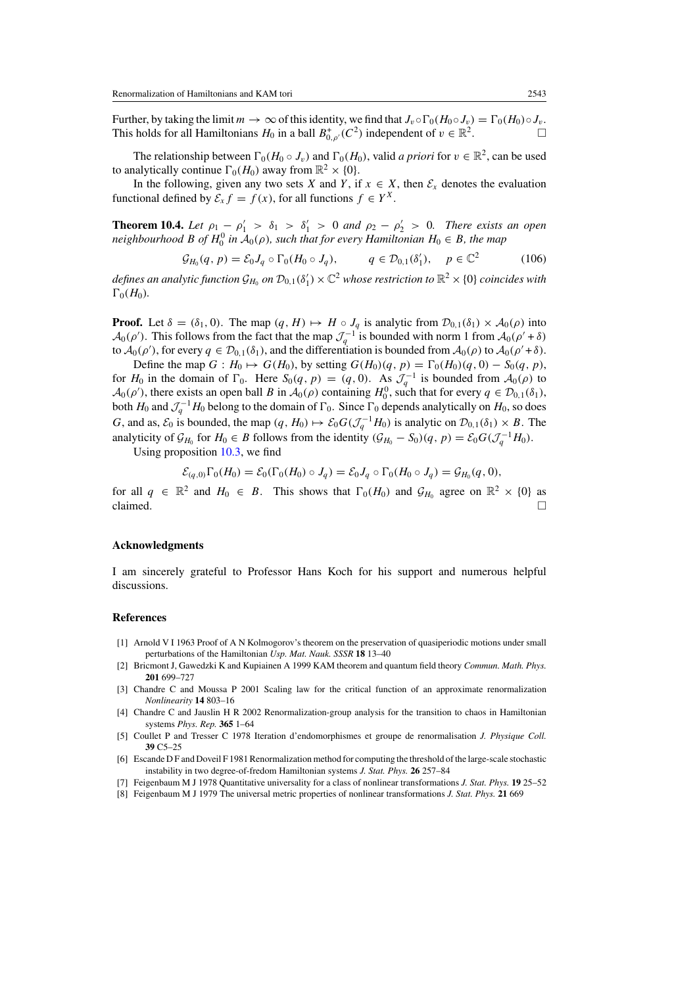<span id="page-31-0"></span>Further, by taking the limit  $m \to \infty$  of this identity, we find that  $J_v \circ \Gamma_0(H_0 \circ J_v) = \Gamma_0(H_0) \circ J_v$ . This holds for all Hamiltonians *H*<sub>0</sub> in a ball  $B^+_{0,\rho'}(C^2)$  independent of  $v \in \mathbb{R}^2$ .

The relationship between  $\Gamma_0(H_0 \circ J_v)$  and  $\Gamma_0(H_0)$ , valid *a priori* for  $v \in \mathbb{R}^2$ , can be used to analytically continue  $\Gamma_0(H_0)$  away from  $\mathbb{R}^2 \times \{0\}$ .

In the following, given any two sets *X* and *Y*, if  $x \in X$ , then  $\mathcal{E}_x$  denotes the evaluation functional defined by  $\mathcal{E}_x f = f(x)$ , for all functions  $f \in Y^X$ .

**Theorem 10.4.** Let  $\rho_1 - \rho'_1 > \delta_1 > \delta'_1 > 0$  and  $\rho_2 - \rho'_2 > 0$ . There exists an open *neighbourhood B of*  $H_0^0$  *in*  $A_0(\rho)$ *, such that for every Hamiltonian*  $H_0 \in B$ *, the map* 

$$
\mathcal{G}_{H_0}(q, p) = \mathcal{E}_0 J_q \circ \Gamma_0(H_0 \circ J_q), \qquad q \in \mathcal{D}_{0,1}(\delta_1'), \quad p \in \mathbb{C}^2 \tag{106}
$$

 $d$ efines an analytic function  $\mathcal{G}_{H_0}$  on  $\mathcal{D}_{0,1}(\delta_1')\times\mathbb{C}^2$  whose restriction to  $\mathbb{R}^2\times\{0\}$  coincides with  $\Gamma_0(H_0)$ *.* 

**Proof.** Let  $\delta = (\delta_1, 0)$ . The map  $(q, H) \mapsto H \circ J_q$  is analytic from  $\mathcal{D}_{0,1}(\delta_1) \times \mathcal{A}_0(\rho)$  into  $\mathcal{A}_0(\rho')$ . This follows from the fact that the map  $\mathcal{J}_q^{-1}$  is bounded with norm 1 from  $\mathcal{A}_0(\rho' + \delta)$ to  $A_0(\rho')$ , for every  $q \in \mathcal{D}_{0,1}(\delta_1)$ , and the differentiation is bounded from  $A_0(\rho)$  to  $A_0(\rho' + \delta)$ .

Define the map *G* : *H*<sub>0</sub>  $\mapsto$  *G*(*H*<sub>0</sub>), by setting *G*(*H*<sub>0</sub>)(*q*, *p*) =  $\Gamma_0(H_0)(q, 0) - S_0(q, p)$ , for  $H_0$  in the domain of  $\Gamma_0$ . Here  $S_0(q, p) = (q, 0)$ . As  $\mathcal{J}_q^{-1}$  is bounded from  $\mathcal{A}_0(\rho)$  to  $\mathcal{A}_0(\rho')$ , there exists an open ball *B* in  $\mathcal{A}_0(\rho)$  containing  $H_0^0$ , such that for every  $q \in \mathcal{D}_{0,1}(\delta_1)$ , both  $H_0$  and  $\mathcal{J}_q^{-1}H_0$  belong to the domain of  $\Gamma_0$ . Since  $\Gamma_0$  depends analytically on  $H_0$ , so does *G*, and as,  $\mathcal{E}_0$  is bounded, the map  $(q, H_0) \mapsto \mathcal{E}_0 G(\mathcal{J}_q^{-1} H_0)$  is analytic on  $\mathcal{D}_{0,1}(\delta_1) \times B$ . The analyticity of  $\mathcal{G}_{H_0}$  for  $H_0 \in B$  follows from the identity  $(\mathcal{G}_{H_0} - S_0)(q, p) = \mathcal{E}_0 G(\mathcal{J}_q^{-1}H_0)$ .

Using proposition [10.3,](#page-30-0) we find

$$
\mathcal{E}_{(q,0)}\Gamma_0(H_0)=\mathcal{E}_0(\Gamma_0(H_0)\circ J_q)=\mathcal{E}_0J_q\circ\Gamma_0(H_0\circ J_q)=\mathcal{G}_{H_0}(q,0),
$$

for all  $q \in \mathbb{R}^2$  and  $H_0 \in B$ . This shows that  $\Gamma_0(H_0)$  and  $\mathcal{G}_{H_0}$  agree on  $\mathbb{R}^2 \times \{0\}$  as claimed. claimed.  $\Box$ 

#### **Acknowledgments**

I am sincerely grateful to Professor Hans Koch for his support and numerous helpful discussions.

#### **References**

- [1] Arnold V I 1963 Proof of A N Kolmogorov's theorem on the preservation of quasiperiodic motions under small perturbations of the Hamiltonian *Usp. Mat. Nauk. SSSR* **18** 13–40
- [2] Bricmont J, Gawedzki K and Kupiainen A 1999 KAM theorem and quantum field theory *Commun. Math. Phys.* **201** 699–727
- [3] Chandre C and Moussa P 2001 Scaling law for the critical function of an approximate renormalization *Nonlinearity* **14** 803–16
- [4] Chandre C and Jauslin H R 2002 Renormalization-group analysis for the transition to chaos in Hamiltonian systems *Phys. Rep.* **365** 1–64
- [5] Coullet P and Tresser C 1978 Iteration d'endomorphismes et groupe de renormalisation *J. Physique Coll.* **39** C5–25
- [6] Escande D F and Doveil F 1981 Renormalization method for computing the threshold of the large-scale stochastic instability in two degree-of-fredom Hamiltonian systems *J. Stat. Phys.* **26** 257–84
- [7] Feigenbaum M J 1978 Quantitative universality for a class of nonlinear transformations *J. Stat. Phys.* **19** 25–52
- [8] Feigenbaum M J 1979 The universal metric properties of nonlinear transformations *J. Stat. Phys.* **21** 669